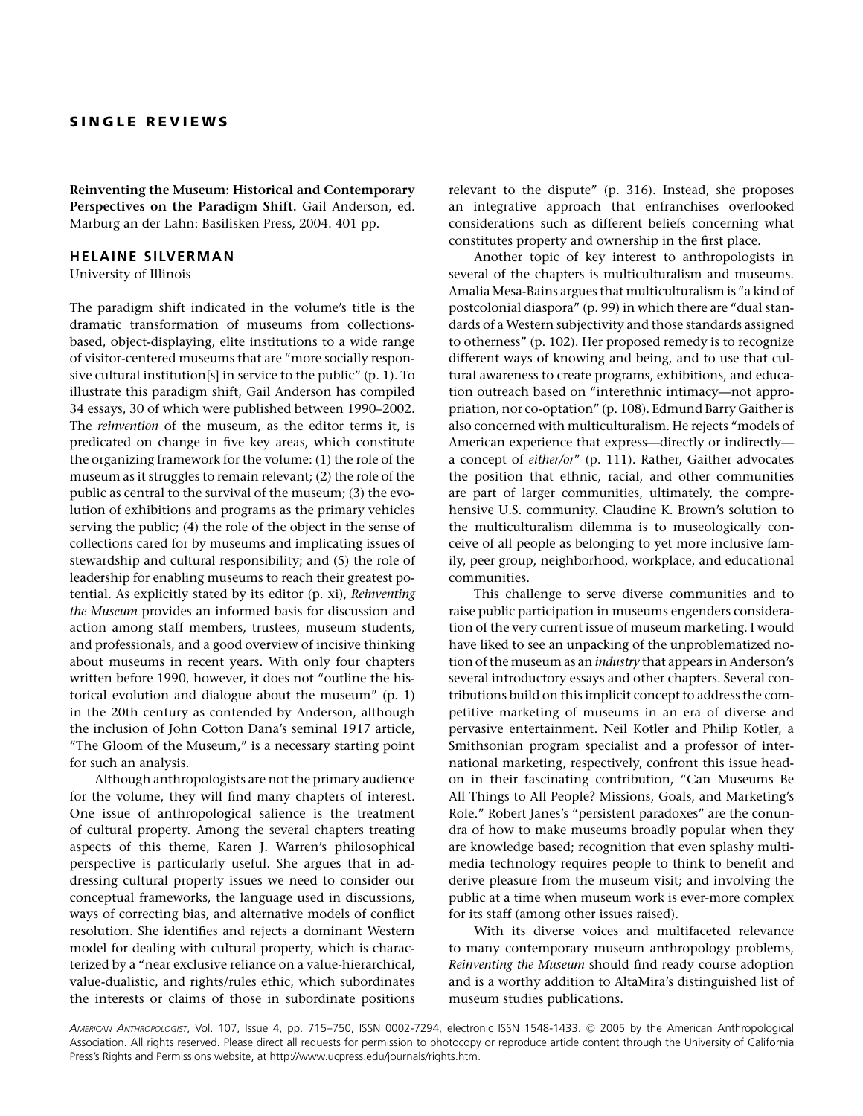# **SINGLE REVIEWS**

**Reinventing the Museum: Historical and Contemporary Perspectives on the Paradigm Shift.** Gail Anderson, ed. Marburg an der Lahn: Basilisken Press, 2004. 401 pp.

# **HELAINE SILVERMAN**

University of Illinois

The paradigm shift indicated in the volume's title is the dramatic transformation of museums from collectionsbased, object-displaying, elite institutions to a wide range of visitor-centered museums that are "more socially responsive cultural institution[s] in service to the public" (p. 1). To illustrate this paradigm shift, Gail Anderson has compiled 34 essays, 30 of which were published between 1990–2002. The *reinvention* of the museum, as the editor terms it, is predicated on change in five key areas, which constitute the organizing framework for the volume: (1) the role of the museum as it struggles to remain relevant; (2) the role of the public as central to the survival of the museum; (3) the evolution of exhibitions and programs as the primary vehicles serving the public; (4) the role of the object in the sense of collections cared for by museums and implicating issues of stewardship and cultural responsibility; and (5) the role of leadership for enabling museums to reach their greatest potential. As explicitly stated by its editor (p. xi), *Reinventing the Museum* provides an informed basis for discussion and action among staff members, trustees, museum students, and professionals, and a good overview of incisive thinking about museums in recent years. With only four chapters written before 1990, however, it does not "outline the historical evolution and dialogue about the museum" (p. 1) in the 20th century as contended by Anderson, although the inclusion of John Cotton Dana's seminal 1917 article, "The Gloom of the Museum," is a necessary starting point for such an analysis.

Although anthropologists are not the primary audience for the volume, they will find many chapters of interest. One issue of anthropological salience is the treatment of cultural property. Among the several chapters treating aspects of this theme, Karen J. Warren's philosophical perspective is particularly useful. She argues that in addressing cultural property issues we need to consider our conceptual frameworks, the language used in discussions, ways of correcting bias, and alternative models of conflict resolution. She identifies and rejects a dominant Western model for dealing with cultural property, which is characterized by a "near exclusive reliance on a value-hierarchical, value-dualistic, and rights/rules ethic, which subordinates the interests or claims of those in subordinate positions relevant to the dispute" (p. 316). Instead, she proposes an integrative approach that enfranchises overlooked considerations such as different beliefs concerning what constitutes property and ownership in the first place.

Another topic of key interest to anthropologists in several of the chapters is multiculturalism and museums. Amalia Mesa-Bains argues that multiculturalism is "a kind of postcolonial diaspora" (p. 99) in which there are "dual standards of a Western subjectivity and those standards assigned to otherness" (p. 102). Her proposed remedy is to recognize different ways of knowing and being, and to use that cultural awareness to create programs, exhibitions, and education outreach based on "interethnic intimacy—not appropriation, nor co-optation" (p. 108). Edmund Barry Gaither is also concerned with multiculturalism. He rejects "models of American experience that express—directly or indirectly a concept of *either/or*" (p. 111). Rather, Gaither advocates the position that ethnic, racial, and other communities are part of larger communities, ultimately, the comprehensive U.S. community. Claudine K. Brown's solution to the multiculturalism dilemma is to museologically conceive of all people as belonging to yet more inclusive family, peer group, neighborhood, workplace, and educational communities.

This challenge to serve diverse communities and to raise public participation in museums engenders consideration of the very current issue of museum marketing. I would have liked to see an unpacking of the unproblematized notion of the museum as an *industry* that appears in Anderson's several introductory essays and other chapters. Several contributions build on this implicit concept to address the competitive marketing of museums in an era of diverse and pervasive entertainment. Neil Kotler and Philip Kotler, a Smithsonian program specialist and a professor of international marketing, respectively, confront this issue headon in their fascinating contribution, "Can Museums Be All Things to All People? Missions, Goals, and Marketing's Role." Robert Janes's "persistent paradoxes" are the conundra of how to make museums broadly popular when they are knowledge based; recognition that even splashy multimedia technology requires people to think to benefit and derive pleasure from the museum visit; and involving the public at a time when museum work is ever-more complex for its staff (among other issues raised).

With its diverse voices and multifaceted relevance to many contemporary museum anthropology problems, *Reinventing the Museum* should find ready course adoption and is a worthy addition to AltaMira's distinguished list of museum studies publications.

*AMERICAN ANTHROPOLOGIST*, Vol. 107, Issue 4, pp. 715–750, ISSN 0002-7294, electronic ISSN 1548-1433. <sup>C</sup> 2005 by the American Anthropological Association. All rights reserved. Please direct all requests for permission to photocopy or reproduce article content through the University of California Press's Rights and Permissions website, at http://www.ucpress.edu/journals/rights.htm.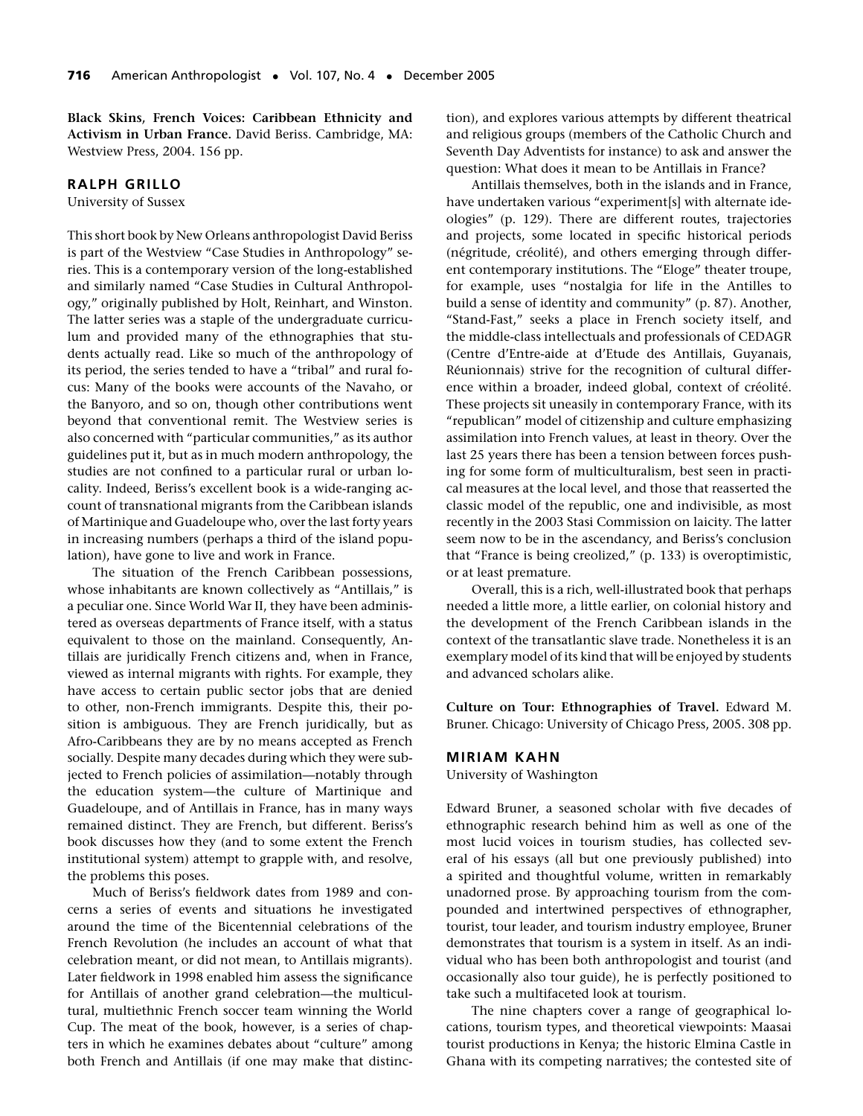**Black Skins, French Voices: Caribbean Ethnicity and Activism in Urban France.** David Beriss. Cambridge, MA: Westview Press, 2004. 156 pp.

# **RALPH GRILLO**

University of Sussex

This short book by New Orleans anthropologist David Beriss is part of the Westview "Case Studies in Anthropology" series. This is a contemporary version of the long-established and similarly named "Case Studies in Cultural Anthropology," originally published by Holt, Reinhart, and Winston. The latter series was a staple of the undergraduate curriculum and provided many of the ethnographies that students actually read. Like so much of the anthropology of its period, the series tended to have a "tribal" and rural focus: Many of the books were accounts of the Navaho, or the Banyoro, and so on, though other contributions went beyond that conventional remit. The Westview series is also concerned with "particular communities," as its author guidelines put it, but as in much modern anthropology, the studies are not confined to a particular rural or urban locality. Indeed, Beriss's excellent book is a wide-ranging account of transnational migrants from the Caribbean islands of Martinique and Guadeloupe who, over the last forty years in increasing numbers (perhaps a third of the island population), have gone to live and work in France.

The situation of the French Caribbean possessions, whose inhabitants are known collectively as "Antillais," is a peculiar one. Since World War II, they have been administered as overseas departments of France itself, with a status equivalent to those on the mainland. Consequently, Antillais are juridically French citizens and, when in France, viewed as internal migrants with rights. For example, they have access to certain public sector jobs that are denied to other, non-French immigrants. Despite this, their position is ambiguous. They are French juridically, but as Afro-Caribbeans they are by no means accepted as French socially. Despite many decades during which they were subjected to French policies of assimilation—notably through the education system—the culture of Martinique and Guadeloupe, and of Antillais in France, has in many ways remained distinct. They are French, but different. Beriss's book discusses how they (and to some extent the French institutional system) attempt to grapple with, and resolve, the problems this poses.

Much of Beriss's fieldwork dates from 1989 and concerns a series of events and situations he investigated around the time of the Bicentennial celebrations of the French Revolution (he includes an account of what that celebration meant, or did not mean, to Antillais migrants). Later fieldwork in 1998 enabled him assess the significance for Antillais of another grand celebration—the multicultural, multiethnic French soccer team winning the World Cup. The meat of the book, however, is a series of chapters in which he examines debates about "culture" among both French and Antillais (if one may make that distinction), and explores various attempts by different theatrical and religious groups (members of the Catholic Church and Seventh Day Adventists for instance) to ask and answer the question: What does it mean to be Antillais in France?

Antillais themselves, both in the islands and in France, have undertaken various "experiment[s] with alternate ideologies" (p. 129). There are different routes, trajectories and projects, some located in specific historical periods (négritude, créolité), and others emerging through different contemporary institutions. The "Eloge" theater troupe, for example, uses "nostalgia for life in the Antilles to build a sense of identity and community" (p. 87). Another, "Stand-Fast," seeks a place in French society itself, and the middle-class intellectuals and professionals of CEDAGR (Centre d'Entre-aide at d'Etude des Antillais, Guyanais, Réunionnais) strive for the recognition of cultural difference within a broader, indeed global, context of créolité. These projects sit uneasily in contemporary France, with its "republican" model of citizenship and culture emphasizing assimilation into French values, at least in theory. Over the last 25 years there has been a tension between forces pushing for some form of multiculturalism, best seen in practical measures at the local level, and those that reasserted the classic model of the republic, one and indivisible, as most recently in the 2003 Stasi Commission on laicity. The latter seem now to be in the ascendancy, and Beriss's conclusion that "France is being creolized," (p. 133) is overoptimistic, or at least premature.

Overall, this is a rich, well-illustrated book that perhaps needed a little more, a little earlier, on colonial history and the development of the French Caribbean islands in the context of the transatlantic slave trade. Nonetheless it is an exemplary model of its kind that will be enjoyed by students and advanced scholars alike.

**Culture on Tour: Ethnographies of Travel.** Edward M. Bruner. Chicago: University of Chicago Press, 2005. 308 pp.

#### **MIRIAM KAHN**

University of Washington

Edward Bruner, a seasoned scholar with five decades of ethnographic research behind him as well as one of the most lucid voices in tourism studies, has collected several of his essays (all but one previously published) into a spirited and thoughtful volume, written in remarkably unadorned prose. By approaching tourism from the compounded and intertwined perspectives of ethnographer, tourist, tour leader, and tourism industry employee, Bruner demonstrates that tourism is a system in itself. As an individual who has been both anthropologist and tourist (and occasionally also tour guide), he is perfectly positioned to take such a multifaceted look at tourism.

The nine chapters cover a range of geographical locations, tourism types, and theoretical viewpoints: Maasai tourist productions in Kenya; the historic Elmina Castle in Ghana with its competing narratives; the contested site of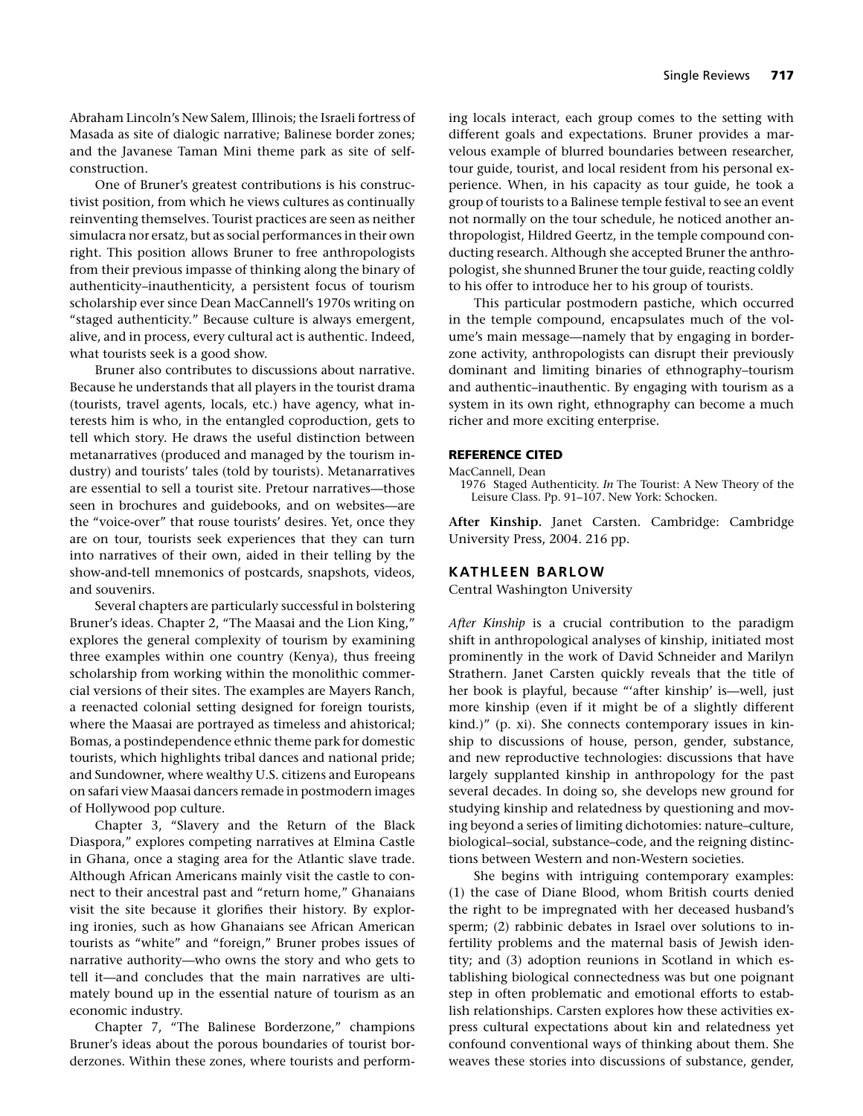Abraham Lincoln's New Salem, Illinois; the Israeli fortress of Masada as site of dialogic narrative; Balinese border zones; and the Javanese Taman Mini theme park as site of selfconstruction.

One of Bruner's greatest contributions is his constructivist position, from which he views cultures as continually reinventing themselves. Tourist practices are seen as neither simulacra nor ersatz, but as social performances in their own right. This position allows Bruner to free anthropologists from their previous impasse of thinking along the binary of authenticity–inauthenticity, a persistent focus of tourism scholarship ever since Dean MacCannell's 1970s writing on "staged authenticity." Because culture is always emergent, alive, and in process, every cultural act is authentic. Indeed, what tourists seek is a good show.

Bruner also contributes to discussions about narrative. Because he understands that all players in the tourist drama (tourists, travel agents, locals, etc.) have agency, what interests him is who, in the entangled coproduction, gets to tell which story. He draws the useful distinction between metanarratives (produced and managed by the tourism industry) and tourists' tales (told by tourists). Metanarratives are essential to sell a tourist site. Pretour narratives—those seen in brochures and guidebooks, and on websites—are the "voice-over" that rouse tourists' desires. Yet, once they are on tour, tourists seek experiences that they can turn into narratives of their own, aided in their telling by the show-and-tell mnemonics of postcards, snapshots, videos, and souvenirs.

Several chapters are particularly successful in bolstering Bruner's ideas. Chapter 2, "The Maasai and the Lion King," explores the general complexity of tourism by examining three examples within one country (Kenya), thus freeing scholarship from working within the monolithic commercial versions of their sites. The examples are Mayers Ranch, a reenacted colonial setting designed for foreign tourists, where the Maasai are portrayed as timeless and ahistorical; Bomas, a postindependence ethnic theme park for domestic tourists, which highlights tribal dances and national pride; and Sundowner, where wealthy U.S. citizens and Europeans on safari view Maasai dancers remade in postmodern images of Hollywood pop culture.

Chapter 3, "Slavery and the Return of the Black Diaspora," explores competing narratives at Elmina Castle in Ghana, once a staging area for the Atlantic slave trade. Although African Americans mainly visit the castle to connect to their ancestral past and "return home," Ghanaians visit the site because it glorifies their history. By exploring ironies, such as how Ghanaians see African American tourists as "white" and "foreign," Bruner probes issues of narrative authority—who owns the story and who gets to tell it—and concludes that the main narratives are ultimately bound up in the essential nature of tourism as an economic industry.

Chapter 7, "The Balinese Borderzone," champions Bruner's ideas about the porous boundaries of tourist borderzones. Within these zones, where tourists and performing locals interact, each group comes to the setting with different goals and expectations. Bruner provides a marvelous example of blurred boundaries between researcher, tour guide, tourist, and local resident from his personal experience. When, in his capacity as tour guide, he took a group of tourists to a Balinese temple festival to see an event not normally on the tour schedule, he noticed another anthropologist, Hildred Geertz, in the temple compound conducting research. Although she accepted Bruner the anthropologist, she shunned Bruner the tour guide, reacting coldly to his offer to introduce her to his group of tourists.

This particular postmodern pastiche, which occurred in the temple compound, encapsulates much of the volume's main message—namely that by engaging in borderzone activity, anthropologists can disrupt their previously dominant and limiting binaries of ethnography–tourism and authentic–inauthentic. By engaging with tourism as a system in its own right, ethnography can become a much richer and more exciting enterprise.

#### **REFERENCE CITED**

#### MacCannell, Dean

1976 Staged Authenticity. *In* The Tourist: A New Theory of the Leisure Class. Pp. 91–107. New York: Schocken.

**After Kinship.** Janet Carsten. Cambridge: Cambridge University Press, 2004. 216 pp.

#### **KATHLEEN BARLOW**

Central Washington University

*After Kinship* is a crucial contribution to the paradigm shift in anthropological analyses of kinship, initiated most prominently in the work of David Schneider and Marilyn Strathern. Janet Carsten quickly reveals that the title of her book is playful, because "'after kinship' is—well, just more kinship (even if it might be of a slightly different kind.)" (p. xi). She connects contemporary issues in kinship to discussions of house, person, gender, substance, and new reproductive technologies: discussions that have largely supplanted kinship in anthropology for the past several decades. In doing so, she develops new ground for studying kinship and relatedness by questioning and moving beyond a series of limiting dichotomies: nature–culture, biological–social, substance–code, and the reigning distinctions between Western and non-Western societies.

She begins with intriguing contemporary examples: (1) the case of Diane Blood, whom British courts denied the right to be impregnated with her deceased husband's sperm; (2) rabbinic debates in Israel over solutions to infertility problems and the maternal basis of Jewish identity; and (3) adoption reunions in Scotland in which establishing biological connectedness was but one poignant step in often problematic and emotional efforts to establish relationships. Carsten explores how these activities express cultural expectations about kin and relatedness yet confound conventional ways of thinking about them. She weaves these stories into discussions of substance, gender,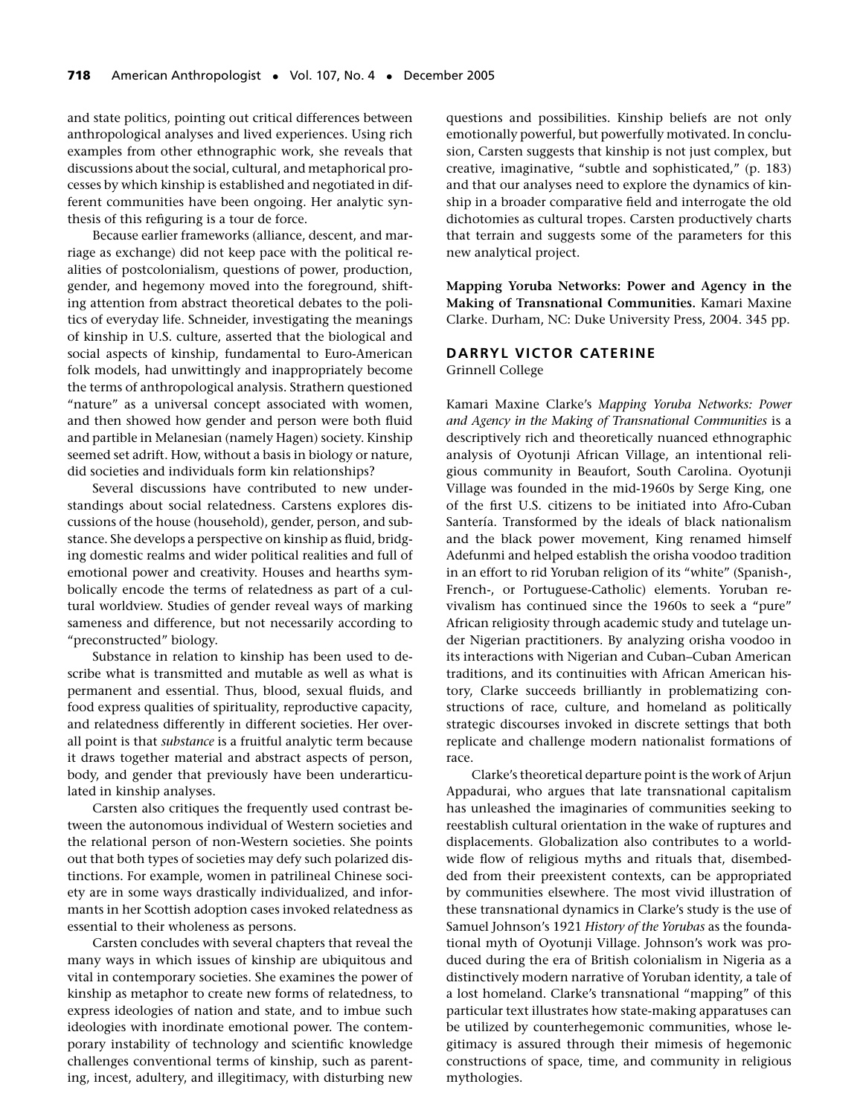and state politics, pointing out critical differences between anthropological analyses and lived experiences. Using rich examples from other ethnographic work, she reveals that discussions about the social, cultural, and metaphorical processes by which kinship is established and negotiated in different communities have been ongoing. Her analytic synthesis of this refiguring is a tour de force.

Because earlier frameworks (alliance, descent, and marriage as exchange) did not keep pace with the political realities of postcolonialism, questions of power, production, gender, and hegemony moved into the foreground, shifting attention from abstract theoretical debates to the politics of everyday life. Schneider, investigating the meanings of kinship in U.S. culture, asserted that the biological and social aspects of kinship, fundamental to Euro-American folk models, had unwittingly and inappropriately become the terms of anthropological analysis. Strathern questioned "nature" as a universal concept associated with women, and then showed how gender and person were both fluid and partible in Melanesian (namely Hagen) society. Kinship seemed set adrift. How, without a basis in biology or nature, did societies and individuals form kin relationships?

Several discussions have contributed to new understandings about social relatedness. Carstens explores discussions of the house (household), gender, person, and substance. She develops a perspective on kinship as fluid, bridging domestic realms and wider political realities and full of emotional power and creativity. Houses and hearths symbolically encode the terms of relatedness as part of a cultural worldview. Studies of gender reveal ways of marking sameness and difference, but not necessarily according to "preconstructed" biology.

Substance in relation to kinship has been used to describe what is transmitted and mutable as well as what is permanent and essential. Thus, blood, sexual fluids, and food express qualities of spirituality, reproductive capacity, and relatedness differently in different societies. Her overall point is that *substance* is a fruitful analytic term because it draws together material and abstract aspects of person, body, and gender that previously have been underarticulated in kinship analyses.

Carsten also critiques the frequently used contrast between the autonomous individual of Western societies and the relational person of non-Western societies. She points out that both types of societies may defy such polarized distinctions. For example, women in patrilineal Chinese society are in some ways drastically individualized, and informants in her Scottish adoption cases invoked relatedness as essential to their wholeness as persons.

Carsten concludes with several chapters that reveal the many ways in which issues of kinship are ubiquitous and vital in contemporary societies. She examines the power of kinship as metaphor to create new forms of relatedness, to express ideologies of nation and state, and to imbue such ideologies with inordinate emotional power. The contemporary instability of technology and scientific knowledge challenges conventional terms of kinship, such as parenting, incest, adultery, and illegitimacy, with disturbing new questions and possibilities. Kinship beliefs are not only emotionally powerful, but powerfully motivated. In conclusion, Carsten suggests that kinship is not just complex, but creative, imaginative, "subtle and sophisticated," (p. 183) and that our analyses need to explore the dynamics of kinship in a broader comparative field and interrogate the old dichotomies as cultural tropes. Carsten productively charts that terrain and suggests some of the parameters for this new analytical project.

**Mapping Yoruba Networks: Power and Agency in the Making of Transnational Communities.** Kamari Maxine Clarke. Durham, NC: Duke University Press, 2004. 345 pp.

# **DARRYL VICTOR CATERINE**

Grinnell College

Kamari Maxine Clarke's *Mapping Yoruba Networks: Power and Agency in the Making of Transnational Communities* is a descriptively rich and theoretically nuanced ethnographic analysis of Oyotunji African Village, an intentional religious community in Beaufort, South Carolina. Oyotunji Village was founded in the mid-1960s by Serge King, one of the first U.S. citizens to be initiated into Afro-Cuban Santería. Transformed by the ideals of black nationalism and the black power movement, King renamed himself Adefunmi and helped establish the orisha voodoo tradition in an effort to rid Yoruban religion of its "white" (Spanish-, French-, or Portuguese-Catholic) elements. Yoruban revivalism has continued since the 1960s to seek a "pure" African religiosity through academic study and tutelage under Nigerian practitioners. By analyzing orisha voodoo in its interactions with Nigerian and Cuban–Cuban American traditions, and its continuities with African American history, Clarke succeeds brilliantly in problematizing constructions of race, culture, and homeland as politically strategic discourses invoked in discrete settings that both replicate and challenge modern nationalist formations of race.

Clarke's theoretical departure point is the work of Arjun Appadurai, who argues that late transnational capitalism has unleashed the imaginaries of communities seeking to reestablish cultural orientation in the wake of ruptures and displacements. Globalization also contributes to a worldwide flow of religious myths and rituals that, disembedded from their preexistent contexts, can be appropriated by communities elsewhere. The most vivid illustration of these transnational dynamics in Clarke's study is the use of Samuel Johnson's 1921 *History of the Yorubas* as the foundational myth of Oyotunji Village. Johnson's work was produced during the era of British colonialism in Nigeria as a distinctively modern narrative of Yoruban identity, a tale of a lost homeland. Clarke's transnational "mapping" of this particular text illustrates how state-making apparatuses can be utilized by counterhegemonic communities, whose legitimacy is assured through their mimesis of hegemonic constructions of space, time, and community in religious mythologies.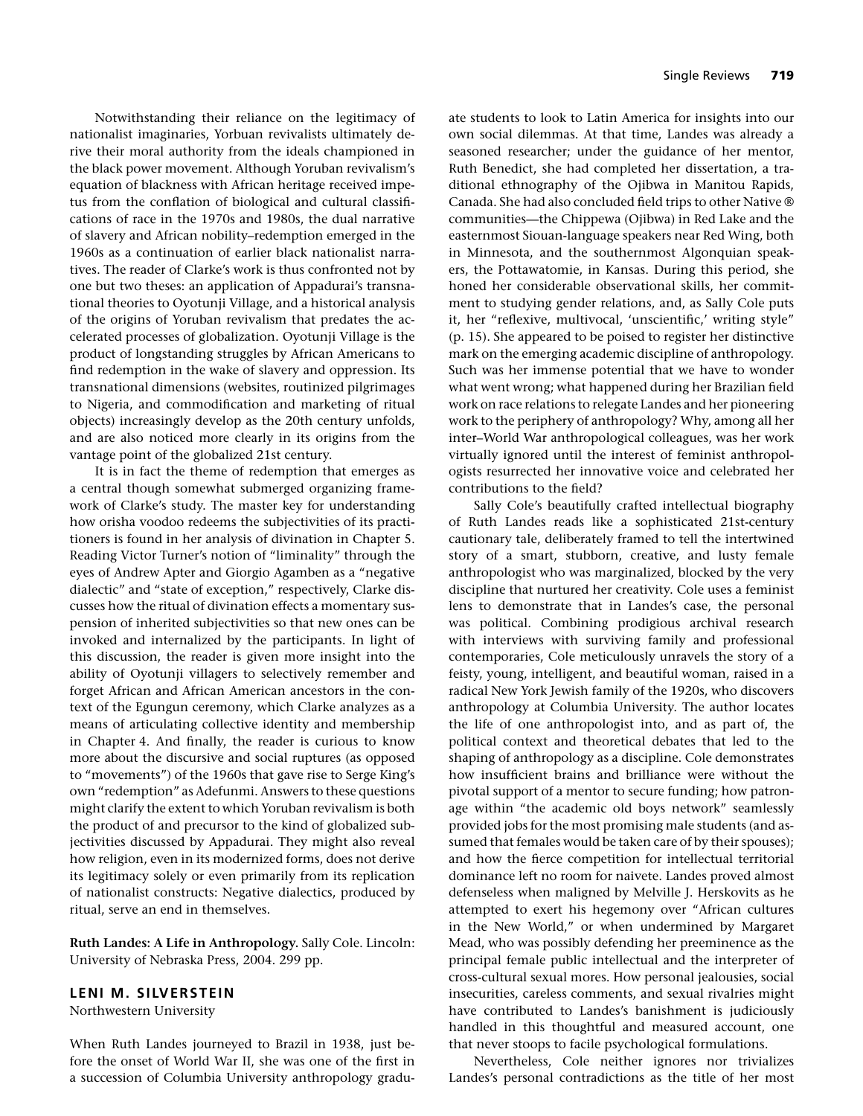Notwithstanding their reliance on the legitimacy of nationalist imaginaries, Yorbuan revivalists ultimately derive their moral authority from the ideals championed in the black power movement. Although Yoruban revivalism's equation of blackness with African heritage received impetus from the conflation of biological and cultural classifications of race in the 1970s and 1980s, the dual narrative of slavery and African nobility–redemption emerged in the 1960s as a continuation of earlier black nationalist narratives. The reader of Clarke's work is thus confronted not by one but two theses: an application of Appadurai's transnational theories to Oyotunji Village, and a historical analysis of the origins of Yoruban revivalism that predates the accelerated processes of globalization. Oyotunji Village is the product of longstanding struggles by African Americans to find redemption in the wake of slavery and oppression. Its transnational dimensions (websites, routinized pilgrimages to Nigeria, and commodification and marketing of ritual objects) increasingly develop as the 20th century unfolds, and are also noticed more clearly in its origins from the vantage point of the globalized 21st century.

It is in fact the theme of redemption that emerges as a central though somewhat submerged organizing framework of Clarke's study. The master key for understanding how orisha voodoo redeems the subjectivities of its practitioners is found in her analysis of divination in Chapter 5. Reading Victor Turner's notion of "liminality" through the eyes of Andrew Apter and Giorgio Agamben as a "negative dialectic" and "state of exception," respectively, Clarke discusses how the ritual of divination effects a momentary suspension of inherited subjectivities so that new ones can be invoked and internalized by the participants. In light of this discussion, the reader is given more insight into the ability of Oyotunji villagers to selectively remember and forget African and African American ancestors in the context of the Egungun ceremony, which Clarke analyzes as a means of articulating collective identity and membership in Chapter 4. And finally, the reader is curious to know more about the discursive and social ruptures (as opposed to "movements") of the 1960s that gave rise to Serge King's own "redemption" as Adefunmi. Answers to these questions might clarify the extent to which Yoruban revivalism is both the product of and precursor to the kind of globalized subjectivities discussed by Appadurai. They might also reveal how religion, even in its modernized forms, does not derive its legitimacy solely or even primarily from its replication of nationalist constructs: Negative dialectics, produced by ritual, serve an end in themselves.

**Ruth Landes: A Life in Anthropology.** Sally Cole. Lincoln: University of Nebraska Press, 2004. 299 pp.

# **LENI M. SILVERSTEIN**

Northwestern University

When Ruth Landes journeyed to Brazil in 1938, just before the onset of World War II, she was one of the first in a succession of Columbia University anthropology graduate students to look to Latin America for insights into our own social dilemmas. At that time, Landes was already a seasoned researcher; under the guidance of her mentor, Ruth Benedict, she had completed her dissertation, a traditional ethnography of the Ojibwa in Manitou Rapids, Canada. She had also concluded field trips to other Native ® communities—the Chippewa (Ojibwa) in Red Lake and the easternmost Siouan-language speakers near Red Wing, both in Minnesota, and the southernmost Algonquian speakers, the Pottawatomie, in Kansas. During this period, she honed her considerable observational skills, her commitment to studying gender relations, and, as Sally Cole puts it, her "reflexive, multivocal, 'unscientific,' writing style" (p. 15). She appeared to be poised to register her distinctive mark on the emerging academic discipline of anthropology. Such was her immense potential that we have to wonder what went wrong; what happened during her Brazilian field work on race relations to relegate Landes and her pioneering work to the periphery of anthropology? Why, among all her inter–World War anthropological colleagues, was her work virtually ignored until the interest of feminist anthropologists resurrected her innovative voice and celebrated her contributions to the field?

Sally Cole's beautifully crafted intellectual biography of Ruth Landes reads like a sophisticated 21st-century cautionary tale, deliberately framed to tell the intertwined story of a smart, stubborn, creative, and lusty female anthropologist who was marginalized, blocked by the very discipline that nurtured her creativity. Cole uses a feminist lens to demonstrate that in Landes's case, the personal was political. Combining prodigious archival research with interviews with surviving family and professional contemporaries, Cole meticulously unravels the story of a feisty, young, intelligent, and beautiful woman, raised in a radical New York Jewish family of the 1920s, who discovers anthropology at Columbia University. The author locates the life of one anthropologist into, and as part of, the political context and theoretical debates that led to the shaping of anthropology as a discipline. Cole demonstrates how insufficient brains and brilliance were without the pivotal support of a mentor to secure funding; how patronage within "the academic old boys network" seamlessly provided jobs for the most promising male students (and assumed that females would be taken care of by their spouses); and how the fierce competition for intellectual territorial dominance left no room for naivete. Landes proved almost defenseless when maligned by Melville J. Herskovits as he attempted to exert his hegemony over "African cultures in the New World," or when undermined by Margaret Mead, who was possibly defending her preeminence as the principal female public intellectual and the interpreter of cross-cultural sexual mores. How personal jealousies, social insecurities, careless comments, and sexual rivalries might have contributed to Landes's banishment is judiciously handled in this thoughtful and measured account, one that never stoops to facile psychological formulations.

Nevertheless, Cole neither ignores nor trivializes Landes's personal contradictions as the title of her most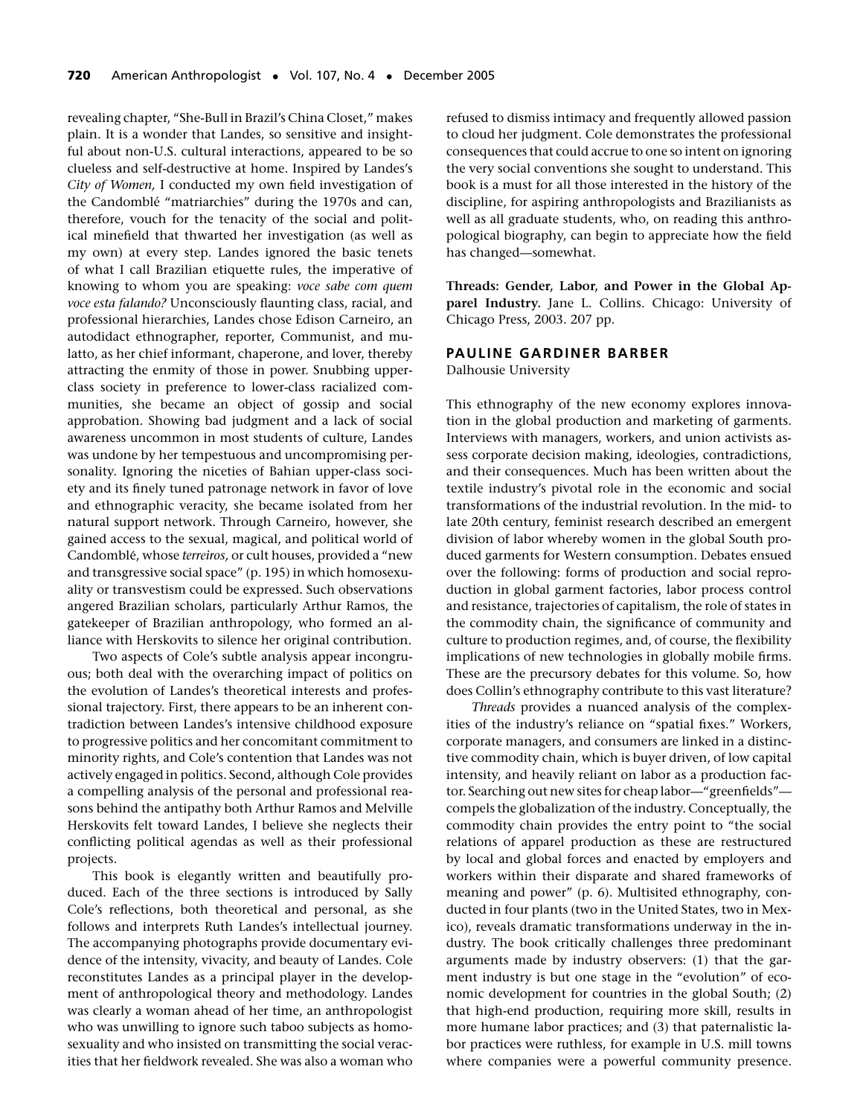revealing chapter, "She-Bull in Brazil's China Closet," makes plain. It is a wonder that Landes, so sensitive and insightful about non-U.S. cultural interactions, appeared to be so clueless and self-destructive at home. Inspired by Landes's *City of Women,* I conducted my own field investigation of the Candomblé "matriarchies" during the 1970s and can, therefore, vouch for the tenacity of the social and political minefield that thwarted her investigation (as well as my own) at every step. Landes ignored the basic tenets of what I call Brazilian etiquette rules, the imperative of knowing to whom you are speaking: *voce sabe com quem voce esta falando?* Unconsciously flaunting class, racial, and professional hierarchies, Landes chose Edison Carneiro, an autodidact ethnographer, reporter, Communist, and mulatto, as her chief informant, chaperone, and lover, thereby attracting the enmity of those in power. Snubbing upperclass society in preference to lower-class racialized communities, she became an object of gossip and social approbation. Showing bad judgment and a lack of social awareness uncommon in most students of culture, Landes was undone by her tempestuous and uncompromising personality. Ignoring the niceties of Bahian upper-class society and its finely tuned patronage network in favor of love and ethnographic veracity, she became isolated from her natural support network. Through Carneiro, however, she gained access to the sexual, magical, and political world of Candomblé, whose *terreiros*, or cult houses, provided a "new and transgressive social space" (p. 195) in which homosexuality or transvestism could be expressed. Such observations angered Brazilian scholars, particularly Arthur Ramos, the gatekeeper of Brazilian anthropology, who formed an alliance with Herskovits to silence her original contribution.

Two aspects of Cole's subtle analysis appear incongruous; both deal with the overarching impact of politics on the evolution of Landes's theoretical interests and professional trajectory. First, there appears to be an inherent contradiction between Landes's intensive childhood exposure to progressive politics and her concomitant commitment to minority rights, and Cole's contention that Landes was not actively engaged in politics. Second, although Cole provides a compelling analysis of the personal and professional reasons behind the antipathy both Arthur Ramos and Melville Herskovits felt toward Landes, I believe she neglects their conflicting political agendas as well as their professional projects.

This book is elegantly written and beautifully produced. Each of the three sections is introduced by Sally Cole's reflections, both theoretical and personal, as she follows and interprets Ruth Landes's intellectual journey. The accompanying photographs provide documentary evidence of the intensity, vivacity, and beauty of Landes. Cole reconstitutes Landes as a principal player in the development of anthropological theory and methodology. Landes was clearly a woman ahead of her time, an anthropologist who was unwilling to ignore such taboo subjects as homosexuality and who insisted on transmitting the social veracities that her fieldwork revealed. She was also a woman who

refused to dismiss intimacy and frequently allowed passion to cloud her judgment. Cole demonstrates the professional consequences that could accrue to one so intent on ignoring the very social conventions she sought to understand. This book is a must for all those interested in the history of the discipline, for aspiring anthropologists and Brazilianists as well as all graduate students, who, on reading this anthropological biography, can begin to appreciate how the field has changed—somewhat.

**Threads: Gender, Labor, and Power in the Global Apparel Industry.** Jane L. Collins. Chicago: University of Chicago Press, 2003. 207 pp.

## **PAULINE GARDINER BARBER** Dalhousie University

This ethnography of the new economy explores innovation in the global production and marketing of garments. Interviews with managers, workers, and union activists assess corporate decision making, ideologies, contradictions, and their consequences. Much has been written about the textile industry's pivotal role in the economic and social transformations of the industrial revolution. In the mid- to late 20th century, feminist research described an emergent division of labor whereby women in the global South produced garments for Western consumption. Debates ensued over the following: forms of production and social reproduction in global garment factories, labor process control and resistance, trajectories of capitalism, the role of states in the commodity chain, the significance of community and culture to production regimes, and, of course, the flexibility implications of new technologies in globally mobile firms. These are the precursory debates for this volume. So, how does Collin's ethnography contribute to this vast literature?

*Threads* provides a nuanced analysis of the complexities of the industry's reliance on "spatial fixes." Workers, corporate managers, and consumers are linked in a distinctive commodity chain, which is buyer driven, of low capital intensity, and heavily reliant on labor as a production factor. Searching out new sites for cheap labor—"greenfields" compels the globalization of the industry. Conceptually, the commodity chain provides the entry point to "the social relations of apparel production as these are restructured by local and global forces and enacted by employers and workers within their disparate and shared frameworks of meaning and power" (p. 6). Multisited ethnography, conducted in four plants (two in the United States, two in Mexico), reveals dramatic transformations underway in the industry. The book critically challenges three predominant arguments made by industry observers: (1) that the garment industry is but one stage in the "evolution" of economic development for countries in the global South; (2) that high-end production, requiring more skill, results in more humane labor practices; and (3) that paternalistic labor practices were ruthless, for example in U.S. mill towns where companies were a powerful community presence.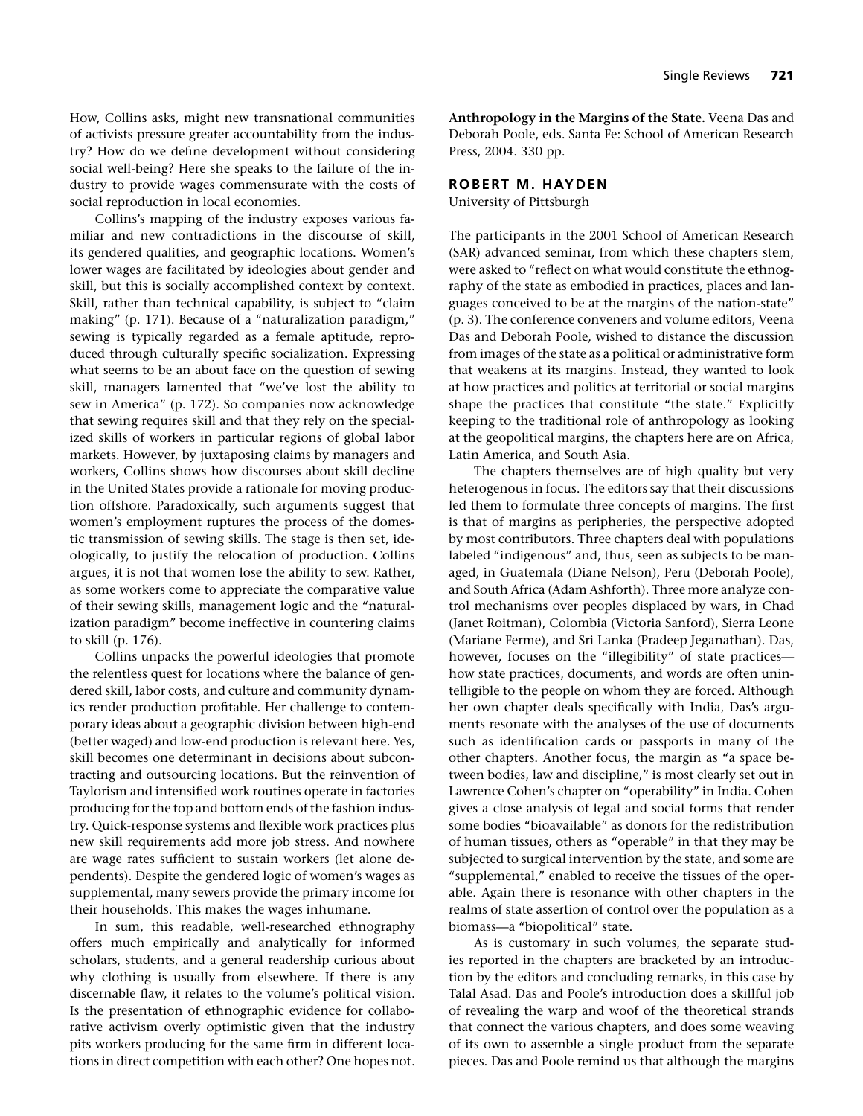How, Collins asks, might new transnational communities of activists pressure greater accountability from the industry? How do we define development without considering social well-being? Here she speaks to the failure of the industry to provide wages commensurate with the costs of social reproduction in local economies.

Collins's mapping of the industry exposes various familiar and new contradictions in the discourse of skill, its gendered qualities, and geographic locations. Women's lower wages are facilitated by ideologies about gender and skill, but this is socially accomplished context by context. Skill, rather than technical capability, is subject to "claim making" (p. 171). Because of a "naturalization paradigm," sewing is typically regarded as a female aptitude, reproduced through culturally specific socialization. Expressing what seems to be an about face on the question of sewing skill, managers lamented that "we've lost the ability to sew in America" (p. 172). So companies now acknowledge that sewing requires skill and that they rely on the specialized skills of workers in particular regions of global labor markets. However, by juxtaposing claims by managers and workers, Collins shows how discourses about skill decline in the United States provide a rationale for moving production offshore. Paradoxically, such arguments suggest that women's employment ruptures the process of the domestic transmission of sewing skills. The stage is then set, ideologically, to justify the relocation of production. Collins argues, it is not that women lose the ability to sew. Rather, as some workers come to appreciate the comparative value of their sewing skills, management logic and the "naturalization paradigm" become ineffective in countering claims to skill (p. 176).

Collins unpacks the powerful ideologies that promote the relentless quest for locations where the balance of gendered skill, labor costs, and culture and community dynamics render production profitable. Her challenge to contemporary ideas about a geographic division between high-end (better waged) and low-end production is relevant here. Yes, skill becomes one determinant in decisions about subcontracting and outsourcing locations. But the reinvention of Taylorism and intensified work routines operate in factories producing for the top and bottom ends of the fashion industry. Quick-response systems and flexible work practices plus new skill requirements add more job stress. And nowhere are wage rates sufficient to sustain workers (let alone dependents). Despite the gendered logic of women's wages as supplemental, many sewers provide the primary income for their households. This makes the wages inhumane.

In sum, this readable, well-researched ethnography offers much empirically and analytically for informed scholars, students, and a general readership curious about why clothing is usually from elsewhere. If there is any discernable flaw, it relates to the volume's political vision. Is the presentation of ethnographic evidence for collaborative activism overly optimistic given that the industry pits workers producing for the same firm in different locations in direct competition with each other? One hopes not.

**Anthropology in the Margins of the State.** Veena Das and Deborah Poole, eds. Santa Fe: School of American Research Press, 2004. 330 pp.

# **ROBERT M. HAYDEN** University of Pittsburgh

The participants in the 2001 School of American Research (SAR) advanced seminar, from which these chapters stem, were asked to "reflect on what would constitute the ethnography of the state as embodied in practices, places and languages conceived to be at the margins of the nation-state" (p. 3). The conference conveners and volume editors, Veena Das and Deborah Poole, wished to distance the discussion from images of the state as a political or administrative form that weakens at its margins. Instead, they wanted to look at how practices and politics at territorial or social margins shape the practices that constitute "the state." Explicitly keeping to the traditional role of anthropology as looking at the geopolitical margins, the chapters here are on Africa, Latin America, and South Asia.

The chapters themselves are of high quality but very heterogenous in focus. The editors say that their discussions led them to formulate three concepts of margins. The first is that of margins as peripheries, the perspective adopted by most contributors. Three chapters deal with populations labeled "indigenous" and, thus, seen as subjects to be managed, in Guatemala (Diane Nelson), Peru (Deborah Poole), and South Africa (Adam Ashforth). Three more analyze control mechanisms over peoples displaced by wars, in Chad (Janet Roitman), Colombia (Victoria Sanford), Sierra Leone (Mariane Ferme), and Sri Lanka (Pradeep Jeganathan). Das, however, focuses on the "illegibility" of state practices how state practices, documents, and words are often unintelligible to the people on whom they are forced. Although her own chapter deals specifically with India, Das's arguments resonate with the analyses of the use of documents such as identification cards or passports in many of the other chapters. Another focus, the margin as "a space between bodies, law and discipline," is most clearly set out in Lawrence Cohen's chapter on "operability" in India. Cohen gives a close analysis of legal and social forms that render some bodies "bioavailable" as donors for the redistribution of human tissues, others as "operable" in that they may be subjected to surgical intervention by the state, and some are "supplemental," enabled to receive the tissues of the operable. Again there is resonance with other chapters in the realms of state assertion of control over the population as a biomass—a "biopolitical" state.

As is customary in such volumes, the separate studies reported in the chapters are bracketed by an introduction by the editors and concluding remarks, in this case by Talal Asad. Das and Poole's introduction does a skillful job of revealing the warp and woof of the theoretical strands that connect the various chapters, and does some weaving of its own to assemble a single product from the separate pieces. Das and Poole remind us that although the margins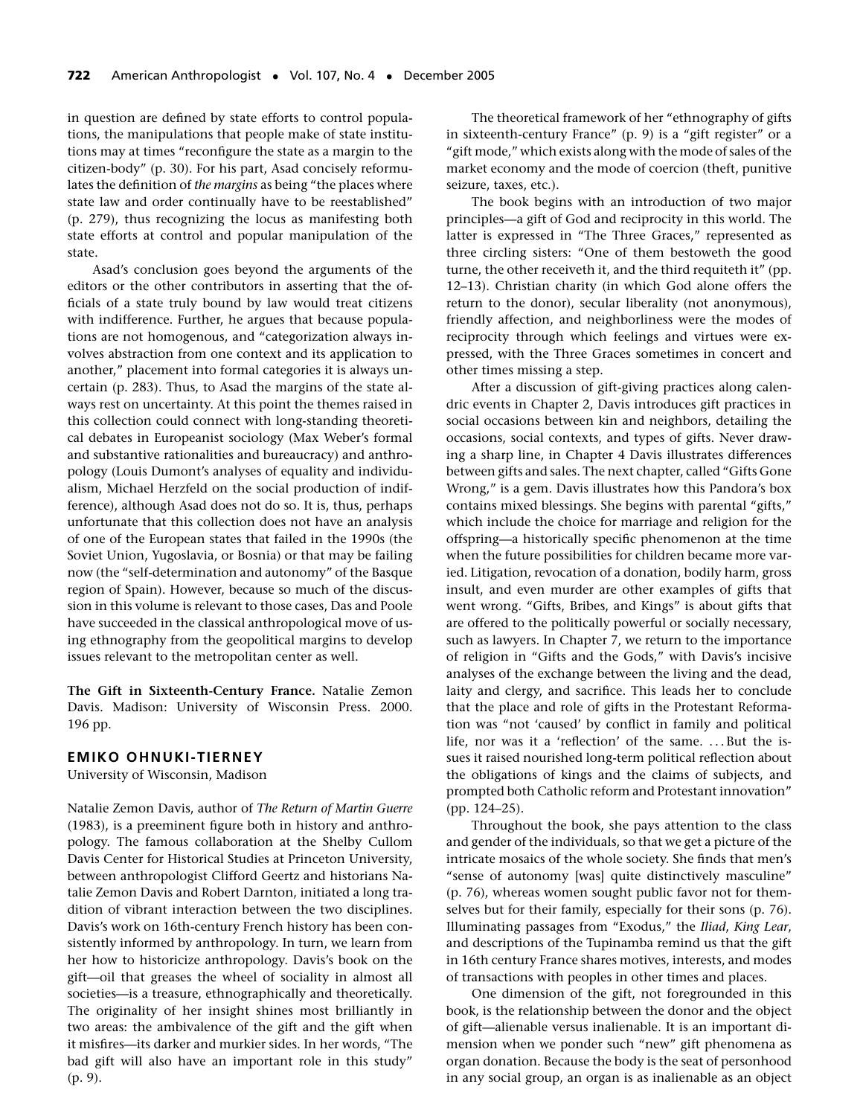in question are defined by state efforts to control populations, the manipulations that people make of state institutions may at times "reconfigure the state as a margin to the citizen-body" (p. 30). For his part, Asad concisely reformulates the definition of *the margins* as being "the places where state law and order continually have to be reestablished" (p. 279), thus recognizing the locus as manifesting both state efforts at control and popular manipulation of the state.

Asad's conclusion goes beyond the arguments of the editors or the other contributors in asserting that the officials of a state truly bound by law would treat citizens with indifference. Further, he argues that because populations are not homogenous, and "categorization always involves abstraction from one context and its application to another," placement into formal categories it is always uncertain (p. 283). Thus, to Asad the margins of the state always rest on uncertainty. At this point the themes raised in this collection could connect with long-standing theoretical debates in Europeanist sociology (Max Weber's formal and substantive rationalities and bureaucracy) and anthropology (Louis Dumont's analyses of equality and individualism, Michael Herzfeld on the social production of indifference), although Asad does not do so. It is, thus, perhaps unfortunate that this collection does not have an analysis of one of the European states that failed in the 1990s (the Soviet Union, Yugoslavia, or Bosnia) or that may be failing now (the "self-determination and autonomy" of the Basque region of Spain). However, because so much of the discussion in this volume is relevant to those cases, Das and Poole have succeeded in the classical anthropological move of using ethnography from the geopolitical margins to develop issues relevant to the metropolitan center as well.

**The Gift in Sixteenth-Century France.** Natalie Zemon Davis. Madison: University of Wisconsin Press. 2000. 196 pp.

## **EMIKO OHNUKI-TIERNEY**

University of Wisconsin, Madison

Natalie Zemon Davis, author of *The Return of Martin Guerre* (1983), is a preeminent figure both in history and anthropology. The famous collaboration at the Shelby Cullom Davis Center for Historical Studies at Princeton University, between anthropologist Clifford Geertz and historians Natalie Zemon Davis and Robert Darnton, initiated a long tradition of vibrant interaction between the two disciplines. Davis's work on 16th-century French history has been consistently informed by anthropology. In turn, we learn from her how to historicize anthropology. Davis's book on the gift—oil that greases the wheel of sociality in almost all societies—is a treasure, ethnographically and theoretically. The originality of her insight shines most brilliantly in two areas: the ambivalence of the gift and the gift when it misfires—its darker and murkier sides. In her words, "The bad gift will also have an important role in this study" (p. 9).

The theoretical framework of her "ethnography of gifts in sixteenth-century France" (p. 9) is a "gift register" or a "gift mode," which exists along with the mode of sales of the market economy and the mode of coercion (theft, punitive seizure, taxes, etc.).

The book begins with an introduction of two major principles—a gift of God and reciprocity in this world. The latter is expressed in "The Three Graces," represented as three circling sisters: "One of them bestoweth the good turne, the other receiveth it, and the third requiteth it" (pp. 12–13). Christian charity (in which God alone offers the return to the donor), secular liberality (not anonymous), friendly affection, and neighborliness were the modes of reciprocity through which feelings and virtues were expressed, with the Three Graces sometimes in concert and other times missing a step.

After a discussion of gift-giving practices along calendric events in Chapter 2, Davis introduces gift practices in social occasions between kin and neighbors, detailing the occasions, social contexts, and types of gifts. Never drawing a sharp line, in Chapter 4 Davis illustrates differences between gifts and sales. The next chapter, called "Gifts Gone Wrong," is a gem. Davis illustrates how this Pandora's box contains mixed blessings. She begins with parental "gifts," which include the choice for marriage and religion for the offspring—a historically specific phenomenon at the time when the future possibilities for children became more varied. Litigation, revocation of a donation, bodily harm, gross insult, and even murder are other examples of gifts that went wrong. "Gifts, Bribes, and Kings" is about gifts that are offered to the politically powerful or socially necessary, such as lawyers. In Chapter 7, we return to the importance of religion in "Gifts and the Gods," with Davis's incisive analyses of the exchange between the living and the dead, laity and clergy, and sacrifice. This leads her to conclude that the place and role of gifts in the Protestant Reformation was "not 'caused' by conflict in family and political life, nor was it a 'reflection' of the same. . . . But the issues it raised nourished long-term political reflection about the obligations of kings and the claims of subjects, and prompted both Catholic reform and Protestant innovation" (pp. 124–25).

Throughout the book, she pays attention to the class and gender of the individuals, so that we get a picture of the intricate mosaics of the whole society. She finds that men's "sense of autonomy [was] quite distinctively masculine" (p. 76), whereas women sought public favor not for themselves but for their family, especially for their sons (p. 76). Illuminating passages from "Exodus," the *Iliad*, *King Lear*, and descriptions of the Tupinamba remind us that the gift in 16th century France shares motives, interests, and modes of transactions with peoples in other times and places.

One dimension of the gift, not foregrounded in this book, is the relationship between the donor and the object of gift—alienable versus inalienable. It is an important dimension when we ponder such "new" gift phenomena as organ donation. Because the body is the seat of personhood in any social group, an organ is as inalienable as an object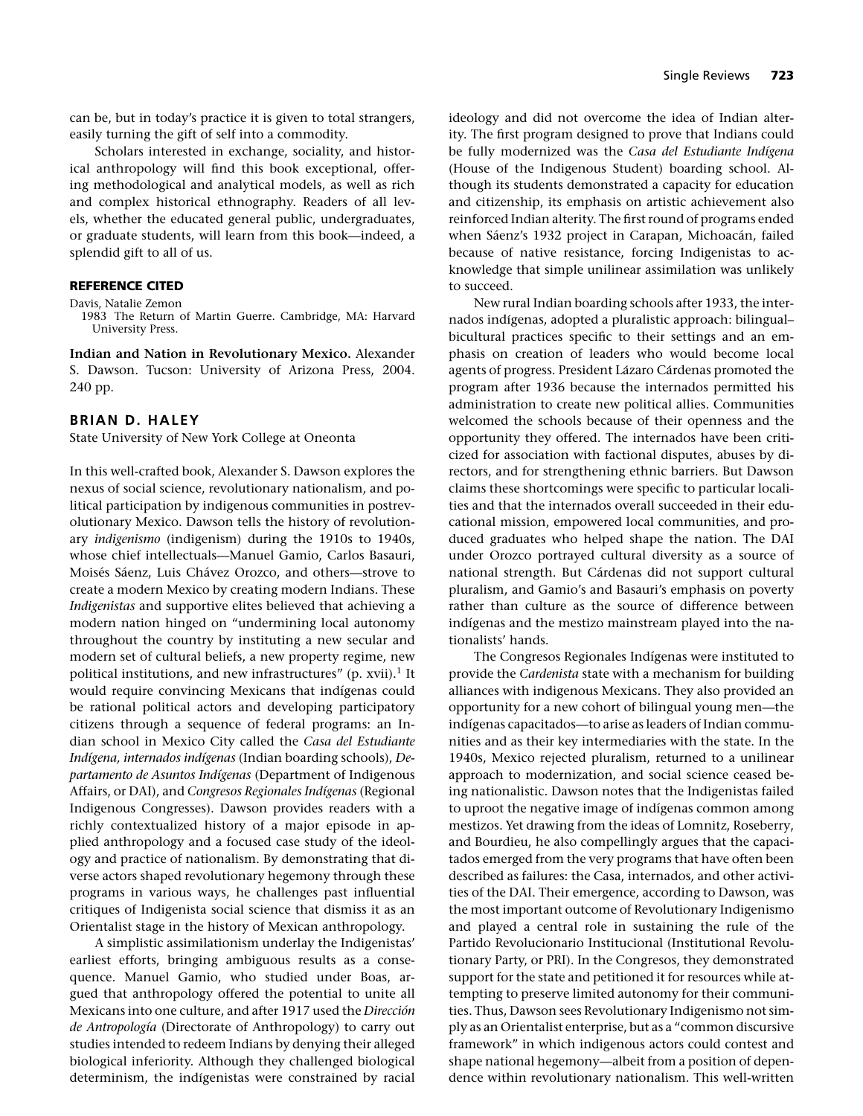can be, but in today's practice it is given to total strangers, easily turning the gift of self into a commodity.

Scholars interested in exchange, sociality, and historical anthropology will find this book exceptional, offering methodological and analytical models, as well as rich and complex historical ethnography. Readers of all levels, whether the educated general public, undergraduates, or graduate students, will learn from this book—indeed, a splendid gift to all of us.

# **REFERENCE CITED**

#### Davis, Natalie Zemon

1983 The Return of Martin Guerre. Cambridge, MA: Harvard University Press.

**Indian and Nation in Revolutionary Mexico.** Alexander S. Dawson. Tucson: University of Arizona Press, 2004. 240 pp.

# **BRIAN D. HALEY**

State University of New York College at Oneonta

In this well-crafted book, Alexander S. Dawson explores the nexus of social science, revolutionary nationalism, and political participation by indigenous communities in postrevolutionary Mexico. Dawson tells the history of revolutionary *indigenismo* (indigenism) during the 1910s to 1940s, whose chief intellectuals—Manuel Gamio, Carlos Basauri, Moisés Sáenz, Luis Chávez Orozco, and others-strove to create a modern Mexico by creating modern Indians. These *Indigenistas* and supportive elites believed that achieving a modern nation hinged on "undermining local autonomy throughout the country by instituting a new secular and modern set of cultural beliefs, a new property regime, new political institutions, and new infrastructures"  $(p. xvi)$ .<sup>1</sup> It would require convincing Mexicans that indígenas could be rational political actors and developing participatory citizens through a sequence of federal programs: an Indian school in Mexico City called the *Casa del Estudiante* Indígena, internados indígenas (Indian boarding schools), *Departamento de Asuntos Ind´ıgenas* (Department of Indigenous Affairs, or DAI), and *Congresos Regionales Ind´ıgenas* (Regional Indigenous Congresses). Dawson provides readers with a richly contextualized history of a major episode in applied anthropology and a focused case study of the ideology and practice of nationalism. By demonstrating that diverse actors shaped revolutionary hegemony through these programs in various ways, he challenges past influential critiques of Indigenista social science that dismiss it as an Orientalist stage in the history of Mexican anthropology.

A simplistic assimilationism underlay the Indigenistas' earliest efforts, bringing ambiguous results as a consequence. Manuel Gamio, who studied under Boas, argued that anthropology offered the potential to unite all Mexicans into one culture, and after 1917 used the *Dirección de Antropolog´ıa* (Directorate of Anthropology) to carry out studies intended to redeem Indians by denying their alleged biological inferiority. Although they challenged biological determinism, the indígenistas were constrained by racial ideology and did not overcome the idea of Indian alterity. The first program designed to prove that Indians could be fully modernized was the *Casa del Estudiante Ind´ıgena* (House of the Indigenous Student) boarding school. Although its students demonstrated a capacity for education and citizenship, its emphasis on artistic achievement also reinforced Indian alterity. The first round of programs ended when Sáenz's 1932 project in Carapan, Michoacán, failed because of native resistance, forcing Indigenistas to acknowledge that simple unilinear assimilation was unlikely to succeed.

New rural Indian boarding schools after 1933, the internados indígenas, adopted a pluralistic approach: bilingual– bicultural practices specific to their settings and an emphasis on creation of leaders who would become local agents of progress. President Lázaro Cárdenas promoted the program after 1936 because the internados permitted his administration to create new political allies. Communities welcomed the schools because of their openness and the opportunity they offered. The internados have been criticized for association with factional disputes, abuses by directors, and for strengthening ethnic barriers. But Dawson claims these shortcomings were specific to particular localities and that the internados overall succeeded in their educational mission, empowered local communities, and produced graduates who helped shape the nation. The DAI under Orozco portrayed cultural diversity as a source of national strength. But Cárdenas did not support cultural pluralism, and Gamio's and Basauri's emphasis on poverty rather than culture as the source of difference between indígenas and the mestizo mainstream played into the nationalists' hands.

The Congresos Regionales Indígenas were instituted to provide the *Cardenista* state with a mechanism for building alliances with indigenous Mexicans. They also provided an opportunity for a new cohort of bilingual young men—the indígenas capacitados—to arise as leaders of Indian communities and as their key intermediaries with the state. In the 1940s, Mexico rejected pluralism, returned to a unilinear approach to modernization, and social science ceased being nationalistic. Dawson notes that the Indigenistas failed to uproot the negative image of indígenas common among mestizos. Yet drawing from the ideas of Lomnitz, Roseberry, and Bourdieu, he also compellingly argues that the capacitados emerged from the very programs that have often been described as failures: the Casa, internados, and other activities of the DAI. Their emergence, according to Dawson, was the most important outcome of Revolutionary Indigenismo and played a central role in sustaining the rule of the Partido Revolucionario Institucional (Institutional Revolutionary Party, or PRI). In the Congresos, they demonstrated support for the state and petitioned it for resources while attempting to preserve limited autonomy for their communities. Thus, Dawson sees Revolutionary Indigenismo not simply as an Orientalist enterprise, but as a "common discursive framework" in which indigenous actors could contest and shape national hegemony—albeit from a position of dependence within revolutionary nationalism. This well-written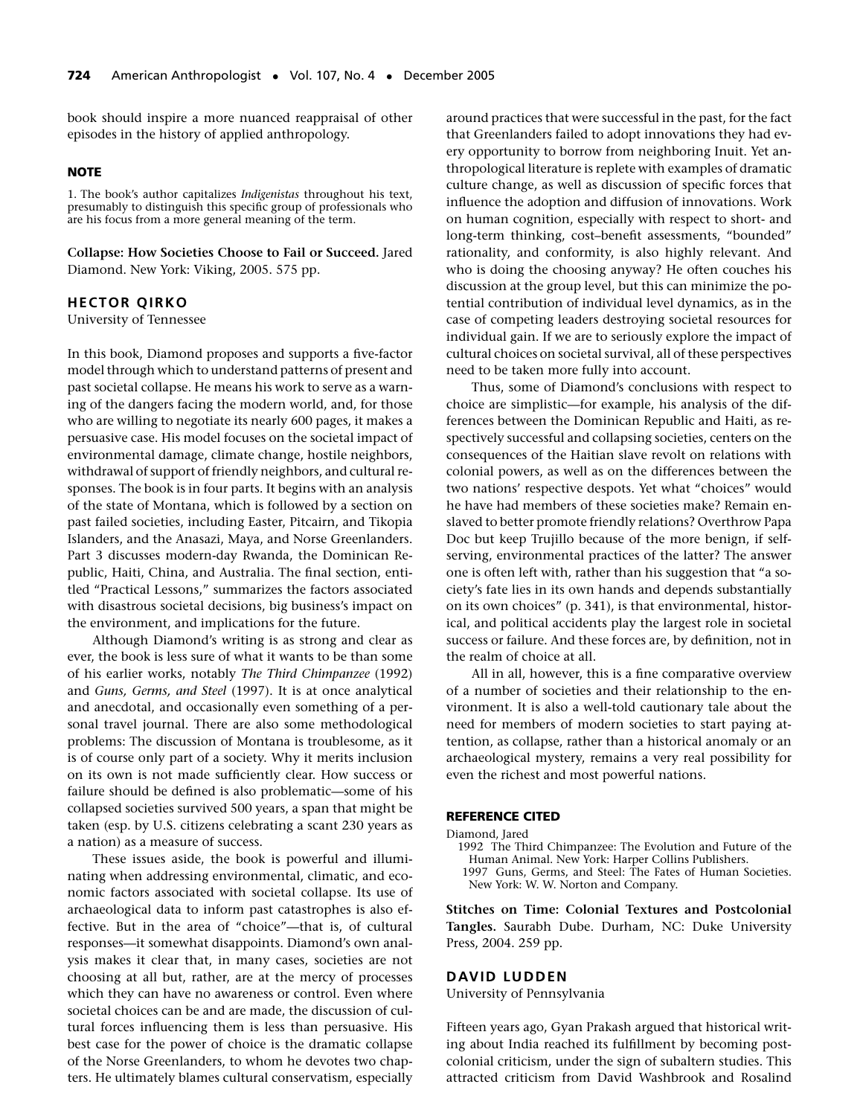book should inspire a more nuanced reappraisal of other episodes in the history of applied anthropology.

#### **NOTE**

1. The book's author capitalizes *Indigenistas* throughout his text, presumably to distinguish this specific group of professionals who are his focus from a more general meaning of the term.

**Collapse: How Societies Choose to Fail or Succeed.** Jared Diamond. New York: Viking, 2005. 575 pp.

#### **HECTOR QIRKO**

University of Tennessee

In this book, Diamond proposes and supports a five-factor model through which to understand patterns of present and past societal collapse. He means his work to serve as a warning of the dangers facing the modern world, and, for those who are willing to negotiate its nearly 600 pages, it makes a persuasive case. His model focuses on the societal impact of environmental damage, climate change, hostile neighbors, withdrawal of support of friendly neighbors, and cultural responses. The book is in four parts. It begins with an analysis of the state of Montana, which is followed by a section on past failed societies, including Easter, Pitcairn, and Tikopia Islanders, and the Anasazi, Maya, and Norse Greenlanders. Part 3 discusses modern-day Rwanda, the Dominican Republic, Haiti, China, and Australia. The final section, entitled "Practical Lessons," summarizes the factors associated with disastrous societal decisions, big business's impact on the environment, and implications for the future.

Although Diamond's writing is as strong and clear as ever, the book is less sure of what it wants to be than some of his earlier works, notably *The Third Chimpanzee* (1992) and *Guns, Germs, and Steel* (1997). It is at once analytical and anecdotal, and occasionally even something of a personal travel journal. There are also some methodological problems: The discussion of Montana is troublesome, as it is of course only part of a society. Why it merits inclusion on its own is not made sufficiently clear. How success or failure should be defined is also problematic—some of his collapsed societies survived 500 years, a span that might be taken (esp. by U.S. citizens celebrating a scant 230 years as a nation) as a measure of success.

These issues aside, the book is powerful and illuminating when addressing environmental, climatic, and economic factors associated with societal collapse. Its use of archaeological data to inform past catastrophes is also effective. But in the area of "choice"—that is, of cultural responses—it somewhat disappoints. Diamond's own analysis makes it clear that, in many cases, societies are not choosing at all but, rather, are at the mercy of processes which they can have no awareness or control. Even where societal choices can be and are made, the discussion of cultural forces influencing them is less than persuasive. His best case for the power of choice is the dramatic collapse of the Norse Greenlanders, to whom he devotes two chapters. He ultimately blames cultural conservatism, especially

around practices that were successful in the past, for the fact that Greenlanders failed to adopt innovations they had every opportunity to borrow from neighboring Inuit. Yet anthropological literature is replete with examples of dramatic culture change, as well as discussion of specific forces that influence the adoption and diffusion of innovations. Work on human cognition, especially with respect to short- and long-term thinking, cost–benefit assessments, "bounded" rationality, and conformity, is also highly relevant. And who is doing the choosing anyway? He often couches his discussion at the group level, but this can minimize the potential contribution of individual level dynamics, as in the case of competing leaders destroying societal resources for individual gain. If we are to seriously explore the impact of cultural choices on societal survival, all of these perspectives need to be taken more fully into account.

Thus, some of Diamond's conclusions with respect to choice are simplistic—for example, his analysis of the differences between the Dominican Republic and Haiti, as respectively successful and collapsing societies, centers on the consequences of the Haitian slave revolt on relations with colonial powers, as well as on the differences between the two nations' respective despots. Yet what "choices" would he have had members of these societies make? Remain enslaved to better promote friendly relations? Overthrow Papa Doc but keep Trujillo because of the more benign, if selfserving, environmental practices of the latter? The answer one is often left with, rather than his suggestion that "a society's fate lies in its own hands and depends substantially on its own choices" (p. 341), is that environmental, historical, and political accidents play the largest role in societal success or failure. And these forces are, by definition, not in the realm of choice at all.

All in all, however, this is a fine comparative overview of a number of societies and their relationship to the environment. It is also a well-told cautionary tale about the need for members of modern societies to start paying attention, as collapse, rather than a historical anomaly or an archaeological mystery, remains a very real possibility for even the richest and most powerful nations.

# **REFERENCE CITED**

Diamond, Jared

1992 The Third Chimpanzee: The Evolution and Future of the Human Animal. New York: Harper Collins Publishers. 1997 Guns, Germs, and Steel: The Fates of Human Societies. New York: W. W. Norton and Company.

**Stitches on Time: Colonial Textures and Postcolonial Tangles.** Saurabh Dube. Durham, NC: Duke University Press, 2004. 259 pp.

#### **DAVID LUDDEN**

University of Pennsylvania

Fifteen years ago, Gyan Prakash argued that historical writing about India reached its fulfillment by becoming postcolonial criticism, under the sign of subaltern studies. This attracted criticism from David Washbrook and Rosalind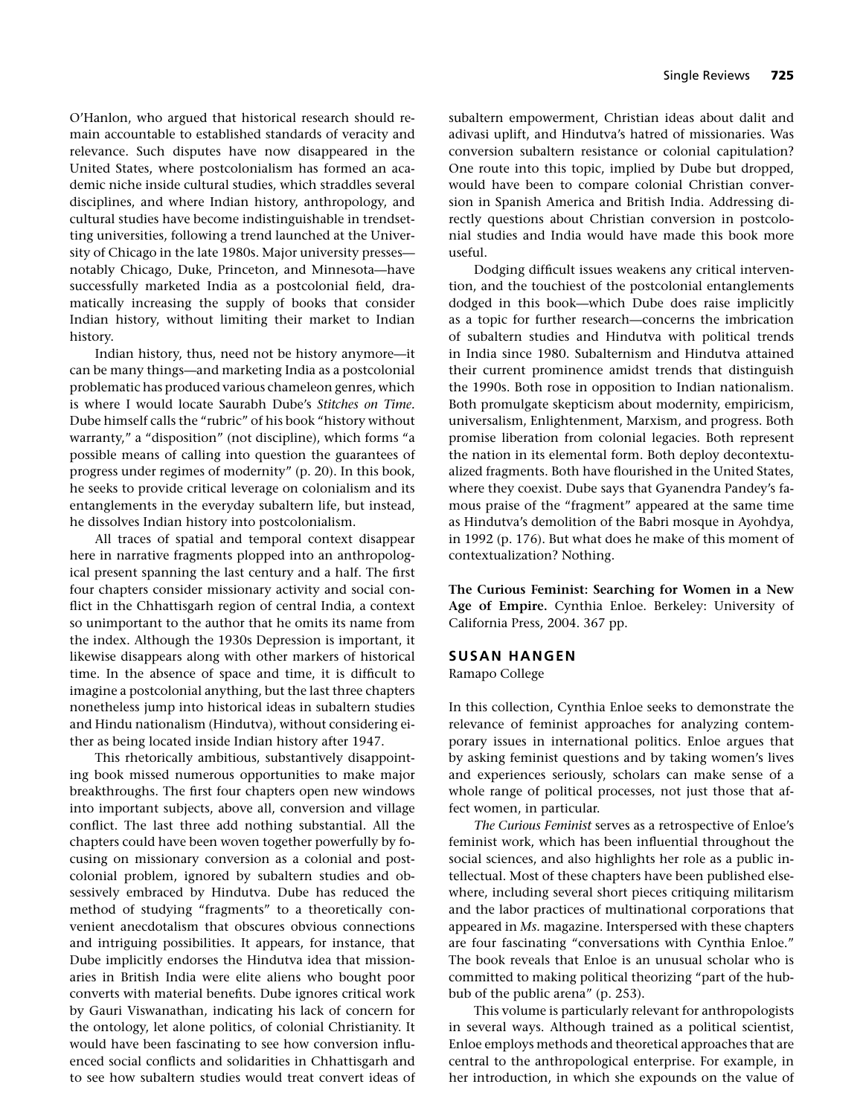O'Hanlon, who argued that historical research should remain accountable to established standards of veracity and relevance. Such disputes have now disappeared in the United States, where postcolonialism has formed an academic niche inside cultural studies, which straddles several disciplines, and where Indian history, anthropology, and cultural studies have become indistinguishable in trendsetting universities, following a trend launched at the University of Chicago in the late 1980s. Major university presses notably Chicago, Duke, Princeton, and Minnesota—have successfully marketed India as a postcolonial field, dramatically increasing the supply of books that consider Indian history, without limiting their market to Indian history.

Indian history, thus, need not be history anymore—it can be many things—and marketing India as a postcolonial problematic has produced various chameleon genres, which is where I would locate Saurabh Dube's *Stitches on Time.* Dube himself calls the "rubric" of his book "history without warranty," a "disposition" (not discipline), which forms "a possible means of calling into question the guarantees of progress under regimes of modernity" (p. 20). In this book, he seeks to provide critical leverage on colonialism and its entanglements in the everyday subaltern life, but instead, he dissolves Indian history into postcolonialism.

All traces of spatial and temporal context disappear here in narrative fragments plopped into an anthropological present spanning the last century and a half. The first four chapters consider missionary activity and social conflict in the Chhattisgarh region of central India, a context so unimportant to the author that he omits its name from the index. Although the 1930s Depression is important, it likewise disappears along with other markers of historical time. In the absence of space and time, it is difficult to imagine a postcolonial anything, but the last three chapters nonetheless jump into historical ideas in subaltern studies and Hindu nationalism (Hindutva), without considering either as being located inside Indian history after 1947.

This rhetorically ambitious, substantively disappointing book missed numerous opportunities to make major breakthroughs. The first four chapters open new windows into important subjects, above all, conversion and village conflict. The last three add nothing substantial. All the chapters could have been woven together powerfully by focusing on missionary conversion as a colonial and postcolonial problem, ignored by subaltern studies and obsessively embraced by Hindutva. Dube has reduced the method of studying "fragments" to a theoretically convenient anecdotalism that obscures obvious connections and intriguing possibilities. It appears, for instance, that Dube implicitly endorses the Hindutva idea that missionaries in British India were elite aliens who bought poor converts with material benefits. Dube ignores critical work by Gauri Viswanathan, indicating his lack of concern for the ontology, let alone politics, of colonial Christianity. It would have been fascinating to see how conversion influenced social conflicts and solidarities in Chhattisgarh and to see how subaltern studies would treat convert ideas of

subaltern empowerment, Christian ideas about dalit and adivasi uplift, and Hindutva's hatred of missionaries. Was conversion subaltern resistance or colonial capitulation? One route into this topic, implied by Dube but dropped, would have been to compare colonial Christian conversion in Spanish America and British India. Addressing directly questions about Christian conversion in postcolonial studies and India would have made this book more useful.

Dodging difficult issues weakens any critical intervention, and the touchiest of the postcolonial entanglements dodged in this book—which Dube does raise implicitly as a topic for further research—concerns the imbrication of subaltern studies and Hindutva with political trends in India since 1980. Subalternism and Hindutva attained their current prominence amidst trends that distinguish the 1990s. Both rose in opposition to Indian nationalism. Both promulgate skepticism about modernity, empiricism, universalism, Enlightenment, Marxism, and progress. Both promise liberation from colonial legacies. Both represent the nation in its elemental form. Both deploy decontextualized fragments. Both have flourished in the United States, where they coexist. Dube says that Gyanendra Pandey's famous praise of the "fragment" appeared at the same time as Hindutva's demolition of the Babri mosque in Ayohdya, in 1992 (p. 176). But what does he make of this moment of contextualization? Nothing.

**The Curious Feminist: Searching for Women in a New Age of Empire.** Cynthia Enloe. Berkeley: University of California Press, 2004. 367 pp.

# **SUSAN HANGEN**

Ramapo College

In this collection, Cynthia Enloe seeks to demonstrate the relevance of feminist approaches for analyzing contemporary issues in international politics. Enloe argues that by asking feminist questions and by taking women's lives and experiences seriously, scholars can make sense of a whole range of political processes, not just those that affect women, in particular.

*The Curious Feminist* serves as a retrospective of Enloe's feminist work, which has been influential throughout the social sciences, and also highlights her role as a public intellectual. Most of these chapters have been published elsewhere, including several short pieces critiquing militarism and the labor practices of multinational corporations that appeared in *Ms.* magazine. Interspersed with these chapters are four fascinating "conversations with Cynthia Enloe." The book reveals that Enloe is an unusual scholar who is committed to making political theorizing "part of the hubbub of the public arena" (p. 253).

This volume is particularly relevant for anthropologists in several ways. Although trained as a political scientist, Enloe employs methods and theoretical approaches that are central to the anthropological enterprise. For example, in her introduction, in which she expounds on the value of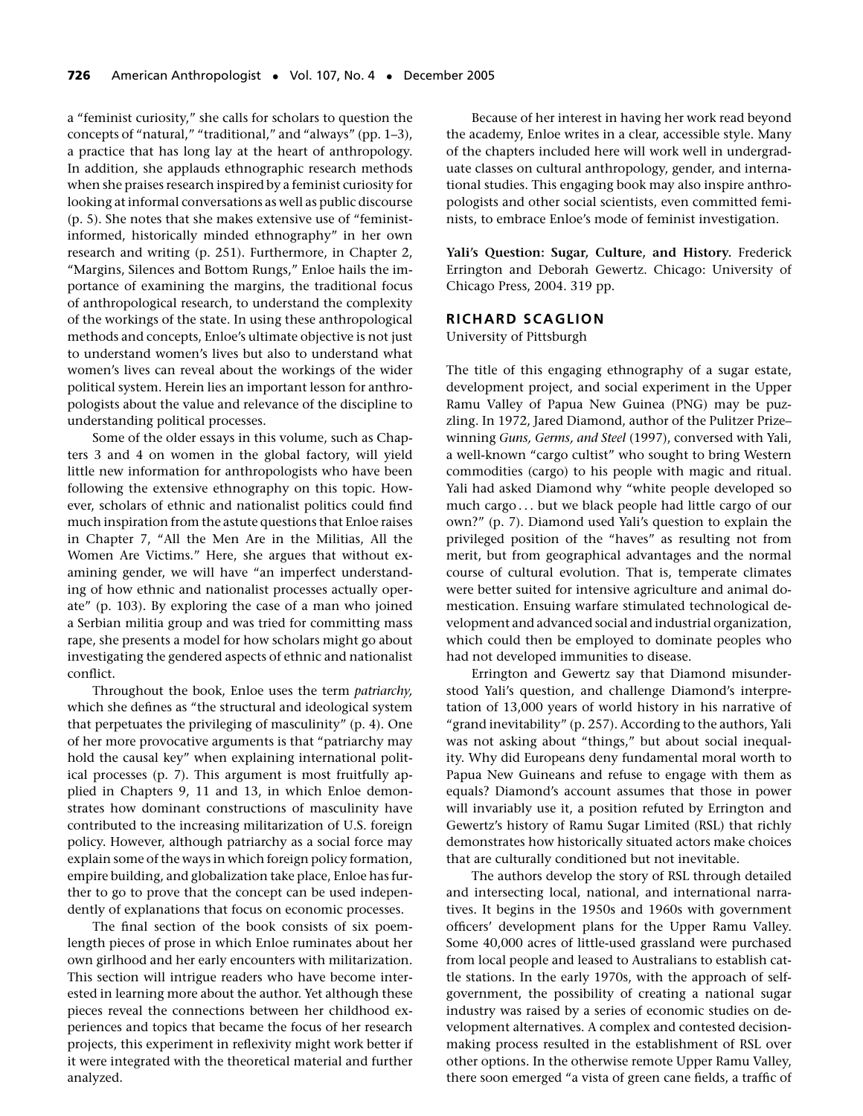a "feminist curiosity," she calls for scholars to question the concepts of "natural," "traditional," and "always" (pp. 1–3), a practice that has long lay at the heart of anthropology. In addition, she applauds ethnographic research methods when she praises research inspired by a feminist curiosity for looking at informal conversations as well as public discourse (p. 5). She notes that she makes extensive use of "feministinformed, historically minded ethnography" in her own research and writing (p. 251). Furthermore, in Chapter 2, "Margins, Silences and Bottom Rungs," Enloe hails the importance of examining the margins, the traditional focus of anthropological research, to understand the complexity of the workings of the state. In using these anthropological methods and concepts, Enloe's ultimate objective is not just to understand women's lives but also to understand what women's lives can reveal about the workings of the wider political system. Herein lies an important lesson for anthropologists about the value and relevance of the discipline to understanding political processes.

Some of the older essays in this volume, such as Chapters 3 and 4 on women in the global factory, will yield little new information for anthropologists who have been following the extensive ethnography on this topic. However, scholars of ethnic and nationalist politics could find much inspiration from the astute questions that Enloe raises in Chapter 7, "All the Men Are in the Militias, All the Women Are Victims." Here, she argues that without examining gender, we will have "an imperfect understanding of how ethnic and nationalist processes actually operate" (p. 103). By exploring the case of a man who joined a Serbian militia group and was tried for committing mass rape, she presents a model for how scholars might go about investigating the gendered aspects of ethnic and nationalist conflict.

Throughout the book, Enloe uses the term *patriarchy,* which she defines as "the structural and ideological system that perpetuates the privileging of masculinity" (p. 4). One of her more provocative arguments is that "patriarchy may hold the causal key" when explaining international political processes (p. 7). This argument is most fruitfully applied in Chapters 9, 11 and 13, in which Enloe demonstrates how dominant constructions of masculinity have contributed to the increasing militarization of U.S. foreign policy. However, although patriarchy as a social force may explain some of the ways in which foreign policy formation, empire building, and globalization take place, Enloe has further to go to prove that the concept can be used independently of explanations that focus on economic processes.

The final section of the book consists of six poemlength pieces of prose in which Enloe ruminates about her own girlhood and her early encounters with militarization. This section will intrigue readers who have become interested in learning more about the author. Yet although these pieces reveal the connections between her childhood experiences and topics that became the focus of her research projects, this experiment in reflexivity might work better if it were integrated with the theoretical material and further analyzed.

Because of her interest in having her work read beyond the academy, Enloe writes in a clear, accessible style. Many of the chapters included here will work well in undergraduate classes on cultural anthropology, gender, and international studies. This engaging book may also inspire anthropologists and other social scientists, even committed feminists, to embrace Enloe's mode of feminist investigation.

**Yali's Question: Sugar, Culture, and History.** Frederick Errington and Deborah Gewertz. Chicago: University of Chicago Press, 2004. 319 pp.

#### **RICHARD SCAGLION**

University of Pittsburgh

The title of this engaging ethnography of a sugar estate, development project, and social experiment in the Upper Ramu Valley of Papua New Guinea (PNG) may be puzzling. In 1972, Jared Diamond, author of the Pulitzer Prize– winning *Guns, Germs, and Steel* (1997), conversed with Yali, a well-known "cargo cultist" who sought to bring Western commodities (cargo) to his people with magic and ritual. Yali had asked Diamond why "white people developed so much cargo . . . but we black people had little cargo of our own?" (p. 7). Diamond used Yali's question to explain the privileged position of the "haves" as resulting not from merit, but from geographical advantages and the normal course of cultural evolution. That is, temperate climates were better suited for intensive agriculture and animal domestication. Ensuing warfare stimulated technological development and advanced social and industrial organization, which could then be employed to dominate peoples who had not developed immunities to disease.

Errington and Gewertz say that Diamond misunderstood Yali's question, and challenge Diamond's interpretation of 13,000 years of world history in his narrative of "grand inevitability" (p. 257). According to the authors, Yali was not asking about "things," but about social inequality. Why did Europeans deny fundamental moral worth to Papua New Guineans and refuse to engage with them as equals? Diamond's account assumes that those in power will invariably use it, a position refuted by Errington and Gewertz's history of Ramu Sugar Limited (RSL) that richly demonstrates how historically situated actors make choices that are culturally conditioned but not inevitable.

The authors develop the story of RSL through detailed and intersecting local, national, and international narratives. It begins in the 1950s and 1960s with government officers' development plans for the Upper Ramu Valley. Some 40,000 acres of little-used grassland were purchased from local people and leased to Australians to establish cattle stations. In the early 1970s, with the approach of selfgovernment, the possibility of creating a national sugar industry was raised by a series of economic studies on development alternatives. A complex and contested decisionmaking process resulted in the establishment of RSL over other options. In the otherwise remote Upper Ramu Valley, there soon emerged "a vista of green cane fields, a traffic of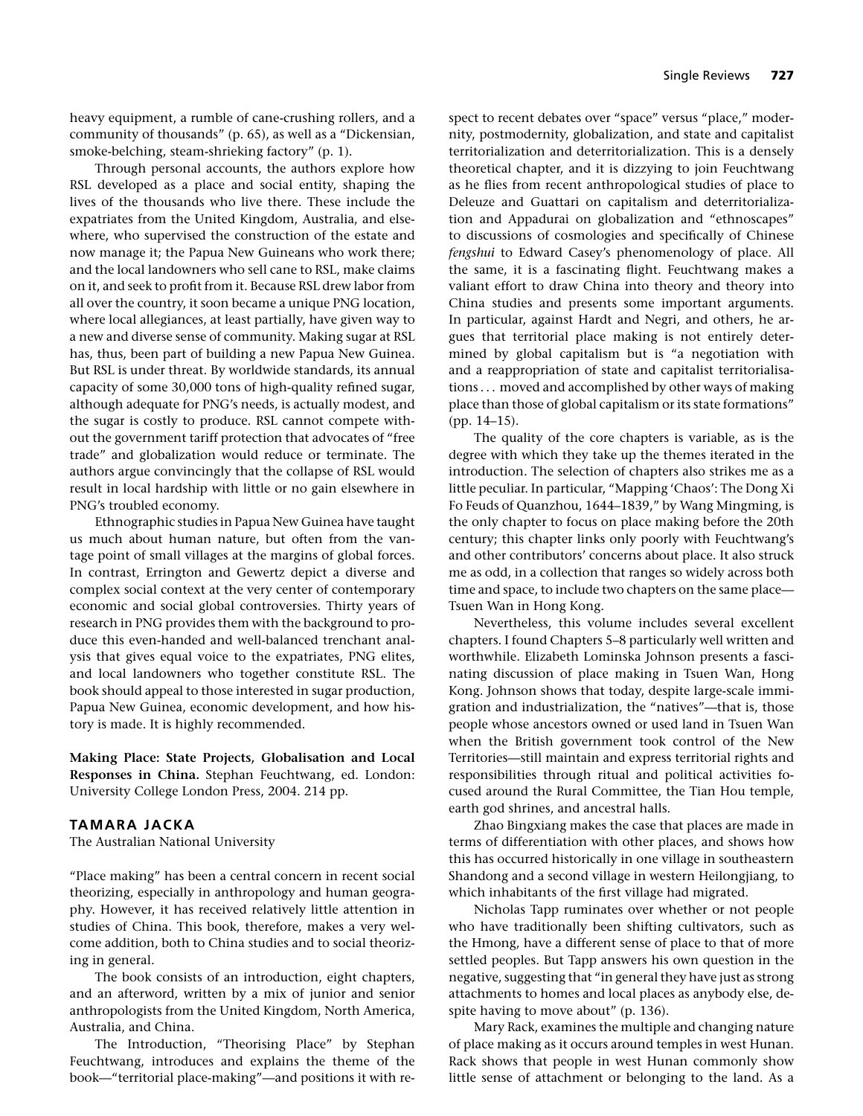heavy equipment, a rumble of cane-crushing rollers, and a community of thousands" (p. 65), as well as a "Dickensian, smoke-belching, steam-shrieking factory" (p. 1).

Through personal accounts, the authors explore how RSL developed as a place and social entity, shaping the lives of the thousands who live there. These include the expatriates from the United Kingdom, Australia, and elsewhere, who supervised the construction of the estate and now manage it; the Papua New Guineans who work there; and the local landowners who sell cane to RSL, make claims on it, and seek to profit from it. Because RSL drew labor from all over the country, it soon became a unique PNG location, where local allegiances, at least partially, have given way to a new and diverse sense of community. Making sugar at RSL has, thus, been part of building a new Papua New Guinea. But RSL is under threat. By worldwide standards, its annual capacity of some 30,000 tons of high-quality refined sugar, although adequate for PNG's needs, is actually modest, and the sugar is costly to produce. RSL cannot compete without the government tariff protection that advocates of "free trade" and globalization would reduce or terminate. The authors argue convincingly that the collapse of RSL would result in local hardship with little or no gain elsewhere in PNG's troubled economy.

Ethnographic studies in Papua New Guinea have taught us much about human nature, but often from the vantage point of small villages at the margins of global forces. In contrast, Errington and Gewertz depict a diverse and complex social context at the very center of contemporary economic and social global controversies. Thirty years of research in PNG provides them with the background to produce this even-handed and well-balanced trenchant analysis that gives equal voice to the expatriates, PNG elites, and local landowners who together constitute RSL. The book should appeal to those interested in sugar production, Papua New Guinea, economic development, and how history is made. It is highly recommended.

**Making Place: State Projects, Globalisation and Local Responses in China.** Stephan Feuchtwang, ed. London: University College London Press, 2004. 214 pp.

#### **TAMARA JACKA**

The Australian National University

"Place making" has been a central concern in recent social theorizing, especially in anthropology and human geography. However, it has received relatively little attention in studies of China. This book, therefore, makes a very welcome addition, both to China studies and to social theorizing in general.

The book consists of an introduction, eight chapters, and an afterword, written by a mix of junior and senior anthropologists from the United Kingdom, North America, Australia, and China.

The Introduction, "Theorising Place" by Stephan Feuchtwang, introduces and explains the theme of the book—"territorial place-making"—and positions it with respect to recent debates over "space" versus "place," modernity, postmodernity, globalization, and state and capitalist territorialization and deterritorialization. This is a densely theoretical chapter, and it is dizzying to join Feuchtwang as he flies from recent anthropological studies of place to Deleuze and Guattari on capitalism and deterritorialization and Appadurai on globalization and "ethnoscapes" to discussions of cosmologies and specifically of Chinese *fengshui* to Edward Casey's phenomenology of place. All the same, it is a fascinating flight. Feuchtwang makes a valiant effort to draw China into theory and theory into China studies and presents some important arguments. In particular, against Hardt and Negri, and others, he argues that territorial place making is not entirely determined by global capitalism but is "a negotiation with and a reappropriation of state and capitalist territorialisations... moved and accomplished by other ways of making place than those of global capitalism or its state formations" (pp. 14–15).

The quality of the core chapters is variable, as is the degree with which they take up the themes iterated in the introduction. The selection of chapters also strikes me as a little peculiar. In particular, "Mapping 'Chaos': The Dong Xi Fo Feuds of Quanzhou, 1644–1839," by Wang Mingming, is the only chapter to focus on place making before the 20th century; this chapter links only poorly with Feuchtwang's and other contributors' concerns about place. It also struck me as odd, in a collection that ranges so widely across both time and space, to include two chapters on the same place— Tsuen Wan in Hong Kong.

Nevertheless, this volume includes several excellent chapters. I found Chapters 5–8 particularly well written and worthwhile. Elizabeth Lominska Johnson presents a fascinating discussion of place making in Tsuen Wan, Hong Kong. Johnson shows that today, despite large-scale immigration and industrialization, the "natives"—that is, those people whose ancestors owned or used land in Tsuen Wan when the British government took control of the New Territories—still maintain and express territorial rights and responsibilities through ritual and political activities focused around the Rural Committee, the Tian Hou temple, earth god shrines, and ancestral halls.

Zhao Bingxiang makes the case that places are made in terms of differentiation with other places, and shows how this has occurred historically in one village in southeastern Shandong and a second village in western Heilongjiang, to which inhabitants of the first village had migrated.

Nicholas Tapp ruminates over whether or not people who have traditionally been shifting cultivators, such as the Hmong, have a different sense of place to that of more settled peoples. But Tapp answers his own question in the negative, suggesting that "in general they have just as strong attachments to homes and local places as anybody else, despite having to move about" (p. 136).

Mary Rack, examines the multiple and changing nature of place making as it occurs around temples in west Hunan. Rack shows that people in west Hunan commonly show little sense of attachment or belonging to the land. As a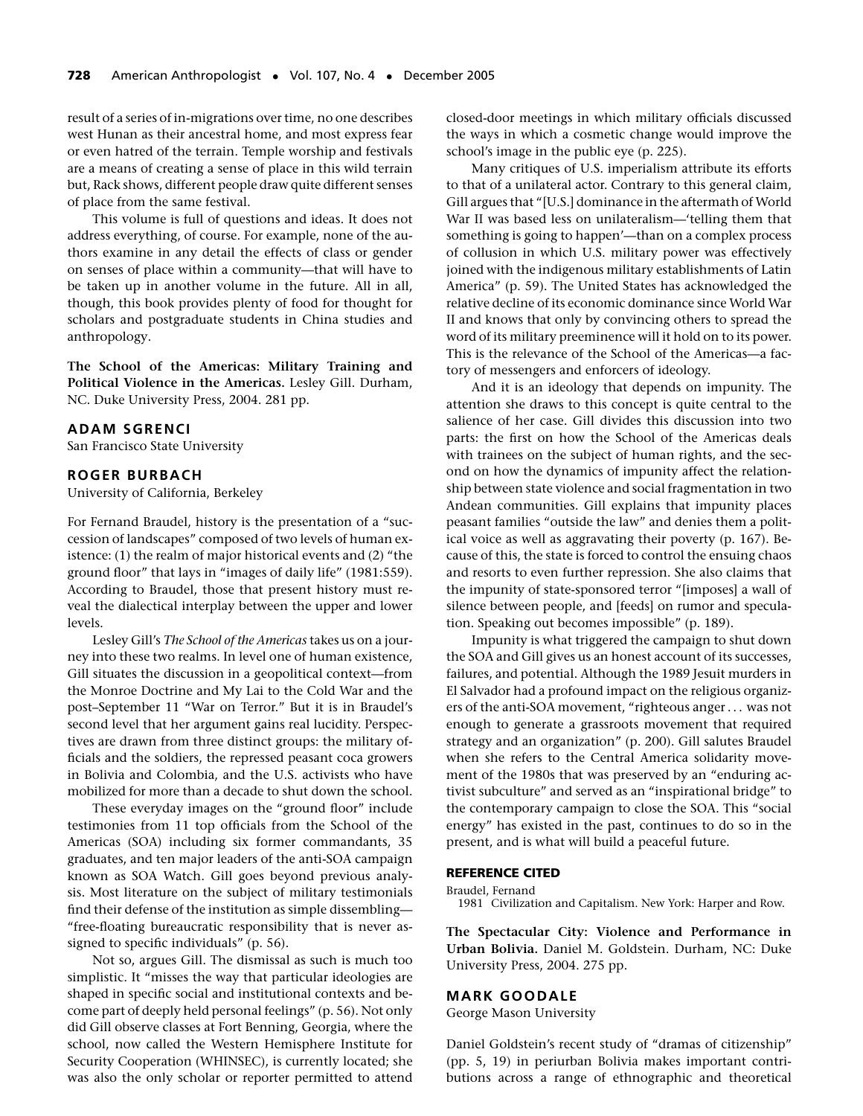result of a series of in-migrations over time, no one describes west Hunan as their ancestral home, and most express fear or even hatred of the terrain. Temple worship and festivals are a means of creating a sense of place in this wild terrain but, Rack shows, different people draw quite different senses of place from the same festival.

This volume is full of questions and ideas. It does not address everything, of course. For example, none of the authors examine in any detail the effects of class or gender on senses of place within a community—that will have to be taken up in another volume in the future. All in all, though, this book provides plenty of food for thought for scholars and postgraduate students in China studies and anthropology.

**The School of the Americas: Military Training and Political Violence in the Americas.** Lesley Gill. Durham, NC. Duke University Press, 2004. 281 pp.

### **ADAM SGRENCI**

San Francisco State University

#### **ROGER BURBACH**

University of California, Berkeley

For Fernand Braudel, history is the presentation of a "succession of landscapes" composed of two levels of human existence: (1) the realm of major historical events and (2) "the ground floor" that lays in "images of daily life" (1981:559). According to Braudel, those that present history must reveal the dialectical interplay between the upper and lower levels.

Lesley Gill's *The School of the Americas* takes us on a journey into these two realms. In level one of human existence, Gill situates the discussion in a geopolitical context—from the Monroe Doctrine and My Lai to the Cold War and the post–September 11 "War on Terror." But it is in Braudel's second level that her argument gains real lucidity. Perspectives are drawn from three distinct groups: the military officials and the soldiers, the repressed peasant coca growers in Bolivia and Colombia, and the U.S. activists who have mobilized for more than a decade to shut down the school.

These everyday images on the "ground floor" include testimonies from 11 top officials from the School of the Americas (SOA) including six former commandants, 35 graduates, and ten major leaders of the anti-SOA campaign known as SOA Watch. Gill goes beyond previous analysis. Most literature on the subject of military testimonials find their defense of the institution as simple dissembling— "free-floating bureaucratic responsibility that is never assigned to specific individuals" (p. 56).

Not so, argues Gill. The dismissal as such is much too simplistic. It "misses the way that particular ideologies are shaped in specific social and institutional contexts and become part of deeply held personal feelings" (p. 56). Not only did Gill observe classes at Fort Benning, Georgia, where the school, now called the Western Hemisphere Institute for Security Cooperation (WHINSEC), is currently located; she was also the only scholar or reporter permitted to attend

closed-door meetings in which military officials discussed the ways in which a cosmetic change would improve the school's image in the public eye (p. 225).

Many critiques of U.S. imperialism attribute its efforts to that of a unilateral actor. Contrary to this general claim, Gill argues that "[U.S.] dominance in the aftermath of World War II was based less on unilateralism—'telling them that something is going to happen'—than on a complex process of collusion in which U.S. military power was effectively joined with the indigenous military establishments of Latin America" (p. 59). The United States has acknowledged the relative decline of its economic dominance since World War II and knows that only by convincing others to spread the word of its military preeminence will it hold on to its power. This is the relevance of the School of the Americas—a factory of messengers and enforcers of ideology.

And it is an ideology that depends on impunity. The attention she draws to this concept is quite central to the salience of her case. Gill divides this discussion into two parts: the first on how the School of the Americas deals with trainees on the subject of human rights, and the second on how the dynamics of impunity affect the relationship between state violence and social fragmentation in two Andean communities. Gill explains that impunity places peasant families "outside the law" and denies them a political voice as well as aggravating their poverty (p. 167). Because of this, the state is forced to control the ensuing chaos and resorts to even further repression. She also claims that the impunity of state-sponsored terror "[imposes] a wall of silence between people, and [feeds] on rumor and speculation. Speaking out becomes impossible" (p. 189).

Impunity is what triggered the campaign to shut down the SOA and Gill gives us an honest account of its successes, failures, and potential. Although the 1989 Jesuit murders in El Salvador had a profound impact on the religious organizers of the anti-SOA movement, "righteous anger . . . was not enough to generate a grassroots movement that required strategy and an organization" (p. 200). Gill salutes Braudel when she refers to the Central America solidarity movement of the 1980s that was preserved by an "enduring activist subculture" and served as an "inspirational bridge" to the contemporary campaign to close the SOA. This "social energy" has existed in the past, continues to do so in the present, and is what will build a peaceful future.

#### **REFERENCE CITED**

#### Braudel, Fernand

1981 Civilization and Capitalism. New York: Harper and Row.

**The Spectacular City: Violence and Performance in Urban Bolivia.** Daniel M. Goldstein. Durham, NC: Duke University Press, 2004. 275 pp.

#### **MARK GOODALE**

George Mason University

Daniel Goldstein's recent study of "dramas of citizenship" (pp. 5, 19) in periurban Bolivia makes important contributions across a range of ethnographic and theoretical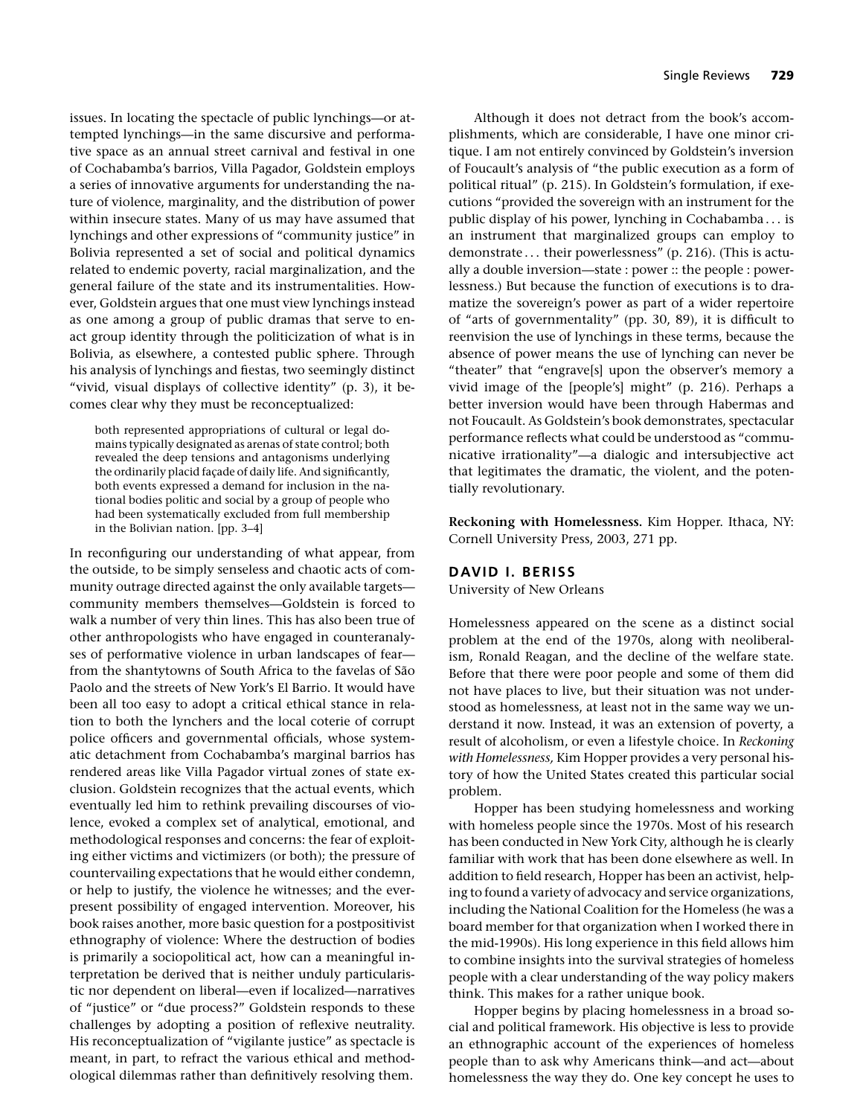issues. In locating the spectacle of public lynchings—or attempted lynchings—in the same discursive and performative space as an annual street carnival and festival in one of Cochabamba's barrios, Villa Pagador, Goldstein employs a series of innovative arguments for understanding the nature of violence, marginality, and the distribution of power within insecure states. Many of us may have assumed that lynchings and other expressions of "community justice" in Bolivia represented a set of social and political dynamics related to endemic poverty, racial marginalization, and the general failure of the state and its instrumentalities. However, Goldstein argues that one must view lynchings instead as one among a group of public dramas that serve to enact group identity through the politicization of what is in Bolivia, as elsewhere, a contested public sphere. Through his analysis of lynchings and fiestas, two seemingly distinct "vivid, visual displays of collective identity" (p. 3), it becomes clear why they must be reconceptualized:

both represented appropriations of cultural or legal domains typically designated as arenas of state control; both revealed the deep tensions and antagonisms underlying the ordinarily placid façade of daily life. And significantly, both events expressed a demand for inclusion in the national bodies politic and social by a group of people who had been systematically excluded from full membership in the Bolivian nation. [pp. 3–4]

In reconfiguring our understanding of what appear, from the outside, to be simply senseless and chaotic acts of community outrage directed against the only available targets community members themselves—Goldstein is forced to walk a number of very thin lines. This has also been true of other anthropologists who have engaged in counteranalyses of performative violence in urban landscapes of fear from the shantytowns of South Africa to the favelas of São Paolo and the streets of New York's El Barrio. It would have been all too easy to adopt a critical ethical stance in relation to both the lynchers and the local coterie of corrupt police officers and governmental officials, whose systematic detachment from Cochabamba's marginal barrios has rendered areas like Villa Pagador virtual zones of state exclusion. Goldstein recognizes that the actual events, which eventually led him to rethink prevailing discourses of violence, evoked a complex set of analytical, emotional, and methodological responses and concerns: the fear of exploiting either victims and victimizers (or both); the pressure of countervailing expectations that he would either condemn, or help to justify, the violence he witnesses; and the everpresent possibility of engaged intervention. Moreover, his book raises another, more basic question for a postpositivist ethnography of violence: Where the destruction of bodies is primarily a sociopolitical act, how can a meaningful interpretation be derived that is neither unduly particularistic nor dependent on liberal—even if localized—narratives of "justice" or "due process?" Goldstein responds to these challenges by adopting a position of reflexive neutrality. His reconceptualization of "vigilante justice" as spectacle is meant, in part, to refract the various ethical and methodological dilemmas rather than definitively resolving them.

Although it does not detract from the book's accomplishments, which are considerable, I have one minor critique. I am not entirely convinced by Goldstein's inversion of Foucault's analysis of "the public execution as a form of political ritual" (p. 215). In Goldstein's formulation, if executions "provided the sovereign with an instrument for the public display of his power, lynching in Cochabamba . . . is an instrument that marginalized groups can employ to demonstrate . . . their powerlessness" (p. 216). (This is actually a double inversion—state : power :: the people : powerlessness.) But because the function of executions is to dramatize the sovereign's power as part of a wider repertoire of "arts of governmentality" (pp. 30, 89), it is difficult to reenvision the use of lynchings in these terms, because the absence of power means the use of lynching can never be "theater" that "engrave[s] upon the observer's memory a vivid image of the [people's] might" (p. 216). Perhaps a better inversion would have been through Habermas and not Foucault. As Goldstein's book demonstrates, spectacular performance reflects what could be understood as "communicative irrationality"—a dialogic and intersubjective act that legitimates the dramatic, the violent, and the potentially revolutionary.

**Reckoning with Homelessness.** Kim Hopper. Ithaca, NY: Cornell University Press, 2003, 271 pp.

#### **DAVID I. BERISS**

University of New Orleans

Homelessness appeared on the scene as a distinct social problem at the end of the 1970s, along with neoliberalism, Ronald Reagan, and the decline of the welfare state. Before that there were poor people and some of them did not have places to live, but their situation was not understood as homelessness, at least not in the same way we understand it now. Instead, it was an extension of poverty, a result of alcoholism, or even a lifestyle choice. In *Reckoning with Homelessness,* Kim Hopper provides a very personal history of how the United States created this particular social problem.

Hopper has been studying homelessness and working with homeless people since the 1970s. Most of his research has been conducted in New York City, although he is clearly familiar with work that has been done elsewhere as well. In addition to field research, Hopper has been an activist, helping to found a variety of advocacy and service organizations, including the National Coalition for the Homeless (he was a board member for that organization when I worked there in the mid-1990s). His long experience in this field allows him to combine insights into the survival strategies of homeless people with a clear understanding of the way policy makers think. This makes for a rather unique book.

Hopper begins by placing homelessness in a broad social and political framework. His objective is less to provide an ethnographic account of the experiences of homeless people than to ask why Americans think—and act—about homelessness the way they do. One key concept he uses to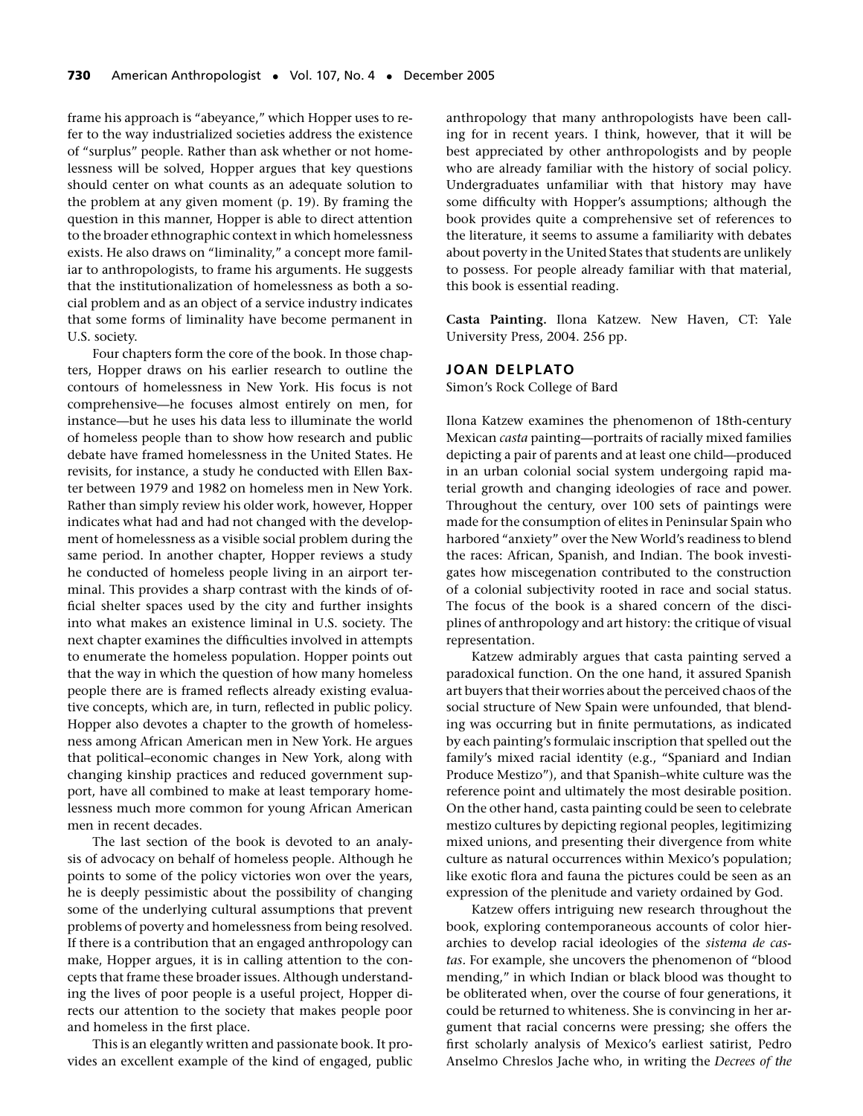frame his approach is "abeyance," which Hopper uses to refer to the way industrialized societies address the existence of "surplus" people. Rather than ask whether or not homelessness will be solved, Hopper argues that key questions should center on what counts as an adequate solution to the problem at any given moment (p. 19). By framing the question in this manner, Hopper is able to direct attention to the broader ethnographic context in which homelessness exists. He also draws on "liminality," a concept more familiar to anthropologists, to frame his arguments. He suggests that the institutionalization of homelessness as both a social problem and as an object of a service industry indicates that some forms of liminality have become permanent in U.S. society.

Four chapters form the core of the book. In those chapters, Hopper draws on his earlier research to outline the contours of homelessness in New York. His focus is not comprehensive—he focuses almost entirely on men, for instance—but he uses his data less to illuminate the world of homeless people than to show how research and public debate have framed homelessness in the United States. He revisits, for instance, a study he conducted with Ellen Baxter between 1979 and 1982 on homeless men in New York. Rather than simply review his older work, however, Hopper indicates what had and had not changed with the development of homelessness as a visible social problem during the same period. In another chapter, Hopper reviews a study he conducted of homeless people living in an airport terminal. This provides a sharp contrast with the kinds of official shelter spaces used by the city and further insights into what makes an existence liminal in U.S. society. The next chapter examines the difficulties involved in attempts to enumerate the homeless population. Hopper points out that the way in which the question of how many homeless people there are is framed reflects already existing evaluative concepts, which are, in turn, reflected in public policy. Hopper also devotes a chapter to the growth of homelessness among African American men in New York. He argues that political–economic changes in New York, along with changing kinship practices and reduced government support, have all combined to make at least temporary homelessness much more common for young African American men in recent decades.

The last section of the book is devoted to an analysis of advocacy on behalf of homeless people. Although he points to some of the policy victories won over the years, he is deeply pessimistic about the possibility of changing some of the underlying cultural assumptions that prevent problems of poverty and homelessness from being resolved. If there is a contribution that an engaged anthropology can make, Hopper argues, it is in calling attention to the concepts that frame these broader issues. Although understanding the lives of poor people is a useful project, Hopper directs our attention to the society that makes people poor and homeless in the first place.

This is an elegantly written and passionate book. It provides an excellent example of the kind of engaged, public anthropology that many anthropologists have been calling for in recent years. I think, however, that it will be best appreciated by other anthropologists and by people who are already familiar with the history of social policy. Undergraduates unfamiliar with that history may have some difficulty with Hopper's assumptions; although the book provides quite a comprehensive set of references to the literature, it seems to assume a familiarity with debates about poverty in the United States that students are unlikely to possess. For people already familiar with that material, this book is essential reading.

**Casta Painting.** Ilona Katzew. New Haven, CT: Yale University Press, 2004. 256 pp.

# **JOAN DELPLATO**

Simon's Rock College of Bard

Ilona Katzew examines the phenomenon of 18th-century Mexican *casta* painting—portraits of racially mixed families depicting a pair of parents and at least one child—produced in an urban colonial social system undergoing rapid material growth and changing ideologies of race and power. Throughout the century, over 100 sets of paintings were made for the consumption of elites in Peninsular Spain who harbored "anxiety" over the New World's readiness to blend the races: African, Spanish, and Indian. The book investigates how miscegenation contributed to the construction of a colonial subjectivity rooted in race and social status. The focus of the book is a shared concern of the disciplines of anthropology and art history: the critique of visual representation.

Katzew admirably argues that casta painting served a paradoxical function. On the one hand, it assured Spanish art buyers that their worries about the perceived chaos of the social structure of New Spain were unfounded, that blending was occurring but in finite permutations, as indicated by each painting's formulaic inscription that spelled out the family's mixed racial identity (e.g., "Spaniard and Indian Produce Mestizo"), and that Spanish–white culture was the reference point and ultimately the most desirable position. On the other hand, casta painting could be seen to celebrate mestizo cultures by depicting regional peoples, legitimizing mixed unions, and presenting their divergence from white culture as natural occurrences within Mexico's population; like exotic flora and fauna the pictures could be seen as an expression of the plenitude and variety ordained by God.

Katzew offers intriguing new research throughout the book, exploring contemporaneous accounts of color hierarchies to develop racial ideologies of the *sistema de castas.* For example, she uncovers the phenomenon of "blood mending," in which Indian or black blood was thought to be obliterated when, over the course of four generations, it could be returned to whiteness. She is convincing in her argument that racial concerns were pressing; she offers the first scholarly analysis of Mexico's earliest satirist, Pedro Anselmo Chreslos Jache who, in writing the *Decrees of the*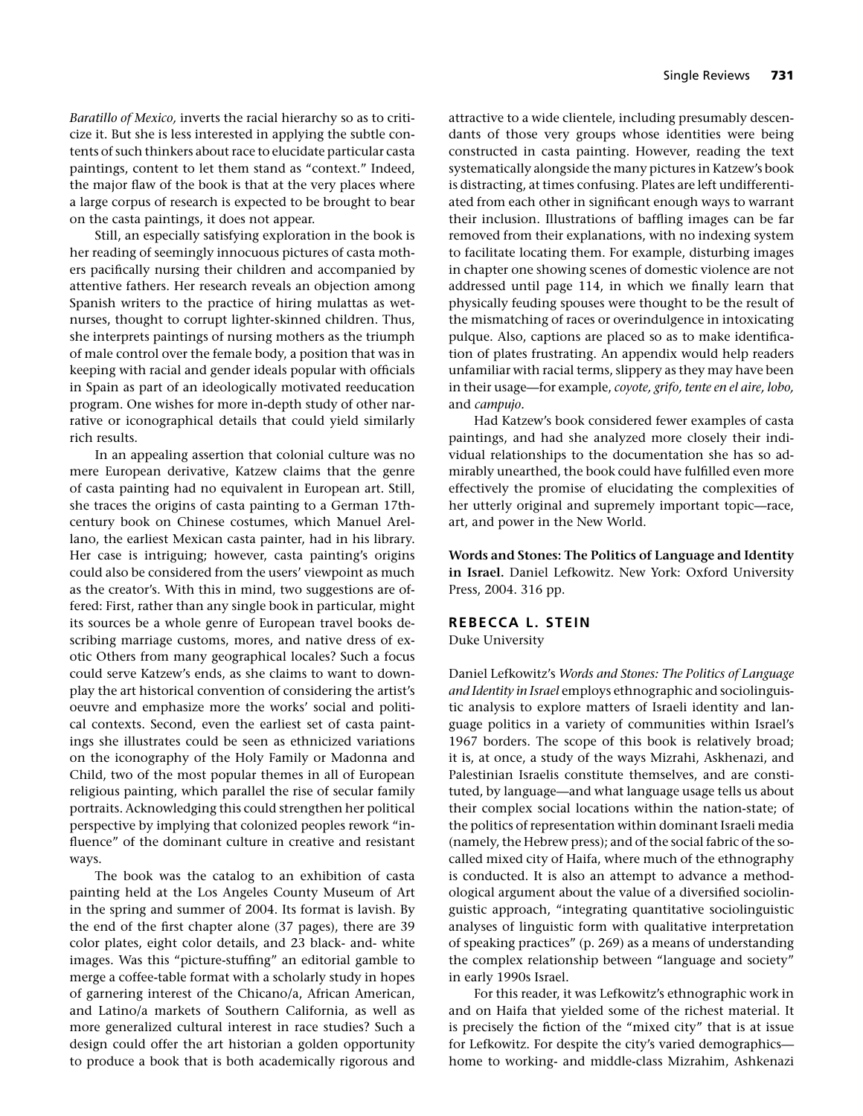*Baratillo of Mexico,* inverts the racial hierarchy so as to criticize it. But she is less interested in applying the subtle contents of such thinkers about race to elucidate particular casta paintings, content to let them stand as "context." Indeed, the major flaw of the book is that at the very places where a large corpus of research is expected to be brought to bear on the casta paintings, it does not appear.

Still, an especially satisfying exploration in the book is her reading of seemingly innocuous pictures of casta mothers pacifically nursing their children and accompanied by attentive fathers. Her research reveals an objection among Spanish writers to the practice of hiring mulattas as wetnurses, thought to corrupt lighter-skinned children. Thus, she interprets paintings of nursing mothers as the triumph of male control over the female body, a position that was in keeping with racial and gender ideals popular with officials in Spain as part of an ideologically motivated reeducation program. One wishes for more in-depth study of other narrative or iconographical details that could yield similarly rich results.

In an appealing assertion that colonial culture was no mere European derivative, Katzew claims that the genre of casta painting had no equivalent in European art. Still, she traces the origins of casta painting to a German 17thcentury book on Chinese costumes, which Manuel Arellano, the earliest Mexican casta painter, had in his library. Her case is intriguing; however, casta painting's origins could also be considered from the users' viewpoint as much as the creator's. With this in mind, two suggestions are offered: First, rather than any single book in particular, might its sources be a whole genre of European travel books describing marriage customs, mores, and native dress of exotic Others from many geographical locales? Such a focus could serve Katzew's ends, as she claims to want to downplay the art historical convention of considering the artist's oeuvre and emphasize more the works' social and political contexts. Second, even the earliest set of casta paintings she illustrates could be seen as ethnicized variations on the iconography of the Holy Family or Madonna and Child, two of the most popular themes in all of European religious painting, which parallel the rise of secular family portraits. Acknowledging this could strengthen her political perspective by implying that colonized peoples rework "influence" of the dominant culture in creative and resistant ways.

The book was the catalog to an exhibition of casta painting held at the Los Angeles County Museum of Art in the spring and summer of 2004. Its format is lavish. By the end of the first chapter alone (37 pages), there are 39 color plates, eight color details, and 23 black- and- white images. Was this "picture-stuffing" an editorial gamble to merge a coffee-table format with a scholarly study in hopes of garnering interest of the Chicano/a, African American, and Latino/a markets of Southern California, as well as more generalized cultural interest in race studies? Such a design could offer the art historian a golden opportunity to produce a book that is both academically rigorous and attractive to a wide clientele, including presumably descendants of those very groups whose identities were being constructed in casta painting. However, reading the text systematically alongside the many pictures in Katzew's book is distracting, at times confusing. Plates are left undifferentiated from each other in significant enough ways to warrant their inclusion. Illustrations of baffling images can be far removed from their explanations, with no indexing system to facilitate locating them. For example, disturbing images in chapter one showing scenes of domestic violence are not addressed until page 114, in which we finally learn that physically feuding spouses were thought to be the result of the mismatching of races or overindulgence in intoxicating pulque. Also, captions are placed so as to make identification of plates frustrating. An appendix would help readers unfamiliar with racial terms, slippery as they may have been in their usage—for example, *coyote, grifo, tente en el aire, lobo,* and *campujo.*

Had Katzew's book considered fewer examples of casta paintings, and had she analyzed more closely their individual relationships to the documentation she has so admirably unearthed, the book could have fulfilled even more effectively the promise of elucidating the complexities of her utterly original and supremely important topic—race, art, and power in the New World.

**Words and Stones: The Politics of Language and Identity in Israel.** Daniel Lefkowitz. New York: Oxford University Press, 2004. 316 pp.

# **REBECCA L. STEIN**

Duke University

Daniel Lefkowitz's *Words and Stones: The Politics of Language and Identity in Israel* employs ethnographic and sociolinguistic analysis to explore matters of Israeli identity and language politics in a variety of communities within Israel's 1967 borders. The scope of this book is relatively broad; it is, at once, a study of the ways Mizrahi, Askhenazi, and Palestinian Israelis constitute themselves, and are constituted, by language—and what language usage tells us about their complex social locations within the nation-state; of the politics of representation within dominant Israeli media (namely, the Hebrew press); and of the social fabric of the socalled mixed city of Haifa, where much of the ethnography is conducted. It is also an attempt to advance a methodological argument about the value of a diversified sociolinguistic approach, "integrating quantitative sociolinguistic analyses of linguistic form with qualitative interpretation of speaking practices" (p. 269) as a means of understanding the complex relationship between "language and society" in early 1990s Israel.

For this reader, it was Lefkowitz's ethnographic work in and on Haifa that yielded some of the richest material. It is precisely the fiction of the "mixed city" that is at issue for Lefkowitz. For despite the city's varied demographics home to working- and middle-class Mizrahim, Ashkenazi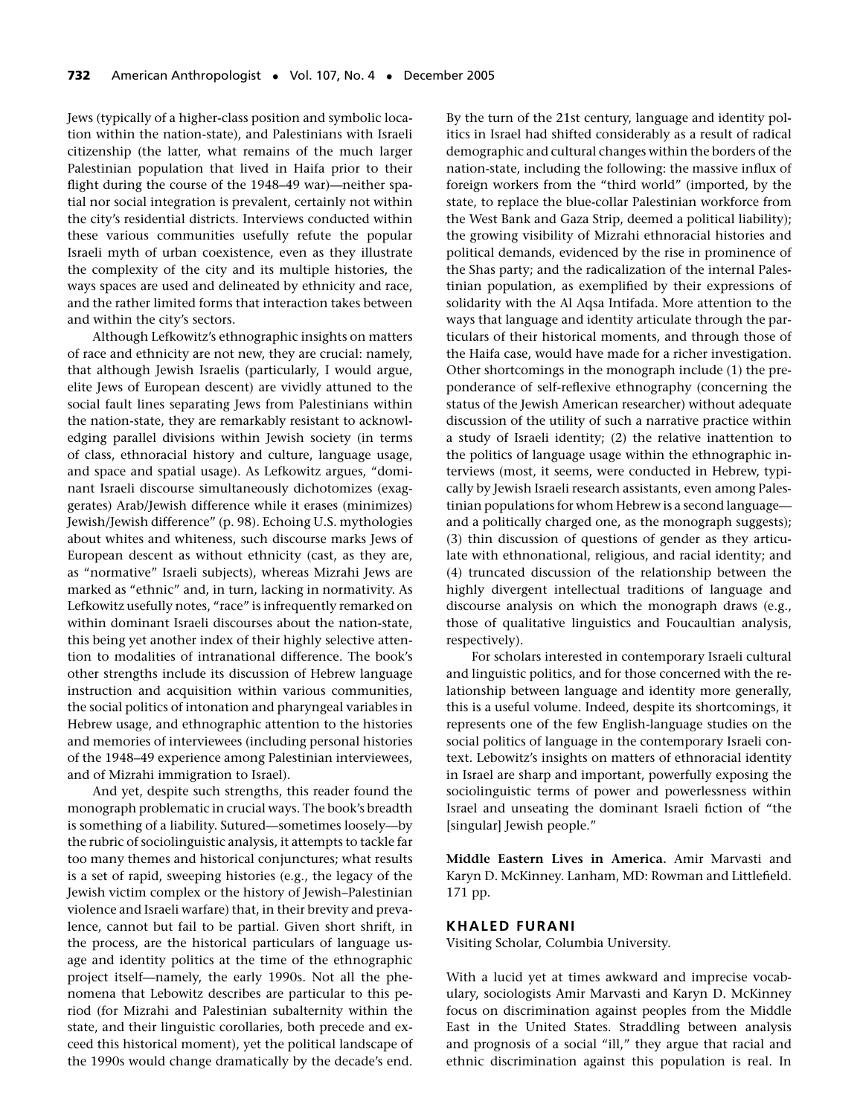Jews (typically of a higher-class position and symbolic location within the nation-state), and Palestinians with Israeli citizenship (the latter, what remains of the much larger Palestinian population that lived in Haifa prior to their flight during the course of the 1948–49 war)—neither spatial nor social integration is prevalent, certainly not within the city's residential districts. Interviews conducted within these various communities usefully refute the popular Israeli myth of urban coexistence, even as they illustrate the complexity of the city and its multiple histories, the ways spaces are used and delineated by ethnicity and race, and the rather limited forms that interaction takes between and within the city's sectors.

Although Lefkowitz's ethnographic insights on matters of race and ethnicity are not new, they are crucial: namely, that although Jewish Israelis (particularly, I would argue, elite Jews of European descent) are vividly attuned to the social fault lines separating Jews from Palestinians within the nation-state, they are remarkably resistant to acknowledging parallel divisions within Jewish society (in terms of class, ethnoracial history and culture, language usage, and space and spatial usage). As Lefkowitz argues, "dominant Israeli discourse simultaneously dichotomizes (exaggerates) Arab/Jewish difference while it erases (minimizes) Jewish/Jewish difference" (p. 98). Echoing U.S. mythologies about whites and whiteness, such discourse marks Jews of European descent as without ethnicity (cast, as they are, as "normative" Israeli subjects), whereas Mizrahi Jews are marked as "ethnic" and, in turn, lacking in normativity. As Lefkowitz usefully notes, "race" is infrequently remarked on within dominant Israeli discourses about the nation-state, this being yet another index of their highly selective attention to modalities of intranational difference. The book's other strengths include its discussion of Hebrew language instruction and acquisition within various communities, the social politics of intonation and pharyngeal variables in Hebrew usage, and ethnographic attention to the histories and memories of interviewees (including personal histories of the 1948–49 experience among Palestinian interviewees, and of Mizrahi immigration to Israel).

And yet, despite such strengths, this reader found the monograph problematic in crucial ways. The book's breadth is something of a liability. Sutured—sometimes loosely—by the rubric of sociolinguistic analysis, it attempts to tackle far too many themes and historical conjunctures; what results is a set of rapid, sweeping histories (e.g., the legacy of the Jewish victim complex or the history of Jewish–Palestinian violence and Israeli warfare) that, in their brevity and prevalence, cannot but fail to be partial. Given short shrift, in the process, are the historical particulars of language usage and identity politics at the time of the ethnographic project itself—namely, the early 1990s. Not all the phenomena that Lebowitz describes are particular to this period (for Mizrahi and Palestinian subalternity within the state, and their linguistic corollaries, both precede and exceed this historical moment), yet the political landscape of the 1990s would change dramatically by the decade's end. By the turn of the 21st century, language and identity politics in Israel had shifted considerably as a result of radical demographic and cultural changes within the borders of the nation-state, including the following: the massive influx of foreign workers from the "third world" (imported, by the state, to replace the blue-collar Palestinian workforce from the West Bank and Gaza Strip, deemed a political liability); the growing visibility of Mizrahi ethnoracial histories and political demands, evidenced by the rise in prominence of the Shas party; and the radicalization of the internal Palestinian population, as exemplified by their expressions of solidarity with the Al Aqsa Intifada. More attention to the ways that language and identity articulate through the particulars of their historical moments, and through those of the Haifa case, would have made for a richer investigation. Other shortcomings in the monograph include (1) the preponderance of self-reflexive ethnography (concerning the status of the Jewish American researcher) without adequate discussion of the utility of such a narrative practice within a study of Israeli identity; (2) the relative inattention to the politics of language usage within the ethnographic interviews (most, it seems, were conducted in Hebrew, typically by Jewish Israeli research assistants, even among Palestinian populations for whom Hebrew is a second language and a politically charged one, as the monograph suggests); (3) thin discussion of questions of gender as they articulate with ethnonational, religious, and racial identity; and (4) truncated discussion of the relationship between the highly divergent intellectual traditions of language and discourse analysis on which the monograph draws (e.g., those of qualitative linguistics and Foucaultian analysis, respectively).

For scholars interested in contemporary Israeli cultural and linguistic politics, and for those concerned with the relationship between language and identity more generally, this is a useful volume. Indeed, despite its shortcomings, it represents one of the few English-language studies on the social politics of language in the contemporary Israeli context. Lebowitz's insights on matters of ethnoracial identity in Israel are sharp and important, powerfully exposing the sociolinguistic terms of power and powerlessness within Israel and unseating the dominant Israeli fiction of "the [singular] Jewish people."

**Middle Eastern Lives in America.** Amir Marvasti and Karyn D. McKinney. Lanham, MD: Rowman and Littlefield. 171 pp.

#### **KHALED FURANI**

Visiting Scholar, Columbia University.

With a lucid yet at times awkward and imprecise vocabulary, sociologists Amir Marvasti and Karyn D. McKinney focus on discrimination against peoples from the Middle East in the United States. Straddling between analysis and prognosis of a social "ill," they argue that racial and ethnic discrimination against this population is real. In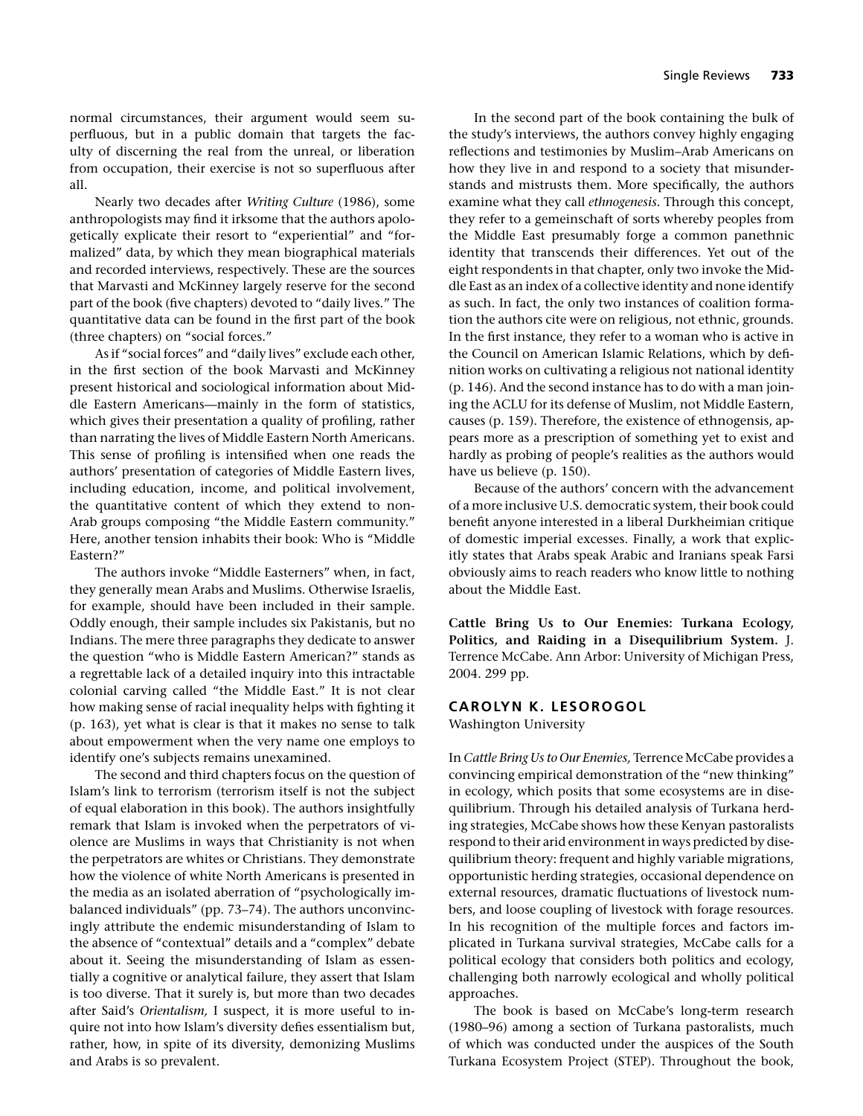normal circumstances, their argument would seem superfluous, but in a public domain that targets the faculty of discerning the real from the unreal, or liberation from occupation, their exercise is not so superfluous after all.

Nearly two decades after *Writing Culture* (1986), some anthropologists may find it irksome that the authors apologetically explicate their resort to "experiential" and "formalized" data, by which they mean biographical materials and recorded interviews, respectively. These are the sources that Marvasti and McKinney largely reserve for the second part of the book (five chapters) devoted to "daily lives." The quantitative data can be found in the first part of the book (three chapters) on "social forces."

As if "social forces" and "daily lives" exclude each other, in the first section of the book Marvasti and McKinney present historical and sociological information about Middle Eastern Americans—mainly in the form of statistics, which gives their presentation a quality of profiling, rather than narrating the lives of Middle Eastern North Americans. This sense of profiling is intensified when one reads the authors' presentation of categories of Middle Eastern lives, including education, income, and political involvement, the quantitative content of which they extend to non-Arab groups composing "the Middle Eastern community." Here, another tension inhabits their book: Who is "Middle Eastern?"

The authors invoke "Middle Easterners" when, in fact, they generally mean Arabs and Muslims. Otherwise Israelis, for example, should have been included in their sample. Oddly enough, their sample includes six Pakistanis, but no Indians. The mere three paragraphs they dedicate to answer the question "who is Middle Eastern American?" stands as a regrettable lack of a detailed inquiry into this intractable colonial carving called "the Middle East." It is not clear how making sense of racial inequality helps with fighting it (p. 163), yet what is clear is that it makes no sense to talk about empowerment when the very name one employs to identify one's subjects remains unexamined.

The second and third chapters focus on the question of Islam's link to terrorism (terrorism itself is not the subject of equal elaboration in this book). The authors insightfully remark that Islam is invoked when the perpetrators of violence are Muslims in ways that Christianity is not when the perpetrators are whites or Christians. They demonstrate how the violence of white North Americans is presented in the media as an isolated aberration of "psychologically imbalanced individuals" (pp. 73–74). The authors unconvincingly attribute the endemic misunderstanding of Islam to the absence of "contextual" details and a "complex" debate about it. Seeing the misunderstanding of Islam as essentially a cognitive or analytical failure, they assert that Islam is too diverse. That it surely is, but more than two decades after Said's *Orientalism,* I suspect, it is more useful to inquire not into how Islam's diversity defies essentialism but, rather, how, in spite of its diversity, demonizing Muslims and Arabs is so prevalent.

In the second part of the book containing the bulk of the study's interviews, the authors convey highly engaging reflections and testimonies by Muslim–Arab Americans on how they live in and respond to a society that misunderstands and mistrusts them. More specifically, the authors examine what they call *ethnogenesis.* Through this concept, they refer to a gemeinschaft of sorts whereby peoples from the Middle East presumably forge a common panethnic identity that transcends their differences. Yet out of the eight respondents in that chapter, only two invoke the Middle East as an index of a collective identity and none identify as such. In fact, the only two instances of coalition formation the authors cite were on religious, not ethnic, grounds. In the first instance, they refer to a woman who is active in the Council on American Islamic Relations, which by definition works on cultivating a religious not national identity (p. 146). And the second instance has to do with a man joining the ACLU for its defense of Muslim, not Middle Eastern, causes (p. 159). Therefore, the existence of ethnogensis, appears more as a prescription of something yet to exist and hardly as probing of people's realities as the authors would have us believe (p. 150).

Because of the authors' concern with the advancement of a more inclusive U.S. democratic system, their book could benefit anyone interested in a liberal Durkheimian critique of domestic imperial excesses. Finally, a work that explicitly states that Arabs speak Arabic and Iranians speak Farsi obviously aims to reach readers who know little to nothing about the Middle East.

**Cattle Bring Us to Our Enemies: Turkana Ecology, Politics, and Raiding in a Disequilibrium System.** J. Terrence McCabe. Ann Arbor: University of Michigan Press, 2004. 299 pp.

# **CAROLYN K. LESOROGOL**

Washington University

In *Cattle Bring Us to Our Enemies,* Terrence McCabe provides a convincing empirical demonstration of the "new thinking" in ecology, which posits that some ecosystems are in disequilibrium. Through his detailed analysis of Turkana herding strategies, McCabe shows how these Kenyan pastoralists respond to their arid environment in ways predicted by disequilibrium theory: frequent and highly variable migrations, opportunistic herding strategies, occasional dependence on external resources, dramatic fluctuations of livestock numbers, and loose coupling of livestock with forage resources. In his recognition of the multiple forces and factors implicated in Turkana survival strategies, McCabe calls for a political ecology that considers both politics and ecology, challenging both narrowly ecological and wholly political approaches.

The book is based on McCabe's long-term research (1980–96) among a section of Turkana pastoralists, much of which was conducted under the auspices of the South Turkana Ecosystem Project (STEP). Throughout the book,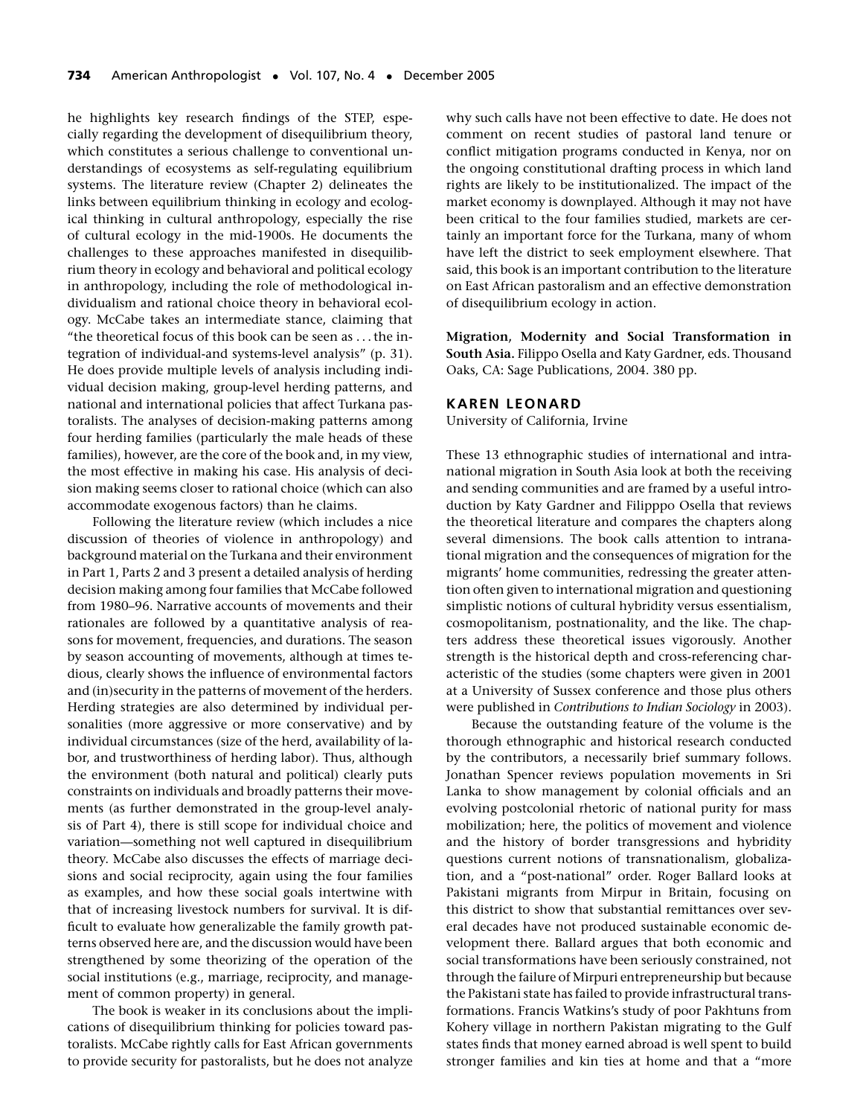he highlights key research findings of the STEP, especially regarding the development of disequilibrium theory, which constitutes a serious challenge to conventional understandings of ecosystems as self-regulating equilibrium systems. The literature review (Chapter 2) delineates the links between equilibrium thinking in ecology and ecological thinking in cultural anthropology, especially the rise of cultural ecology in the mid-1900s. He documents the challenges to these approaches manifested in disequilibrium theory in ecology and behavioral and political ecology in anthropology, including the role of methodological individualism and rational choice theory in behavioral ecology. McCabe takes an intermediate stance, claiming that "the theoretical focus of this book can be seen as . . . the integration of individual-and systems-level analysis" (p. 31). He does provide multiple levels of analysis including individual decision making, group-level herding patterns, and national and international policies that affect Turkana pastoralists. The analyses of decision-making patterns among four herding families (particularly the male heads of these families), however, are the core of the book and, in my view, the most effective in making his case. His analysis of decision making seems closer to rational choice (which can also accommodate exogenous factors) than he claims.

Following the literature review (which includes a nice discussion of theories of violence in anthropology) and background material on the Turkana and their environment in Part 1, Parts 2 and 3 present a detailed analysis of herding decision making among four families that McCabe followed from 1980–96. Narrative accounts of movements and their rationales are followed by a quantitative analysis of reasons for movement, frequencies, and durations. The season by season accounting of movements, although at times tedious, clearly shows the influence of environmental factors and (in)security in the patterns of movement of the herders. Herding strategies are also determined by individual personalities (more aggressive or more conservative) and by individual circumstances (size of the herd, availability of labor, and trustworthiness of herding labor). Thus, although the environment (both natural and political) clearly puts constraints on individuals and broadly patterns their movements (as further demonstrated in the group-level analysis of Part 4), there is still scope for individual choice and variation—something not well captured in disequilibrium theory. McCabe also discusses the effects of marriage decisions and social reciprocity, again using the four families as examples, and how these social goals intertwine with that of increasing livestock numbers for survival. It is difficult to evaluate how generalizable the family growth patterns observed here are, and the discussion would have been strengthened by some theorizing of the operation of the social institutions (e.g., marriage, reciprocity, and management of common property) in general.

The book is weaker in its conclusions about the implications of disequilibrium thinking for policies toward pastoralists. McCabe rightly calls for East African governments to provide security for pastoralists, but he does not analyze why such calls have not been effective to date. He does not comment on recent studies of pastoral land tenure or conflict mitigation programs conducted in Kenya, nor on the ongoing constitutional drafting process in which land rights are likely to be institutionalized. The impact of the market economy is downplayed. Although it may not have been critical to the four families studied, markets are certainly an important force for the Turkana, many of whom have left the district to seek employment elsewhere. That said, this book is an important contribution to the literature on East African pastoralism and an effective demonstration of disequilibrium ecology in action.

**Migration, Modernity and Social Transformation in South Asia.** Filippo Osella and Katy Gardner, eds. Thousand Oaks, CA: Sage Publications, 2004. 380 pp.

#### **KAREN LEONARD**

University of California, Irvine

These 13 ethnographic studies of international and intranational migration in South Asia look at both the receiving and sending communities and are framed by a useful introduction by Katy Gardner and Filipppo Osella that reviews the theoretical literature and compares the chapters along several dimensions. The book calls attention to intranational migration and the consequences of migration for the migrants' home communities, redressing the greater attention often given to international migration and questioning simplistic notions of cultural hybridity versus essentialism, cosmopolitanism, postnationality, and the like. The chapters address these theoretical issues vigorously. Another strength is the historical depth and cross-referencing characteristic of the studies (some chapters were given in 2001 at a University of Sussex conference and those plus others were published in *Contributions to Indian Sociology* in 2003).

Because the outstanding feature of the volume is the thorough ethnographic and historical research conducted by the contributors, a necessarily brief summary follows. Jonathan Spencer reviews population movements in Sri Lanka to show management by colonial officials and an evolving postcolonial rhetoric of national purity for mass mobilization; here, the politics of movement and violence and the history of border transgressions and hybridity questions current notions of transnationalism, globalization, and a "post-national" order. Roger Ballard looks at Pakistani migrants from Mirpur in Britain, focusing on this district to show that substantial remittances over several decades have not produced sustainable economic development there. Ballard argues that both economic and social transformations have been seriously constrained, not through the failure of Mirpuri entrepreneurship but because the Pakistani state has failed to provide infrastructural transformations. Francis Watkins's study of poor Pakhtuns from Kohery village in northern Pakistan migrating to the Gulf states finds that money earned abroad is well spent to build stronger families and kin ties at home and that a "more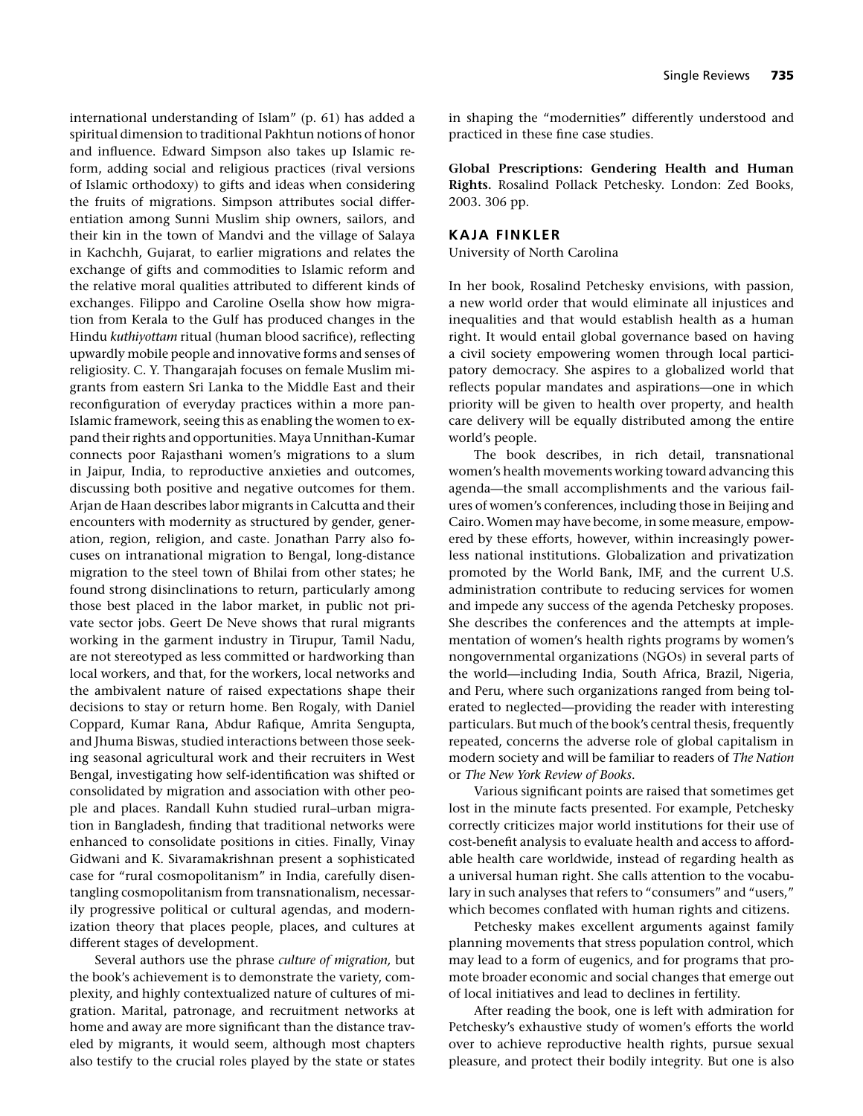international understanding of Islam" (p. 61) has added a spiritual dimension to traditional Pakhtun notions of honor and influence. Edward Simpson also takes up Islamic reform, adding social and religious practices (rival versions of Islamic orthodoxy) to gifts and ideas when considering the fruits of migrations. Simpson attributes social differentiation among Sunni Muslim ship owners, sailors, and their kin in the town of Mandvi and the village of Salaya in Kachchh, Gujarat, to earlier migrations and relates the exchange of gifts and commodities to Islamic reform and the relative moral qualities attributed to different kinds of exchanges. Filippo and Caroline Osella show how migration from Kerala to the Gulf has produced changes in the Hindu *kuthiyottam* ritual (human blood sacrifice), reflecting upwardly mobile people and innovative forms and senses of religiosity. C. Y. Thangarajah focuses on female Muslim migrants from eastern Sri Lanka to the Middle East and their reconfiguration of everyday practices within a more pan-Islamic framework, seeing this as enabling the women to expand their rights and opportunities. Maya Unnithan-Kumar connects poor Rajasthani women's migrations to a slum in Jaipur, India, to reproductive anxieties and outcomes, discussing both positive and negative outcomes for them. Arjan de Haan describes labor migrants in Calcutta and their encounters with modernity as structured by gender, generation, region, religion, and caste. Jonathan Parry also focuses on intranational migration to Bengal, long-distance migration to the steel town of Bhilai from other states; he found strong disinclinations to return, particularly among those best placed in the labor market, in public not private sector jobs. Geert De Neve shows that rural migrants working in the garment industry in Tirupur, Tamil Nadu, are not stereotyped as less committed or hardworking than local workers, and that, for the workers, local networks and the ambivalent nature of raised expectations shape their decisions to stay or return home. Ben Rogaly, with Daniel Coppard, Kumar Rana, Abdur Rafique, Amrita Sengupta, and Jhuma Biswas, studied interactions between those seeking seasonal agricultural work and their recruiters in West Bengal, investigating how self-identification was shifted or consolidated by migration and association with other people and places. Randall Kuhn studied rural–urban migration in Bangladesh, finding that traditional networks were enhanced to consolidate positions in cities. Finally, Vinay Gidwani and K. Sivaramakrishnan present a sophisticated case for "rural cosmopolitanism" in India, carefully disentangling cosmopolitanism from transnationalism, necessarily progressive political or cultural agendas, and modernization theory that places people, places, and cultures at different stages of development.

Several authors use the phrase *culture of migration,* but the book's achievement is to demonstrate the variety, complexity, and highly contextualized nature of cultures of migration. Marital, patronage, and recruitment networks at home and away are more significant than the distance traveled by migrants, it would seem, although most chapters also testify to the crucial roles played by the state or states

in shaping the "modernities" differently understood and practiced in these fine case studies.

**Global Prescriptions: Gendering Health and Human Rights.** Rosalind Pollack Petchesky. London: Zed Books, 2003. 306 pp.

#### **KAJA FINKLER**

University of North Carolina

In her book, Rosalind Petchesky envisions, with passion, a new world order that would eliminate all injustices and inequalities and that would establish health as a human right. It would entail global governance based on having a civil society empowering women through local participatory democracy. She aspires to a globalized world that reflects popular mandates and aspirations—one in which priority will be given to health over property, and health care delivery will be equally distributed among the entire world's people.

The book describes, in rich detail, transnational women's health movements working toward advancing this agenda—the small accomplishments and the various failures of women's conferences, including those in Beijing and Cairo. Women may have become, in some measure, empowered by these efforts, however, within increasingly powerless national institutions. Globalization and privatization promoted by the World Bank, IMF, and the current U.S. administration contribute to reducing services for women and impede any success of the agenda Petchesky proposes. She describes the conferences and the attempts at implementation of women's health rights programs by women's nongovernmental organizations (NGOs) in several parts of the world—including India, South Africa, Brazil, Nigeria, and Peru, where such organizations ranged from being tolerated to neglected—providing the reader with interesting particulars. But much of the book's central thesis, frequently repeated, concerns the adverse role of global capitalism in modern society and will be familiar to readers of *The Nation* or *The New York Review of Books.*

Various significant points are raised that sometimes get lost in the minute facts presented. For example, Petchesky correctly criticizes major world institutions for their use of cost-benefit analysis to evaluate health and access to affordable health care worldwide, instead of regarding health as a universal human right. She calls attention to the vocabulary in such analyses that refers to "consumers" and "users," which becomes conflated with human rights and citizens.

Petchesky makes excellent arguments against family planning movements that stress population control, which may lead to a form of eugenics, and for programs that promote broader economic and social changes that emerge out of local initiatives and lead to declines in fertility.

After reading the book, one is left with admiration for Petchesky's exhaustive study of women's efforts the world over to achieve reproductive health rights, pursue sexual pleasure, and protect their bodily integrity. But one is also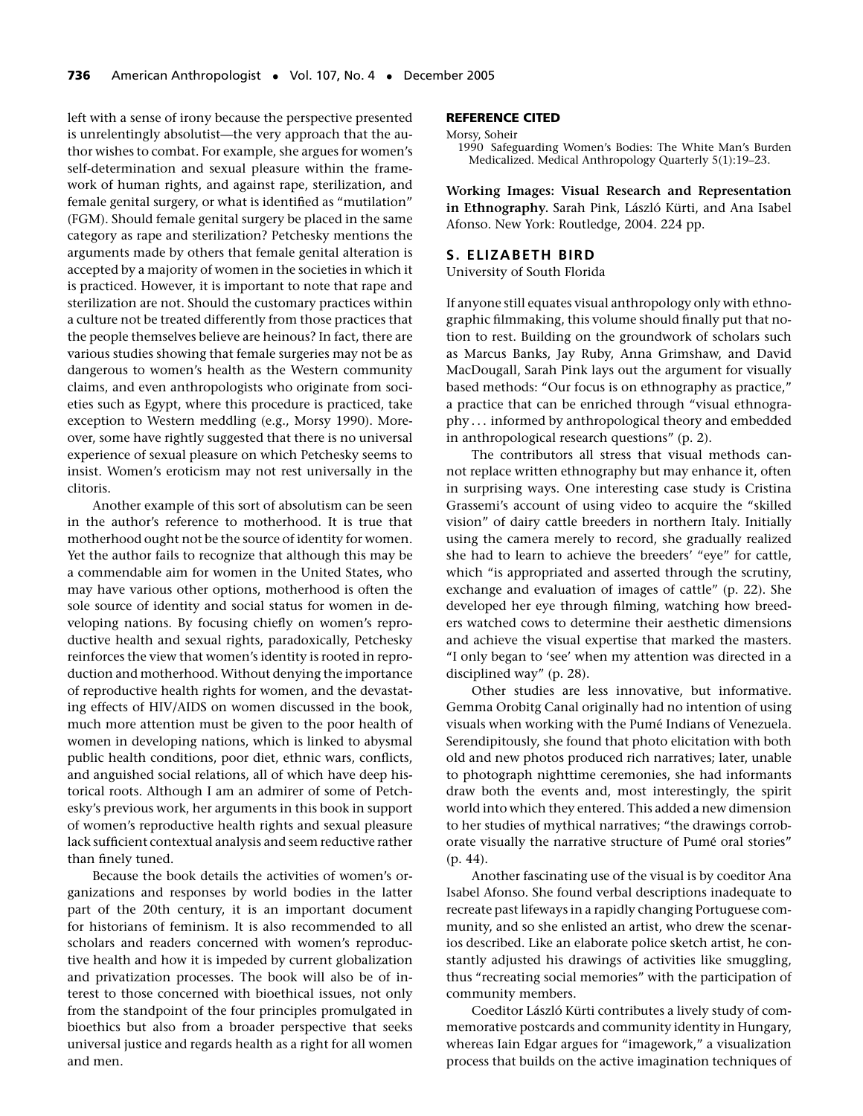left with a sense of irony because the perspective presented is unrelentingly absolutist—the very approach that the author wishes to combat. For example, she argues for women's self-determination and sexual pleasure within the framework of human rights, and against rape, sterilization, and female genital surgery, or what is identified as "mutilation" (FGM). Should female genital surgery be placed in the same category as rape and sterilization? Petchesky mentions the arguments made by others that female genital alteration is accepted by a majority of women in the societies in which it is practiced. However, it is important to note that rape and sterilization are not. Should the customary practices within a culture not be treated differently from those practices that the people themselves believe are heinous? In fact, there are various studies showing that female surgeries may not be as dangerous to women's health as the Western community claims, and even anthropologists who originate from societies such as Egypt, where this procedure is practiced, take exception to Western meddling (e.g., Morsy 1990). Moreover, some have rightly suggested that there is no universal experience of sexual pleasure on which Petchesky seems to insist. Women's eroticism may not rest universally in the clitoris.

Another example of this sort of absolutism can be seen in the author's reference to motherhood. It is true that motherhood ought not be the source of identity for women. Yet the author fails to recognize that although this may be a commendable aim for women in the United States, who may have various other options, motherhood is often the sole source of identity and social status for women in developing nations. By focusing chiefly on women's reproductive health and sexual rights, paradoxically, Petchesky reinforces the view that women's identity is rooted in reproduction and motherhood. Without denying the importance of reproductive health rights for women, and the devastating effects of HIV/AIDS on women discussed in the book, much more attention must be given to the poor health of women in developing nations, which is linked to abysmal public health conditions, poor diet, ethnic wars, conflicts, and anguished social relations, all of which have deep historical roots. Although I am an admirer of some of Petchesky's previous work, her arguments in this book in support of women's reproductive health rights and sexual pleasure lack sufficient contextual analysis and seem reductive rather than finely tuned.

Because the book details the activities of women's organizations and responses by world bodies in the latter part of the 20th century, it is an important document for historians of feminism. It is also recommended to all scholars and readers concerned with women's reproductive health and how it is impeded by current globalization and privatization processes. The book will also be of interest to those concerned with bioethical issues, not only from the standpoint of the four principles promulgated in bioethics but also from a broader perspective that seeks universal justice and regards health as a right for all women and men.

#### **REFERENCE CITED**

Morsy, Soheir

1990 Safeguarding Women's Bodies: The White Man's Burden Medicalized. Medical Anthropology Quarterly 5(1):19–23.

**Working Images: Visual Research and Representation** in Ethnography. Sarah Pink, László Kürti, and Ana Isabel Afonso. New York: Routledge, 2004. 224 pp.

#### **S. ELIZABETH BIRD**

University of South Florida

If anyone still equates visual anthropology only with ethnographic filmmaking, this volume should finally put that notion to rest. Building on the groundwork of scholars such as Marcus Banks, Jay Ruby, Anna Grimshaw, and David MacDougall, Sarah Pink lays out the argument for visually based methods: "Our focus is on ethnography as practice," a practice that can be enriched through "visual ethnography... informed by anthropological theory and embedded in anthropological research questions" (p. 2).

The contributors all stress that visual methods cannot replace written ethnography but may enhance it, often in surprising ways. One interesting case study is Cristina Grassemi's account of using video to acquire the "skilled vision" of dairy cattle breeders in northern Italy. Initially using the camera merely to record, she gradually realized she had to learn to achieve the breeders' "eye" for cattle, which "is appropriated and asserted through the scrutiny, exchange and evaluation of images of cattle" (p. 22). She developed her eye through filming, watching how breeders watched cows to determine their aesthetic dimensions and achieve the visual expertise that marked the masters. "I only began to 'see' when my attention was directed in a disciplined way" (p. 28).

Other studies are less innovative, but informative. Gemma Orobitg Canal originally had no intention of using visuals when working with the Pumé Indians of Venezuela. Serendipitously, she found that photo elicitation with both old and new photos produced rich narratives; later, unable to photograph nighttime ceremonies, she had informants draw both the events and, most interestingly, the spirit world into which they entered. This added a new dimension to her studies of mythical narratives; "the drawings corroborate visually the narrative structure of Pumé oral stories" (p. 44).

Another fascinating use of the visual is by coeditor Ana Isabel Afonso. She found verbal descriptions inadequate to recreate past lifeways in a rapidly changing Portuguese community, and so she enlisted an artist, who drew the scenarios described. Like an elaborate police sketch artist, he constantly adjusted his drawings of activities like smuggling, thus "recreating social memories" with the participation of community members.

Coeditor László Kürti contributes a lively study of commemorative postcards and community identity in Hungary, whereas Iain Edgar argues for "imagework," a visualization process that builds on the active imagination techniques of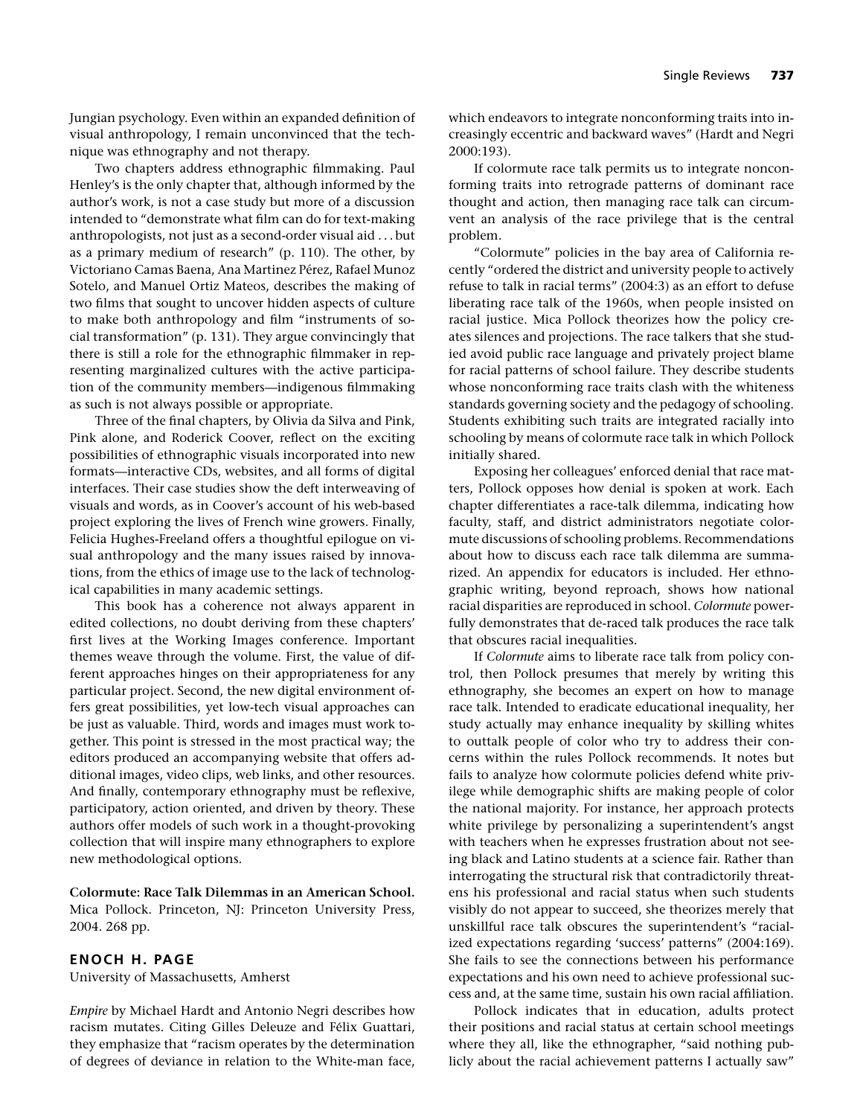Jungian psychology. Even within an expanded definition of visual anthropology, I remain unconvinced that the technique was ethnography and not therapy.

Two chapters address ethnographic filmmaking. Paul Henley's is the only chapter that, although informed by the author's work, is not a case study but more of a discussion intended to "demonstrate what film can do for text-making anthropologists, not just as a second-order visual aid . . . but as a primary medium of research" (p. 110). The other, by Victoriano Camas Baena, Ana Martinez Pérez, Rafael Munoz Sotelo, and Manuel Ortiz Mateos, describes the making of two films that sought to uncover hidden aspects of culture to make both anthropology and film "instruments of social transformation" (p. 131). They argue convincingly that there is still a role for the ethnographic filmmaker in representing marginalized cultures with the active participation of the community members—indigenous filmmaking as such is not always possible or appropriate.

Three of the final chapters, by Olivia da Silva and Pink, Pink alone, and Roderick Coover, reflect on the exciting possibilities of ethnographic visuals incorporated into new formats—interactive CDs, websites, and all forms of digital interfaces. Their case studies show the deft interweaving of visuals and words, as in Coover's account of his web-based project exploring the lives of French wine growers. Finally, Felicia Hughes-Freeland offers a thoughtful epilogue on visual anthropology and the many issues raised by innovations, from the ethics of image use to the lack of technological capabilities in many academic settings.

This book has a coherence not always apparent in edited collections, no doubt deriving from these chapters' first lives at the Working Images conference. Important themes weave through the volume. First, the value of different approaches hinges on their appropriateness for any particular project. Second, the new digital environment offers great possibilities, yet low-tech visual approaches can be just as valuable. Third, words and images must work together. This point is stressed in the most practical way; the editors produced an accompanying website that offers additional images, video clips, web links, and other resources. And finally, contemporary ethnography must be reflexive, participatory, action oriented, and driven by theory. These authors offer models of such work in a thought-provoking collection that will inspire many ethnographers to explore new methodological options.

**Colormute: Race Talk Dilemmas in an American School.** Mica Pollock. Princeton, NJ: Princeton University Press, 2004. 268 pp.

# **ENOCH H. PAGE**

University of Massachusetts, Amherst

*Empire* by Michael Hardt and Antonio Negri describes how racism mutates. Citing Gilles Deleuze and Félix Guattari, they emphasize that "racism operates by the determination of degrees of deviance in relation to the White-man face, which endeavors to integrate nonconforming traits into increasingly eccentric and backward waves" (Hardt and Negri 2000:193).

If colormute race talk permits us to integrate nonconforming traits into retrograde patterns of dominant race thought and action, then managing race talk can circumvent an analysis of the race privilege that is the central problem.

"Colormute" policies in the bay area of California recently "ordered the district and university people to actively refuse to talk in racial terms" (2004:3) as an effort to defuse liberating race talk of the 1960s, when people insisted on racial justice. Mica Pollock theorizes how the policy creates silences and projections. The race talkers that she studied avoid public race language and privately project blame for racial patterns of school failure. They describe students whose nonconforming race traits clash with the whiteness standards governing society and the pedagogy of schooling. Students exhibiting such traits are integrated racially into schooling by means of colormute race talk in which Pollock initially shared.

Exposing her colleagues' enforced denial that race matters, Pollock opposes how denial is spoken at work. Each chapter differentiates a race-talk dilemma, indicating how faculty, staff, and district administrators negotiate colormute discussions of schooling problems. Recommendations about how to discuss each race talk dilemma are summarized. An appendix for educators is included. Her ethnographic writing, beyond reproach, shows how national racial disparities are reproduced in school. *Colormute* powerfully demonstrates that de-raced talk produces the race talk that obscures racial inequalities.

If *Colormute* aims to liberate race talk from policy control, then Pollock presumes that merely by writing this ethnography, she becomes an expert on how to manage race talk. Intended to eradicate educational inequality, her study actually may enhance inequality by skilling whites to outtalk people of color who try to address their concerns within the rules Pollock recommends. It notes but fails to analyze how colormute policies defend white privilege while demographic shifts are making people of color the national majority. For instance, her approach protects white privilege by personalizing a superintendent's angst with teachers when he expresses frustration about not seeing black and Latino students at a science fair. Rather than interrogating the structural risk that contradictorily threatens his professional and racial status when such students visibly do not appear to succeed, she theorizes merely that unskillful race talk obscures the superintendent's "racialized expectations regarding 'success' patterns" (2004:169). She fails to see the connections between his performance expectations and his own need to achieve professional success and, at the same time, sustain his own racial affiliation.

Pollock indicates that in education, adults protect their positions and racial status at certain school meetings where they all, like the ethnographer, "said nothing publicly about the racial achievement patterns I actually saw"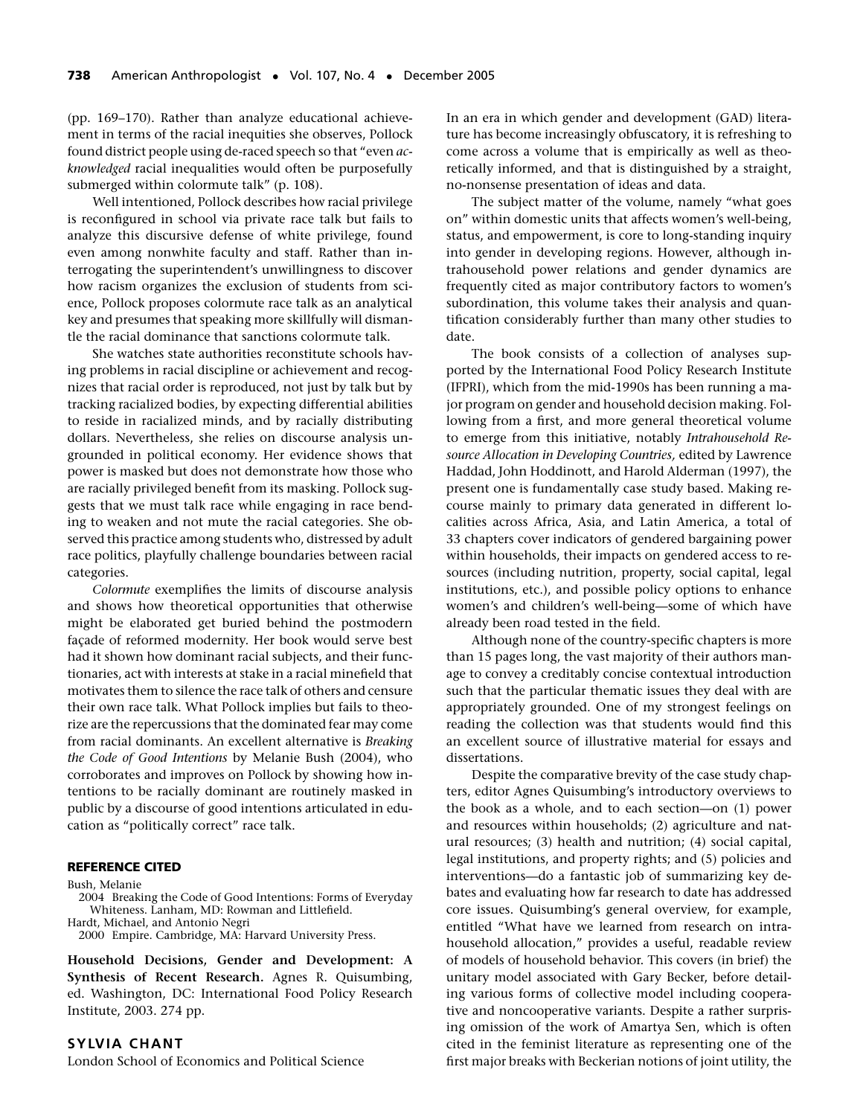(pp. 169–170). Rather than analyze educational achievement in terms of the racial inequities she observes, Pollock found district people using de-raced speech so that "even *acknowledged* racial inequalities would often be purposefully submerged within colormute talk" (p. 108).

Well intentioned, Pollock describes how racial privilege is reconfigured in school via private race talk but fails to analyze this discursive defense of white privilege, found even among nonwhite faculty and staff. Rather than interrogating the superintendent's unwillingness to discover how racism organizes the exclusion of students from science, Pollock proposes colormute race talk as an analytical key and presumes that speaking more skillfully will dismantle the racial dominance that sanctions colormute talk.

She watches state authorities reconstitute schools having problems in racial discipline or achievement and recognizes that racial order is reproduced, not just by talk but by tracking racialized bodies, by expecting differential abilities to reside in racialized minds, and by racially distributing dollars. Nevertheless, she relies on discourse analysis ungrounded in political economy. Her evidence shows that power is masked but does not demonstrate how those who are racially privileged benefit from its masking. Pollock suggests that we must talk race while engaging in race bending to weaken and not mute the racial categories. She observed this practice among students who, distressed by adult race politics, playfully challenge boundaries between racial categories.

*Colormute* exemplifies the limits of discourse analysis and shows how theoretical opportunities that otherwise might be elaborated get buried behind the postmodern facade of reformed modernity. Her book would serve best had it shown how dominant racial subjects, and their functionaries, act with interests at stake in a racial minefield that motivates them to silence the race talk of others and censure their own race talk. What Pollock implies but fails to theorize are the repercussions that the dominated fear may come from racial dominants. An excellent alternative is *Breaking the Code of Good Intentions* by Melanie Bush (2004), who corroborates and improves on Pollock by showing how intentions to be racially dominant are routinely masked in public by a discourse of good intentions articulated in education as "politically correct" race talk.

# **REFERENCE CITED**

Bush, Melanie

2004 Breaking the Code of Good Intentions: Forms of Everyday Whiteness. Lanham, MD: Rowman and Littlefield. Hardt, Michael, and Antonio Negri

2000 Empire. Cambridge, MA: Harvard University Press.

**Household Decisions, Gender and Development: A Synthesis of Recent Research.** Agnes R. Quisumbing, ed. Washington, DC: International Food Policy Research Institute, 2003. 274 pp.

#### **SYLVIA CHANT**

London School of Economics and Political Science

In an era in which gender and development (GAD) literature has become increasingly obfuscatory, it is refreshing to come across a volume that is empirically as well as theoretically informed, and that is distinguished by a straight, no-nonsense presentation of ideas and data.

The subject matter of the volume, namely "what goes on" within domestic units that affects women's well-being, status, and empowerment, is core to long-standing inquiry into gender in developing regions. However, although intrahousehold power relations and gender dynamics are frequently cited as major contributory factors to women's subordination, this volume takes their analysis and quantification considerably further than many other studies to date.

The book consists of a collection of analyses supported by the International Food Policy Research Institute (IFPRI), which from the mid-1990s has been running a major program on gender and household decision making. Following from a first, and more general theoretical volume to emerge from this initiative, notably *Intrahousehold Resource Allocation in Developing Countries,* edited by Lawrence Haddad, John Hoddinott, and Harold Alderman (1997), the present one is fundamentally case study based. Making recourse mainly to primary data generated in different localities across Africa, Asia, and Latin America, a total of 33 chapters cover indicators of gendered bargaining power within households, their impacts on gendered access to resources (including nutrition, property, social capital, legal institutions, etc.), and possible policy options to enhance women's and children's well-being—some of which have already been road tested in the field.

Although none of the country-specific chapters is more than 15 pages long, the vast majority of their authors manage to convey a creditably concise contextual introduction such that the particular thematic issues they deal with are appropriately grounded. One of my strongest feelings on reading the collection was that students would find this an excellent source of illustrative material for essays and dissertations.

Despite the comparative brevity of the case study chapters, editor Agnes Quisumbing's introductory overviews to the book as a whole, and to each section—on (1) power and resources within households; (2) agriculture and natural resources; (3) health and nutrition; (4) social capital, legal institutions, and property rights; and (5) policies and interventions—do a fantastic job of summarizing key debates and evaluating how far research to date has addressed core issues. Quisumbing's general overview, for example, entitled "What have we learned from research on intrahousehold allocation," provides a useful, readable review of models of household behavior. This covers (in brief) the unitary model associated with Gary Becker, before detailing various forms of collective model including cooperative and noncooperative variants. Despite a rather surprising omission of the work of Amartya Sen, which is often cited in the feminist literature as representing one of the first major breaks with Beckerian notions of joint utility, the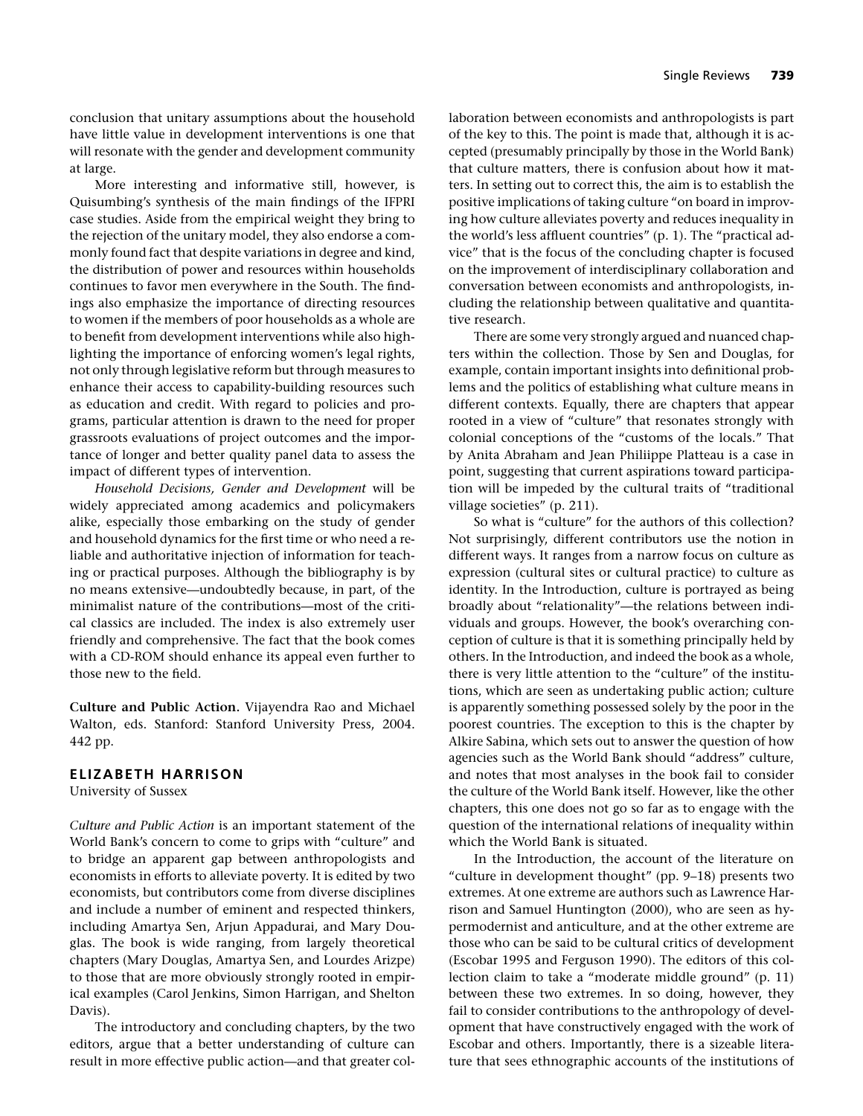conclusion that unitary assumptions about the household have little value in development interventions is one that will resonate with the gender and development community at large.

More interesting and informative still, however, is Quisumbing's synthesis of the main findings of the IFPRI case studies. Aside from the empirical weight they bring to the rejection of the unitary model, they also endorse a commonly found fact that despite variations in degree and kind, the distribution of power and resources within households continues to favor men everywhere in the South. The findings also emphasize the importance of directing resources to women if the members of poor households as a whole are to benefit from development interventions while also highlighting the importance of enforcing women's legal rights, not only through legislative reform but through measures to enhance their access to capability-building resources such as education and credit. With regard to policies and programs, particular attention is drawn to the need for proper grassroots evaluations of project outcomes and the importance of longer and better quality panel data to assess the impact of different types of intervention.

*Household Decisions, Gender and Development* will be widely appreciated among academics and policymakers alike, especially those embarking on the study of gender and household dynamics for the first time or who need a reliable and authoritative injection of information for teaching or practical purposes. Although the bibliography is by no means extensive—undoubtedly because, in part, of the minimalist nature of the contributions—most of the critical classics are included. The index is also extremely user friendly and comprehensive. The fact that the book comes with a CD-ROM should enhance its appeal even further to those new to the field.

**Culture and Public Action.** Vijayendra Rao and Michael Walton, eds. Stanford: Stanford University Press, 2004. 442 pp.

# **ELIZABETH HARRISON**

University of Sussex

*Culture and Public Action* is an important statement of the World Bank's concern to come to grips with "culture" and to bridge an apparent gap between anthropologists and economists in efforts to alleviate poverty. It is edited by two economists, but contributors come from diverse disciplines and include a number of eminent and respected thinkers, including Amartya Sen, Arjun Appadurai, and Mary Douglas. The book is wide ranging, from largely theoretical chapters (Mary Douglas, Amartya Sen, and Lourdes Arizpe) to those that are more obviously strongly rooted in empirical examples (Carol Jenkins, Simon Harrigan, and Shelton Davis).

The introductory and concluding chapters, by the two editors, argue that a better understanding of culture can result in more effective public action—and that greater collaboration between economists and anthropologists is part of the key to this. The point is made that, although it is accepted (presumably principally by those in the World Bank) that culture matters, there is confusion about how it matters. In setting out to correct this, the aim is to establish the positive implications of taking culture "on board in improving how culture alleviates poverty and reduces inequality in the world's less affluent countries" (p. 1). The "practical advice" that is the focus of the concluding chapter is focused on the improvement of interdisciplinary collaboration and conversation between economists and anthropologists, including the relationship between qualitative and quantitative research.

There are some very strongly argued and nuanced chapters within the collection. Those by Sen and Douglas, for example, contain important insights into definitional problems and the politics of establishing what culture means in different contexts. Equally, there are chapters that appear rooted in a view of "culture" that resonates strongly with colonial conceptions of the "customs of the locals." That by Anita Abraham and Jean Philiippe Platteau is a case in point, suggesting that current aspirations toward participation will be impeded by the cultural traits of "traditional village societies" (p. 211).

So what is "culture" for the authors of this collection? Not surprisingly, different contributors use the notion in different ways. It ranges from a narrow focus on culture as expression (cultural sites or cultural practice) to culture as identity. In the Introduction, culture is portrayed as being broadly about "relationality"—the relations between individuals and groups. However, the book's overarching conception of culture is that it is something principally held by others. In the Introduction, and indeed the book as a whole, there is very little attention to the "culture" of the institutions, which are seen as undertaking public action; culture is apparently something possessed solely by the poor in the poorest countries. The exception to this is the chapter by Alkire Sabina, which sets out to answer the question of how agencies such as the World Bank should "address" culture, and notes that most analyses in the book fail to consider the culture of the World Bank itself. However, like the other chapters, this one does not go so far as to engage with the question of the international relations of inequality within which the World Bank is situated.

In the Introduction, the account of the literature on "culture in development thought" (pp. 9–18) presents two extremes. At one extreme are authors such as Lawrence Harrison and Samuel Huntington (2000), who are seen as hypermodernist and anticulture, and at the other extreme are those who can be said to be cultural critics of development (Escobar 1995 and Ferguson 1990). The editors of this collection claim to take a "moderate middle ground" (p. 11) between these two extremes. In so doing, however, they fail to consider contributions to the anthropology of development that have constructively engaged with the work of Escobar and others. Importantly, there is a sizeable literature that sees ethnographic accounts of the institutions of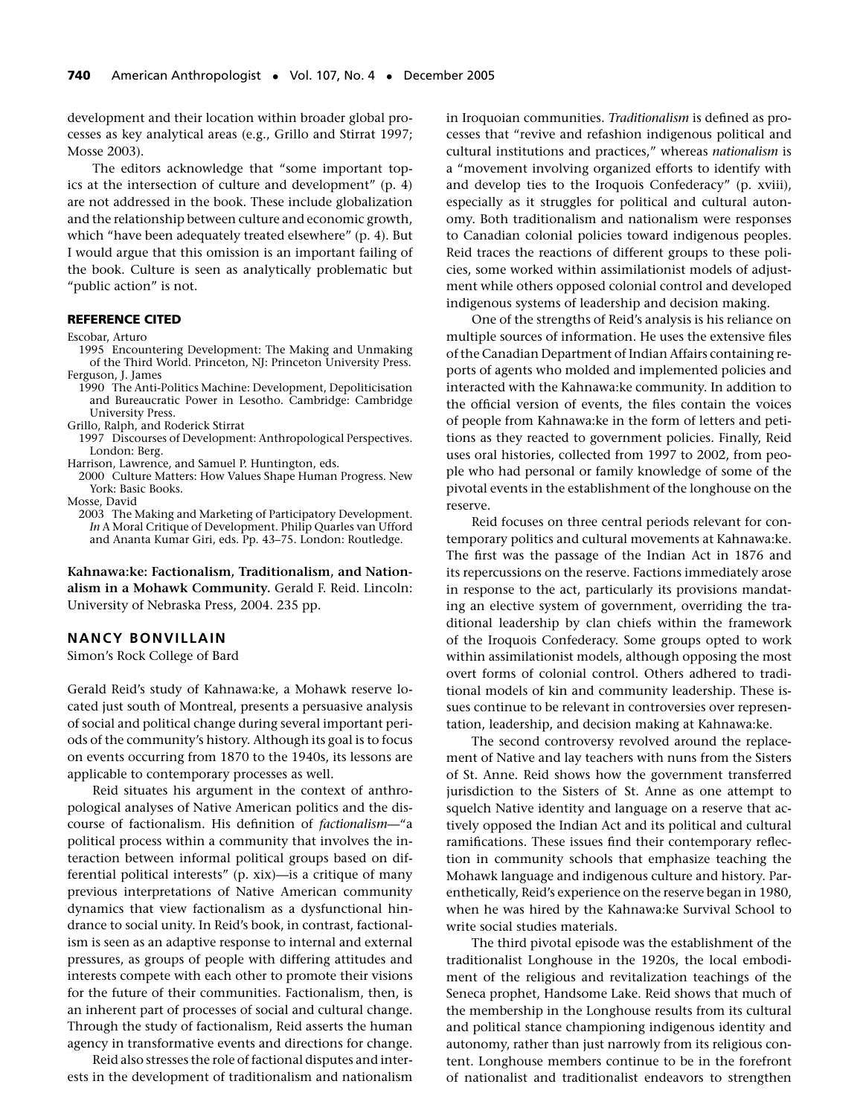development and their location within broader global processes as key analytical areas (e.g., Grillo and Stirrat 1997; Mosse 2003).

The editors acknowledge that "some important topics at the intersection of culture and development" (p. 4) are not addressed in the book. These include globalization and the relationship between culture and economic growth, which "have been adequately treated elsewhere" (p. 4). But I would argue that this omission is an important failing of the book. Culture is seen as analytically problematic but "public action" is not.

#### **REFERENCE CITED**

#### Escobar, Arturo

1995 Encountering Development: The Making and Unmaking of the Third World. Princeton, NJ: Princeton University Press. Ferguson, J. James

- 1990 The Anti-Politics Machine: Development, Depoliticisation and Bureaucratic Power in Lesotho. Cambridge: Cambridge University Press.
- Grillo, Ralph, and Roderick Stirrat
- 1997 Discourses of Development: Anthropological Perspectives. London: Berg.
- Harrison, Lawrence, and Samuel P. Huntington, eds.
- 2000 Culture Matters: How Values Shape Human Progress. New York: Basic Books.

Mosse, David

2003 The Making and Marketing of Participatory Development. *In* A Moral Critique of Development. Philip Quarles van Ufford and Ananta Kumar Giri, eds. Pp. 43–75. London: Routledge.

**Kahnawa:ke: Factionalism, Traditionalism, and Nationalism in a Mohawk Community.** Gerald F. Reid. Lincoln: University of Nebraska Press, 2004. 235 pp.

# **NANCY BONVILLAIN**

Simon's Rock College of Bard

Gerald Reid's study of Kahnawa:ke, a Mohawk reserve located just south of Montreal, presents a persuasive analysis of social and political change during several important periods of the community's history. Although its goal is to focus on events occurring from 1870 to the 1940s, its lessons are applicable to contemporary processes as well.

Reid situates his argument in the context of anthropological analyses of Native American politics and the discourse of factionalism. His definition of *factionalism*—"a political process within a community that involves the interaction between informal political groups based on differential political interests" (p. xix)—is a critique of many previous interpretations of Native American community dynamics that view factionalism as a dysfunctional hindrance to social unity. In Reid's book, in contrast, factionalism is seen as an adaptive response to internal and external pressures, as groups of people with differing attitudes and interests compete with each other to promote their visions for the future of their communities. Factionalism, then, is an inherent part of processes of social and cultural change. Through the study of factionalism, Reid asserts the human agency in transformative events and directions for change.

Reid also stresses the role of factional disputes and interests in the development of traditionalism and nationalism in Iroquoian communities. *Traditionalism* is defined as processes that "revive and refashion indigenous political and cultural institutions and practices," whereas *nationalism* is a "movement involving organized efforts to identify with and develop ties to the Iroquois Confederacy" (p. xviii), especially as it struggles for political and cultural autonomy. Both traditionalism and nationalism were responses to Canadian colonial policies toward indigenous peoples. Reid traces the reactions of different groups to these policies, some worked within assimilationist models of adjustment while others opposed colonial control and developed indigenous systems of leadership and decision making.

One of the strengths of Reid's analysis is his reliance on multiple sources of information. He uses the extensive files of the Canadian Department of Indian Affairs containing reports of agents who molded and implemented policies and interacted with the Kahnawa:ke community. In addition to the official version of events, the files contain the voices of people from Kahnawa:ke in the form of letters and petitions as they reacted to government policies. Finally, Reid uses oral histories, collected from 1997 to 2002, from people who had personal or family knowledge of some of the pivotal events in the establishment of the longhouse on the reserve.

Reid focuses on three central periods relevant for contemporary politics and cultural movements at Kahnawa:ke. The first was the passage of the Indian Act in 1876 and its repercussions on the reserve. Factions immediately arose in response to the act, particularly its provisions mandating an elective system of government, overriding the traditional leadership by clan chiefs within the framework of the Iroquois Confederacy. Some groups opted to work within assimilationist models, although opposing the most overt forms of colonial control. Others adhered to traditional models of kin and community leadership. These issues continue to be relevant in controversies over representation, leadership, and decision making at Kahnawa:ke.

The second controversy revolved around the replacement of Native and lay teachers with nuns from the Sisters of St. Anne. Reid shows how the government transferred jurisdiction to the Sisters of St. Anne as one attempt to squelch Native identity and language on a reserve that actively opposed the Indian Act and its political and cultural ramifications. These issues find their contemporary reflection in community schools that emphasize teaching the Mohawk language and indigenous culture and history. Parenthetically, Reid's experience on the reserve began in 1980, when he was hired by the Kahnawa:ke Survival School to write social studies materials.

The third pivotal episode was the establishment of the traditionalist Longhouse in the 1920s, the local embodiment of the religious and revitalization teachings of the Seneca prophet, Handsome Lake. Reid shows that much of the membership in the Longhouse results from its cultural and political stance championing indigenous identity and autonomy, rather than just narrowly from its religious content. Longhouse members continue to be in the forefront of nationalist and traditionalist endeavors to strengthen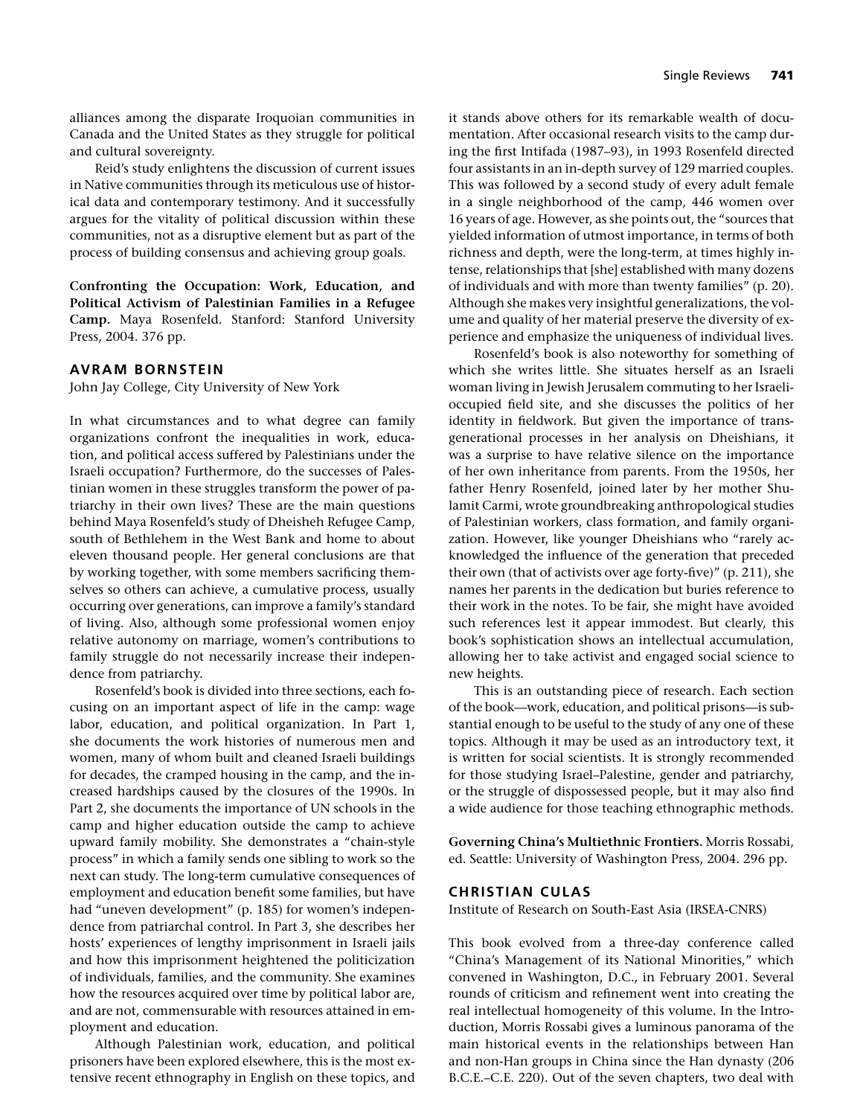alliances among the disparate Iroquoian communities in Canada and the United States as they struggle for political and cultural sovereignty.

Reid's study enlightens the discussion of current issues in Native communities through its meticulous use of historical data and contemporary testimony. And it successfully argues for the vitality of political discussion within these communities, not as a disruptive element but as part of the process of building consensus and achieving group goals.

**Confronting the Occupation: Work, Education, and Political Activism of Palestinian Families in a Refugee Camp.** Maya Rosenfeld. Stanford: Stanford University Press, 2004. 376 pp.

# **AVRAM BORNSTEIN**

John Jay College, City University of New York

In what circumstances and to what degree can family organizations confront the inequalities in work, education, and political access suffered by Palestinians under the Israeli occupation? Furthermore, do the successes of Palestinian women in these struggles transform the power of patriarchy in their own lives? These are the main questions behind Maya Rosenfeld's study of Dheisheh Refugee Camp, south of Bethlehem in the West Bank and home to about eleven thousand people. Her general conclusions are that by working together, with some members sacrificing themselves so others can achieve, a cumulative process, usually occurring over generations, can improve a family's standard of living. Also, although some professional women enjoy relative autonomy on marriage, women's contributions to family struggle do not necessarily increase their independence from patriarchy.

Rosenfeld's book is divided into three sections, each focusing on an important aspect of life in the camp: wage labor, education, and political organization. In Part 1, she documents the work histories of numerous men and women, many of whom built and cleaned Israeli buildings for decades, the cramped housing in the camp, and the increased hardships caused by the closures of the 1990s. In Part 2, she documents the importance of UN schools in the camp and higher education outside the camp to achieve upward family mobility. She demonstrates a "chain-style process" in which a family sends one sibling to work so the next can study. The long-term cumulative consequences of employment and education benefit some families, but have had "uneven development" (p. 185) for women's independence from patriarchal control. In Part 3, she describes her hosts' experiences of lengthy imprisonment in Israeli jails and how this imprisonment heightened the politicization of individuals, families, and the community. She examines how the resources acquired over time by political labor are, and are not, commensurable with resources attained in employment and education.

Although Palestinian work, education, and political prisoners have been explored elsewhere, this is the most extensive recent ethnography in English on these topics, and it stands above others for its remarkable wealth of documentation. After occasional research visits to the camp during the first Intifada (1987–93), in 1993 Rosenfeld directed four assistants in an in-depth survey of 129 married couples. This was followed by a second study of every adult female in a single neighborhood of the camp, 446 women over 16 years of age. However, as she points out, the "sources that yielded information of utmost importance, in terms of both richness and depth, were the long-term, at times highly intense, relationships that [she] established with many dozens of individuals and with more than twenty families" (p. 20). Although she makes very insightful generalizations, the volume and quality of her material preserve the diversity of experience and emphasize the uniqueness of individual lives.

Rosenfeld's book is also noteworthy for something of which she writes little. She situates herself as an Israeli woman living in Jewish Jerusalem commuting to her Israelioccupied field site, and she discusses the politics of her identity in fieldwork. But given the importance of transgenerational processes in her analysis on Dheishians, it was a surprise to have relative silence on the importance of her own inheritance from parents. From the 1950s, her father Henry Rosenfeld, joined later by her mother Shulamit Carmi, wrote groundbreaking anthropological studies of Palestinian workers, class formation, and family organization. However, like younger Dheishians who "rarely acknowledged the influence of the generation that preceded their own (that of activists over age forty-five)" (p. 211), she names her parents in the dedication but buries reference to their work in the notes. To be fair, she might have avoided such references lest it appear immodest. But clearly, this book's sophistication shows an intellectual accumulation, allowing her to take activist and engaged social science to new heights.

This is an outstanding piece of research. Each section of the book—work, education, and political prisons—is substantial enough to be useful to the study of any one of these topics. Although it may be used as an introductory text, it is written for social scientists. It is strongly recommended for those studying Israel–Palestine, gender and patriarchy, or the struggle of dispossessed people, but it may also find a wide audience for those teaching ethnographic methods.

**Governing China's Multiethnic Frontiers.** Morris Rossabi, ed. Seattle: University of Washington Press, 2004. 296 pp.

#### **CHRISTIAN CULAS**

Institute of Research on South-East Asia (IRSEA-CNRS)

This book evolved from a three-day conference called "China's Management of its National Minorities," which convened in Washington, D.C., in February 2001. Several rounds of criticism and refinement went into creating the real intellectual homogeneity of this volume. In the Introduction, Morris Rossabi gives a luminous panorama of the main historical events in the relationships between Han and non-Han groups in China since the Han dynasty (206 B.C.E.–C.E. 220). Out of the seven chapters, two deal with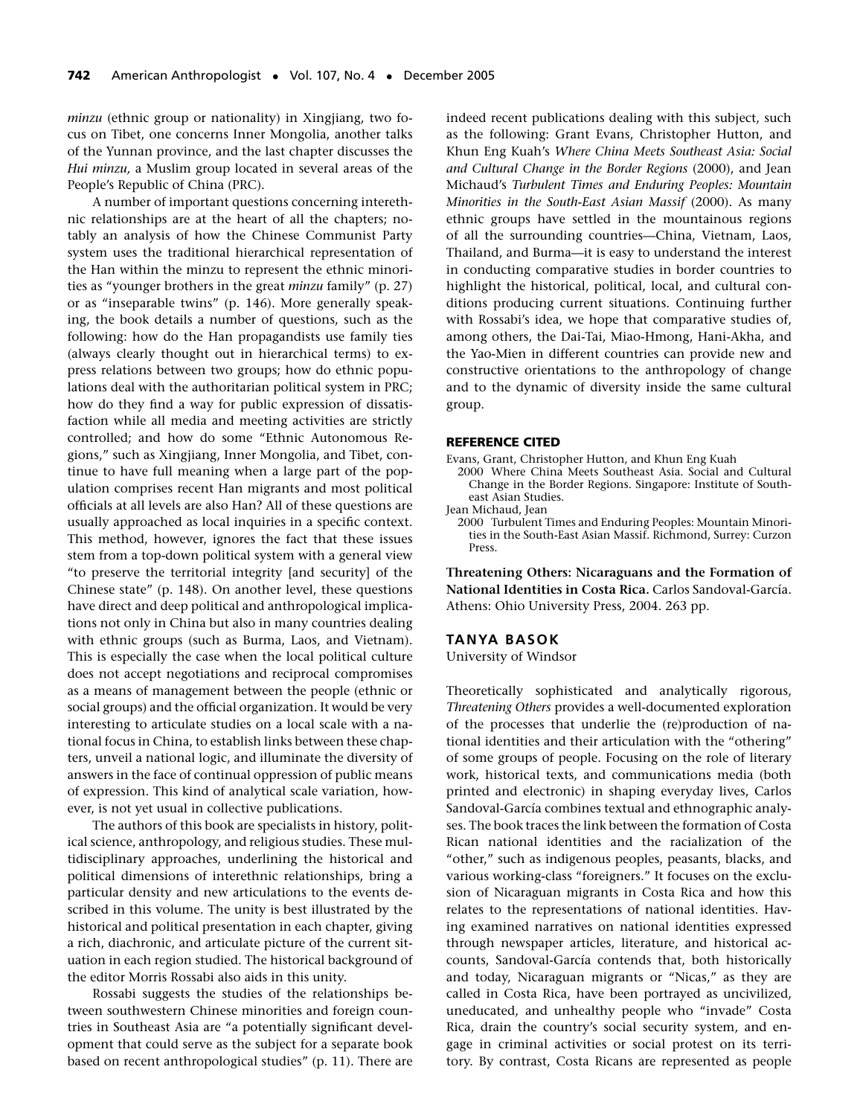*minzu* (ethnic group or nationality) in Xingjiang, two focus on Tibet, one concerns Inner Mongolia, another talks of the Yunnan province, and the last chapter discusses the *Hui minzu,* a Muslim group located in several areas of the People's Republic of China (PRC).

A number of important questions concerning interethnic relationships are at the heart of all the chapters; notably an analysis of how the Chinese Communist Party system uses the traditional hierarchical representation of the Han within the minzu to represent the ethnic minorities as "younger brothers in the great *minzu* family" (p. 27) or as "inseparable twins" (p. 146). More generally speaking, the book details a number of questions, such as the following: how do the Han propagandists use family ties (always clearly thought out in hierarchical terms) to express relations between two groups; how do ethnic populations deal with the authoritarian political system in PRC; how do they find a way for public expression of dissatisfaction while all media and meeting activities are strictly controlled; and how do some "Ethnic Autonomous Regions," such as Xingjiang, Inner Mongolia, and Tibet, continue to have full meaning when a large part of the population comprises recent Han migrants and most political officials at all levels are also Han? All of these questions are usually approached as local inquiries in a specific context. This method, however, ignores the fact that these issues stem from a top-down political system with a general view "to preserve the territorial integrity [and security] of the Chinese state" (p. 148). On another level, these questions have direct and deep political and anthropological implications not only in China but also in many countries dealing with ethnic groups (such as Burma, Laos, and Vietnam). This is especially the case when the local political culture does not accept negotiations and reciprocal compromises as a means of management between the people (ethnic or social groups) and the official organization. It would be very interesting to articulate studies on a local scale with a national focus in China, to establish links between these chapters, unveil a national logic, and illuminate the diversity of answers in the face of continual oppression of public means of expression. This kind of analytical scale variation, however, is not yet usual in collective publications.

The authors of this book are specialists in history, political science, anthropology, and religious studies. These multidisciplinary approaches, underlining the historical and political dimensions of interethnic relationships, bring a particular density and new articulations to the events described in this volume. The unity is best illustrated by the historical and political presentation in each chapter, giving a rich, diachronic, and articulate picture of the current situation in each region studied. The historical background of the editor Morris Rossabi also aids in this unity.

Rossabi suggests the studies of the relationships between southwestern Chinese minorities and foreign countries in Southeast Asia are "a potentially significant development that could serve as the subject for a separate book based on recent anthropological studies" (p. 11). There are indeed recent publications dealing with this subject, such as the following: Grant Evans, Christopher Hutton, and Khun Eng Kuah's *Where China Meets Southeast Asia: Social and Cultural Change in the Border Regions* (2000), and Jean Michaud's *Turbulent Times and Enduring Peoples: Mountain Minorities in the South-East Asian Massif* (2000). As many ethnic groups have settled in the mountainous regions of all the surrounding countries—China, Vietnam, Laos, Thailand, and Burma—it is easy to understand the interest in conducting comparative studies in border countries to highlight the historical, political, local, and cultural conditions producing current situations. Continuing further with Rossabi's idea, we hope that comparative studies of, among others, the Dai-Tai, Miao-Hmong, Hani-Akha, and the Yao-Mien in different countries can provide new and constructive orientations to the anthropology of change and to the dynamic of diversity inside the same cultural group.

#### **REFERENCE CITED**

Evans, Grant, Christopher Hutton, and Khun Eng Kuah

- 2000 Where China Meets Southeast Asia. Social and Cultural Change in the Border Regions. Singapore: Institute of Southeast Asian Studies.
- Jean Michaud, Jean

2000 Turbulent Times and Enduring Peoples: Mountain Minorities in the South-East Asian Massif. Richmond, Surrey: Curzon Press.

**Threatening Others: Nicaraguans and the Formation of** National Identities in Costa Rica. Carlos Sandoval-García. Athens: Ohio University Press, 2004. 263 pp.

# **TANYA BASOK**

University of Windsor

Theoretically sophisticated and analytically rigorous, *Threatening Others* provides a well-documented exploration of the processes that underlie the (re)production of national identities and their articulation with the "othering" of some groups of people. Focusing on the role of literary work, historical texts, and communications media (both printed and electronic) in shaping everyday lives, Carlos Sandoval-García combines textual and ethnographic analyses. The book traces the link between the formation of Costa Rican national identities and the racialization of the "other," such as indigenous peoples, peasants, blacks, and various working-class "foreigners." It focuses on the exclusion of Nicaraguan migrants in Costa Rica and how this relates to the representations of national identities. Having examined narratives on national identities expressed through newspaper articles, literature, and historical accounts, Sandoval-García contends that, both historically and today, Nicaraguan migrants or "Nicas," as they are called in Costa Rica, have been portrayed as uncivilized, uneducated, and unhealthy people who "invade" Costa Rica, drain the country's social security system, and engage in criminal activities or social protest on its territory. By contrast, Costa Ricans are represented as people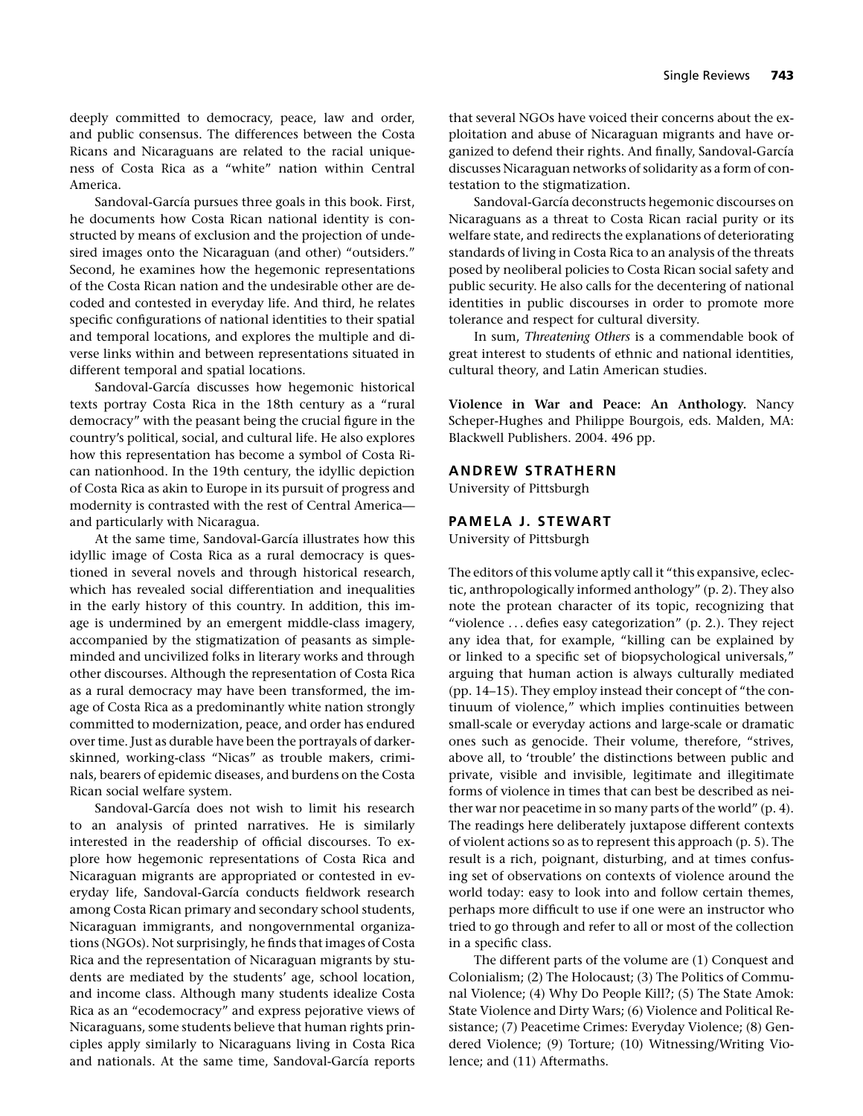deeply committed to democracy, peace, law and order, and public consensus. The differences between the Costa Ricans and Nicaraguans are related to the racial uniqueness of Costa Rica as a "white" nation within Central America.

Sandoval-García pursues three goals in this book. First, he documents how Costa Rican national identity is constructed by means of exclusion and the projection of undesired images onto the Nicaraguan (and other) "outsiders." Second, he examines how the hegemonic representations of the Costa Rican nation and the undesirable other are decoded and contested in everyday life. And third, he relates specific configurations of national identities to their spatial and temporal locations, and explores the multiple and diverse links within and between representations situated in different temporal and spatial locations.

Sandoval-García discusses how hegemonic historical texts portray Costa Rica in the 18th century as a "rural democracy" with the peasant being the crucial figure in the country's political, social, and cultural life. He also explores how this representation has become a symbol of Costa Rican nationhood. In the 19th century, the idyllic depiction of Costa Rica as akin to Europe in its pursuit of progress and modernity is contrasted with the rest of Central America and particularly with Nicaragua.

At the same time, Sandoval-García illustrates how this idyllic image of Costa Rica as a rural democracy is questioned in several novels and through historical research, which has revealed social differentiation and inequalities in the early history of this country. In addition, this image is undermined by an emergent middle-class imagery, accompanied by the stigmatization of peasants as simpleminded and uncivilized folks in literary works and through other discourses. Although the representation of Costa Rica as a rural democracy may have been transformed, the image of Costa Rica as a predominantly white nation strongly committed to modernization, peace, and order has endured over time. Just as durable have been the portrayals of darkerskinned, working-class "Nicas" as trouble makers, criminals, bearers of epidemic diseases, and burdens on the Costa Rican social welfare system.

Sandoval-García does not wish to limit his research to an analysis of printed narratives. He is similarly interested in the readership of official discourses. To explore how hegemonic representations of Costa Rica and Nicaraguan migrants are appropriated or contested in everyday life, Sandoval-García conducts fieldwork research among Costa Rican primary and secondary school students, Nicaraguan immigrants, and nongovernmental organizations (NGOs). Not surprisingly, he finds that images of Costa Rica and the representation of Nicaraguan migrants by students are mediated by the students' age, school location, and income class. Although many students idealize Costa Rica as an "ecodemocracy" and express pejorative views of Nicaraguans, some students believe that human rights principles apply similarly to Nicaraguans living in Costa Rica and nationals. At the same time, Sandoval-García reports

that several NGOs have voiced their concerns about the exploitation and abuse of Nicaraguan migrants and have organized to defend their rights. And finally, Sandoval-García discusses Nicaraguan networks of solidarity as a form of contestation to the stigmatization.

Sandoval-García deconstructs hegemonic discourses on Nicaraguans as a threat to Costa Rican racial purity or its welfare state, and redirects the explanations of deteriorating standards of living in Costa Rica to an analysis of the threats posed by neoliberal policies to Costa Rican social safety and public security. He also calls for the decentering of national identities in public discourses in order to promote more tolerance and respect for cultural diversity.

In sum, *Threatening Others* is a commendable book of great interest to students of ethnic and national identities, cultural theory, and Latin American studies.

**Violence in War and Peace: An Anthology.** Nancy Scheper-Hughes and Philippe Bourgois, eds. Malden, MA: Blackwell Publishers. 2004. 496 pp.

#### **ANDREW STRATHERN**

University of Pittsburgh

#### **PAMELA J. STEWART**

University of Pittsburgh

The editors of this volume aptly call it "this expansive, eclectic, anthropologically informed anthology" (p. 2). They also note the protean character of its topic, recognizing that "violence ... defies easy categorization" (p. 2.). They reject any idea that, for example, "killing can be explained by or linked to a specific set of biopsychological universals," arguing that human action is always culturally mediated (pp. 14–15). They employ instead their concept of "the continuum of violence," which implies continuities between small-scale or everyday actions and large-scale or dramatic ones such as genocide. Their volume, therefore, "strives, above all, to 'trouble' the distinctions between public and private, visible and invisible, legitimate and illegitimate forms of violence in times that can best be described as neither war nor peacetime in so many parts of the world" (p. 4). The readings here deliberately juxtapose different contexts of violent actions so as to represent this approach (p. 5). The result is a rich, poignant, disturbing, and at times confusing set of observations on contexts of violence around the world today: easy to look into and follow certain themes, perhaps more difficult to use if one were an instructor who tried to go through and refer to all or most of the collection in a specific class.

The different parts of the volume are (1) Conquest and Colonialism; (2) The Holocaust; (3) The Politics of Communal Violence; (4) Why Do People Kill?; (5) The State Amok: State Violence and Dirty Wars; (6) Violence and Political Resistance; (7) Peacetime Crimes: Everyday Violence; (8) Gendered Violence; (9) Torture; (10) Witnessing/Writing Violence; and (11) Aftermaths.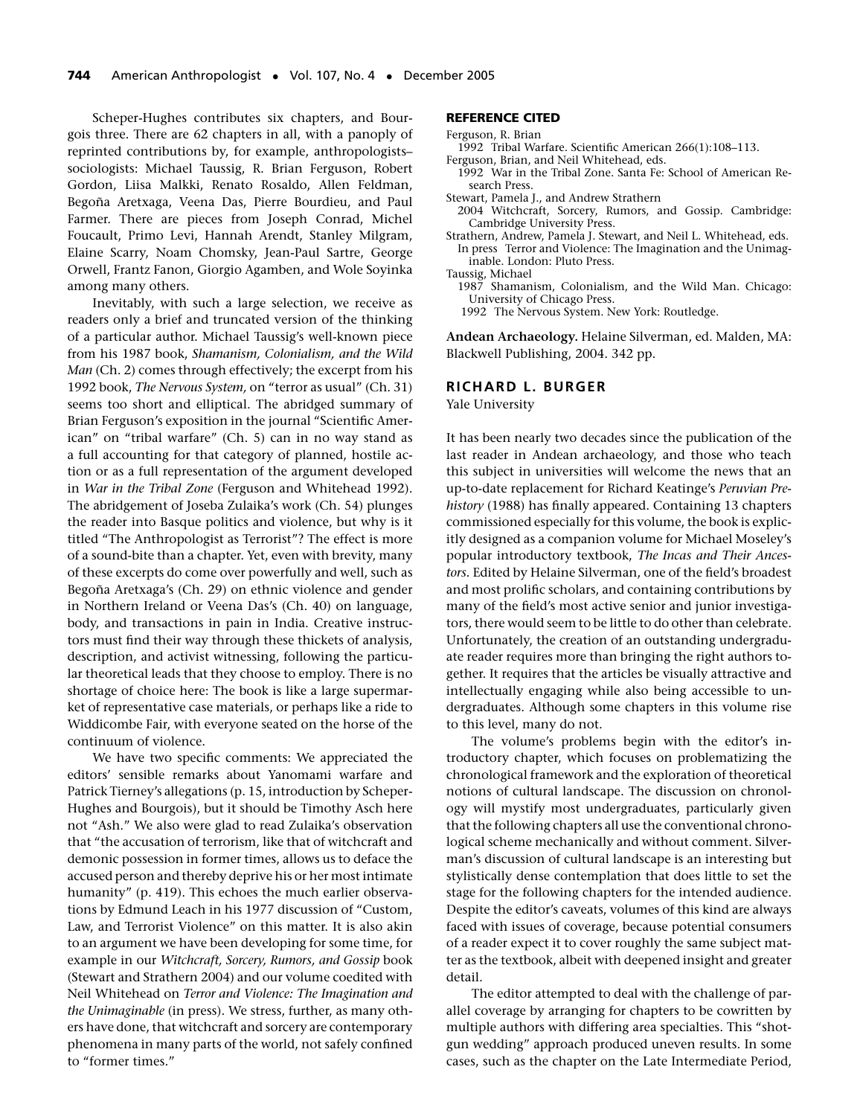Scheper-Hughes contributes six chapters, and Bourgois three. There are 62 chapters in all, with a panoply of reprinted contributions by, for example, anthropologists– sociologists: Michael Taussig, R. Brian Ferguson, Robert Gordon, Liisa Malkki, Renato Rosaldo, Allen Feldman, Begoña Aretxaga, Veena Das, Pierre Bourdieu, and Paul Farmer. There are pieces from Joseph Conrad, Michel Foucault, Primo Levi, Hannah Arendt, Stanley Milgram, Elaine Scarry, Noam Chomsky, Jean-Paul Sartre, George Orwell, Frantz Fanon, Giorgio Agamben, and Wole Soyinka among many others.

Inevitably, with such a large selection, we receive as readers only a brief and truncated version of the thinking of a particular author. Michael Taussig's well-known piece from his 1987 book, *Shamanism, Colonialism, and the Wild Man* (Ch. 2) comes through effectively; the excerpt from his 1992 book, *The Nervous System,* on "terror as usual" (Ch. 31) seems too short and elliptical. The abridged summary of Brian Ferguson's exposition in the journal "Scientific American" on "tribal warfare" (Ch. 5) can in no way stand as a full accounting for that category of planned, hostile action or as a full representation of the argument developed in *War in the Tribal Zone* (Ferguson and Whitehead 1992). The abridgement of Joseba Zulaika's work (Ch. 54) plunges the reader into Basque politics and violence, but why is it titled "The Anthropologist as Terrorist"? The effect is more of a sound-bite than a chapter. Yet, even with brevity, many of these excerpts do come over powerfully and well, such as Begoña Aretxaga's (Ch. 29) on ethnic violence and gender in Northern Ireland or Veena Das's (Ch. 40) on language, body, and transactions in pain in India. Creative instructors must find their way through these thickets of analysis, description, and activist witnessing, following the particular theoretical leads that they choose to employ. There is no shortage of choice here: The book is like a large supermarket of representative case materials, or perhaps like a ride to Widdicombe Fair, with everyone seated on the horse of the continuum of violence.

We have two specific comments: We appreciated the editors' sensible remarks about Yanomami warfare and Patrick Tierney's allegations (p. 15, introduction by Scheper-Hughes and Bourgois), but it should be Timothy Asch here not "Ash." We also were glad to read Zulaika's observation that "the accusation of terrorism, like that of witchcraft and demonic possession in former times, allows us to deface the accused person and thereby deprive his or her most intimate humanity" (p. 419). This echoes the much earlier observations by Edmund Leach in his 1977 discussion of "Custom, Law, and Terrorist Violence" on this matter. It is also akin to an argument we have been developing for some time, for example in our *Witchcraft, Sorcery, Rumors, and Gossip* book (Stewart and Strathern 2004) and our volume coedited with Neil Whitehead on *Terror and Violence: The Imagination and the Unimaginable* (in press). We stress, further, as many others have done, that witchcraft and sorcery are contemporary phenomena in many parts of the world, not safely confined to "former times."

#### **REFERENCE CITED**

#### Ferguson, R. Brian

1992 Tribal Warfare. Scientific American 266(1):108–113.

- Ferguson, Brian, and Neil Whitehead, eds. 1992 War in the Tribal Zone. Santa Fe: School of American Research Press.
- Stewart, Pamela J., and Andrew Strathern
- 2004 Witchcraft, Sorcery, Rumors, and Gossip. Cambridge: Cambridge University Press.
- Strathern, Andrew, Pamela J. Stewart, and Neil L. Whitehead, eds. In press Terror and Violence: The Imagination and the Unimaginable. London: Pluto Press.
- Taussig, Michael
	- 1987 Shamanism, Colonialism, and the Wild Man. Chicago: University of Chicago Press.

1992 The Nervous System. New York: Routledge.

**Andean Archaeology.** Helaine Silverman, ed. Malden, MA: Blackwell Publishing, 2004. 342 pp.

# **RICHARD L. BURGER**

Yale University

It has been nearly two decades since the publication of the last reader in Andean archaeology, and those who teach this subject in universities will welcome the news that an up-to-date replacement for Richard Keatinge's *Peruvian Prehistory* (1988) has finally appeared. Containing 13 chapters commissioned especially for this volume, the book is explicitly designed as a companion volume for Michael Moseley's popular introductory textbook, *The Incas and Their Ancestors.* Edited by Helaine Silverman, one of the field's broadest and most prolific scholars, and containing contributions by many of the field's most active senior and junior investigators, there would seem to be little to do other than celebrate. Unfortunately, the creation of an outstanding undergraduate reader requires more than bringing the right authors together. It requires that the articles be visually attractive and intellectually engaging while also being accessible to undergraduates. Although some chapters in this volume rise to this level, many do not.

The volume's problems begin with the editor's introductory chapter, which focuses on problematizing the chronological framework and the exploration of theoretical notions of cultural landscape. The discussion on chronology will mystify most undergraduates, particularly given that the following chapters all use the conventional chronological scheme mechanically and without comment. Silverman's discussion of cultural landscape is an interesting but stylistically dense contemplation that does little to set the stage for the following chapters for the intended audience. Despite the editor's caveats, volumes of this kind are always faced with issues of coverage, because potential consumers of a reader expect it to cover roughly the same subject matter as the textbook, albeit with deepened insight and greater detail.

The editor attempted to deal with the challenge of parallel coverage by arranging for chapters to be cowritten by multiple authors with differing area specialties. This "shotgun wedding" approach produced uneven results. In some cases, such as the chapter on the Late Intermediate Period,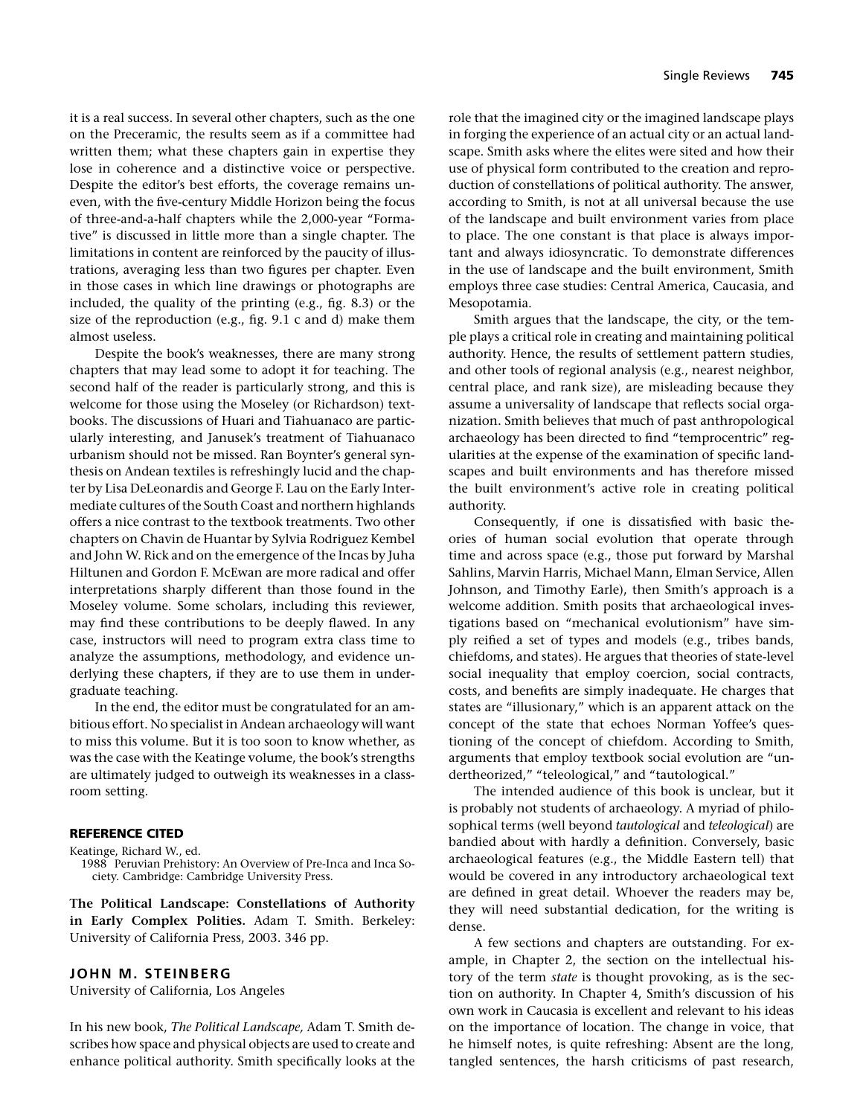it is a real success. In several other chapters, such as the one on the Preceramic, the results seem as if a committee had written them; what these chapters gain in expertise they lose in coherence and a distinctive voice or perspective. Despite the editor's best efforts, the coverage remains uneven, with the five-century Middle Horizon being the focus of three-and-a-half chapters while the 2,000-year "Formative" is discussed in little more than a single chapter. The limitations in content are reinforced by the paucity of illustrations, averaging less than two figures per chapter. Even in those cases in which line drawings or photographs are included, the quality of the printing (e.g., fig. 8.3) or the size of the reproduction (e.g., fig. 9.1 c and d) make them almost useless.

Despite the book's weaknesses, there are many strong chapters that may lead some to adopt it for teaching. The second half of the reader is particularly strong, and this is welcome for those using the Moseley (or Richardson) textbooks. The discussions of Huari and Tiahuanaco are particularly interesting, and Janusek's treatment of Tiahuanaco urbanism should not be missed. Ran Boynter's general synthesis on Andean textiles is refreshingly lucid and the chapter by Lisa DeLeonardis and George F. Lau on the Early Intermediate cultures of the South Coast and northern highlands offers a nice contrast to the textbook treatments. Two other chapters on Chavin de Huantar by Sylvia Rodriguez Kembel and John W. Rick and on the emergence of the Incas by Juha Hiltunen and Gordon F. McEwan are more radical and offer interpretations sharply different than those found in the Moseley volume. Some scholars, including this reviewer, may find these contributions to be deeply flawed. In any case, instructors will need to program extra class time to analyze the assumptions, methodology, and evidence underlying these chapters, if they are to use them in undergraduate teaching.

In the end, the editor must be congratulated for an ambitious effort. No specialist in Andean archaeology will want to miss this volume. But it is too soon to know whether, as was the case with the Keatinge volume, the book's strengths are ultimately judged to outweigh its weaknesses in a classroom setting.

#### **REFERENCE CITED**

Keatinge, Richard W., ed.

1988 Peruvian Prehistory: An Overview of Pre-Inca and Inca Society. Cambridge: Cambridge University Press.

**The Political Landscape: Constellations of Authority in Early Complex Polities.** Adam T. Smith. Berkeley: University of California Press, 2003. 346 pp.

# **JOHN M. STEINBERG**

University of California, Los Angeles

In his new book, *The Political Landscape,* Adam T. Smith describes how space and physical objects are used to create and enhance political authority. Smith specifically looks at the role that the imagined city or the imagined landscape plays in forging the experience of an actual city or an actual landscape. Smith asks where the elites were sited and how their use of physical form contributed to the creation and reproduction of constellations of political authority. The answer, according to Smith, is not at all universal because the use of the landscape and built environment varies from place to place. The one constant is that place is always important and always idiosyncratic. To demonstrate differences in the use of landscape and the built environment, Smith employs three case studies: Central America, Caucasia, and Mesopotamia.

Smith argues that the landscape, the city, or the temple plays a critical role in creating and maintaining political authority. Hence, the results of settlement pattern studies, and other tools of regional analysis (e.g., nearest neighbor, central place, and rank size), are misleading because they assume a universality of landscape that reflects social organization. Smith believes that much of past anthropological archaeology has been directed to find "temprocentric" regularities at the expense of the examination of specific landscapes and built environments and has therefore missed the built environment's active role in creating political authority.

Consequently, if one is dissatisfied with basic theories of human social evolution that operate through time and across space (e.g., those put forward by Marshal Sahlins, Marvin Harris, Michael Mann, Elman Service, Allen Johnson, and Timothy Earle), then Smith's approach is a welcome addition. Smith posits that archaeological investigations based on "mechanical evolutionism" have simply reified a set of types and models (e.g., tribes bands, chiefdoms, and states). He argues that theories of state-level social inequality that employ coercion, social contracts, costs, and benefits are simply inadequate. He charges that states are "illusionary," which is an apparent attack on the concept of the state that echoes Norman Yoffee's questioning of the concept of chiefdom. According to Smith, arguments that employ textbook social evolution are "undertheorized," "teleological," and "tautological."

The intended audience of this book is unclear, but it is probably not students of archaeology. A myriad of philosophical terms (well beyond *tautological* and *teleological*) are bandied about with hardly a definition. Conversely, basic archaeological features (e.g., the Middle Eastern tell) that would be covered in any introductory archaeological text are defined in great detail. Whoever the readers may be, they will need substantial dedication, for the writing is dense.

A few sections and chapters are outstanding. For example, in Chapter 2, the section on the intellectual history of the term *state* is thought provoking, as is the section on authority. In Chapter 4, Smith's discussion of his own work in Caucasia is excellent and relevant to his ideas on the importance of location. The change in voice, that he himself notes, is quite refreshing: Absent are the long, tangled sentences, the harsh criticisms of past research,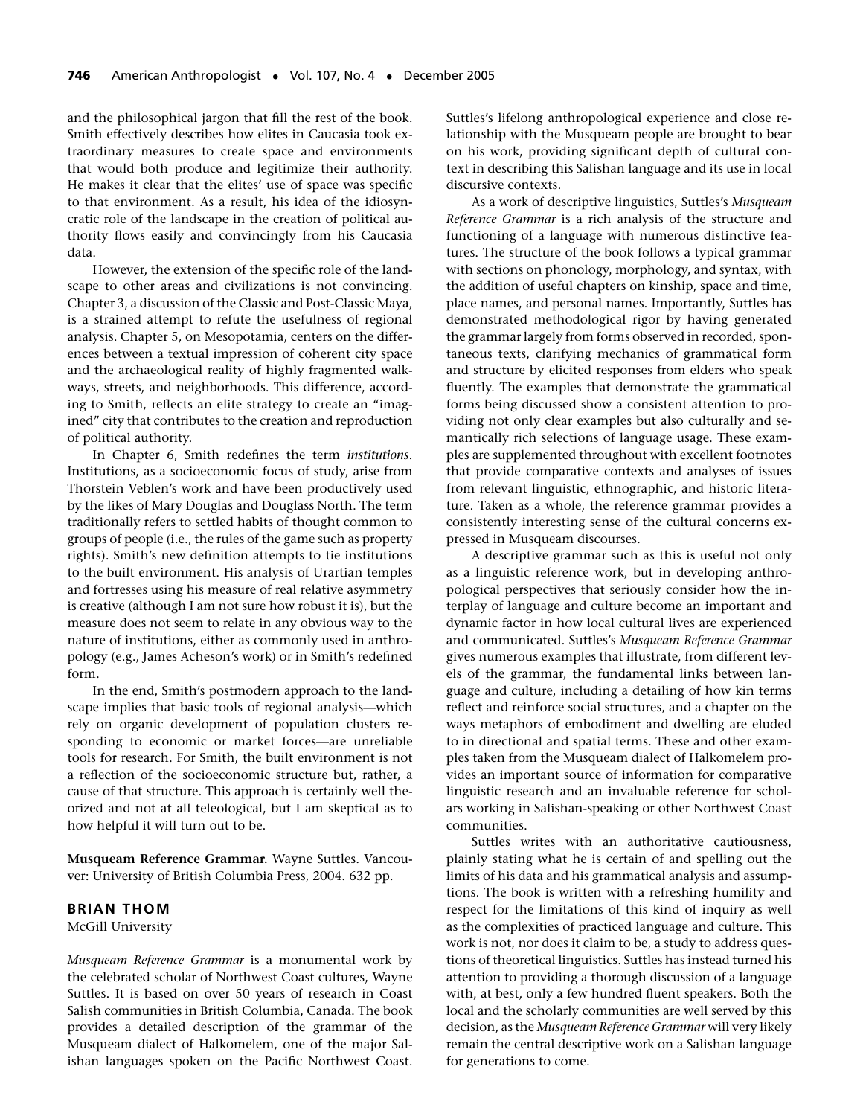and the philosophical jargon that fill the rest of the book. Smith effectively describes how elites in Caucasia took extraordinary measures to create space and environments that would both produce and legitimize their authority. He makes it clear that the elites' use of space was specific to that environment. As a result, his idea of the idiosyncratic role of the landscape in the creation of political authority flows easily and convincingly from his Caucasia data.

However, the extension of the specific role of the landscape to other areas and civilizations is not convincing. Chapter 3, a discussion of the Classic and Post-Classic Maya, is a strained attempt to refute the usefulness of regional analysis. Chapter 5, on Mesopotamia, centers on the differences between a textual impression of coherent city space and the archaeological reality of highly fragmented walkways, streets, and neighborhoods. This difference, according to Smith, reflects an elite strategy to create an "imagined" city that contributes to the creation and reproduction of political authority.

In Chapter 6, Smith redefines the term *institutions.* Institutions, as a socioeconomic focus of study, arise from Thorstein Veblen's work and have been productively used by the likes of Mary Douglas and Douglass North. The term traditionally refers to settled habits of thought common to groups of people (i.e., the rules of the game such as property rights). Smith's new definition attempts to tie institutions to the built environment. His analysis of Urartian temples and fortresses using his measure of real relative asymmetry is creative (although I am not sure how robust it is), but the measure does not seem to relate in any obvious way to the nature of institutions, either as commonly used in anthropology (e.g., James Acheson's work) or in Smith's redefined form.

In the end, Smith's postmodern approach to the landscape implies that basic tools of regional analysis—which rely on organic development of population clusters responding to economic or market forces—are unreliable tools for research. For Smith, the built environment is not a reflection of the socioeconomic structure but, rather, a cause of that structure. This approach is certainly well theorized and not at all teleological, but I am skeptical as to how helpful it will turn out to be.

**Musqueam Reference Grammar.** Wayne Suttles. Vancouver: University of British Columbia Press, 2004. 632 pp.

# **BRIAN THOM**

McGill University

*Musqueam Reference Grammar* is a monumental work by the celebrated scholar of Northwest Coast cultures, Wayne Suttles. It is based on over 50 years of research in Coast Salish communities in British Columbia, Canada. The book provides a detailed description of the grammar of the Musqueam dialect of Halkomelem, one of the major Salishan languages spoken on the Pacific Northwest Coast. Suttles's lifelong anthropological experience and close relationship with the Musqueam people are brought to bear on his work, providing significant depth of cultural context in describing this Salishan language and its use in local discursive contexts.

As a work of descriptive linguistics, Suttles's *Musqueam Reference Grammar* is a rich analysis of the structure and functioning of a language with numerous distinctive features. The structure of the book follows a typical grammar with sections on phonology, morphology, and syntax, with the addition of useful chapters on kinship, space and time, place names, and personal names. Importantly, Suttles has demonstrated methodological rigor by having generated the grammar largely from forms observed in recorded, spontaneous texts, clarifying mechanics of grammatical form and structure by elicited responses from elders who speak fluently. The examples that demonstrate the grammatical forms being discussed show a consistent attention to providing not only clear examples but also culturally and semantically rich selections of language usage. These examples are supplemented throughout with excellent footnotes that provide comparative contexts and analyses of issues from relevant linguistic, ethnographic, and historic literature. Taken as a whole, the reference grammar provides a consistently interesting sense of the cultural concerns expressed in Musqueam discourses.

A descriptive grammar such as this is useful not only as a linguistic reference work, but in developing anthropological perspectives that seriously consider how the interplay of language and culture become an important and dynamic factor in how local cultural lives are experienced and communicated. Suttles's *Musqueam Reference Grammar* gives numerous examples that illustrate, from different levels of the grammar, the fundamental links between language and culture, including a detailing of how kin terms reflect and reinforce social structures, and a chapter on the ways metaphors of embodiment and dwelling are eluded to in directional and spatial terms. These and other examples taken from the Musqueam dialect of Halkomelem provides an important source of information for comparative linguistic research and an invaluable reference for scholars working in Salishan-speaking or other Northwest Coast communities.

Suttles writes with an authoritative cautiousness, plainly stating what he is certain of and spelling out the limits of his data and his grammatical analysis and assumptions. The book is written with a refreshing humility and respect for the limitations of this kind of inquiry as well as the complexities of practiced language and culture. This work is not, nor does it claim to be, a study to address questions of theoretical linguistics. Suttles has instead turned his attention to providing a thorough discussion of a language with, at best, only a few hundred fluent speakers. Both the local and the scholarly communities are well served by this decision, as the *Musqueam Reference Grammar* will very likely remain the central descriptive work on a Salishan language for generations to come.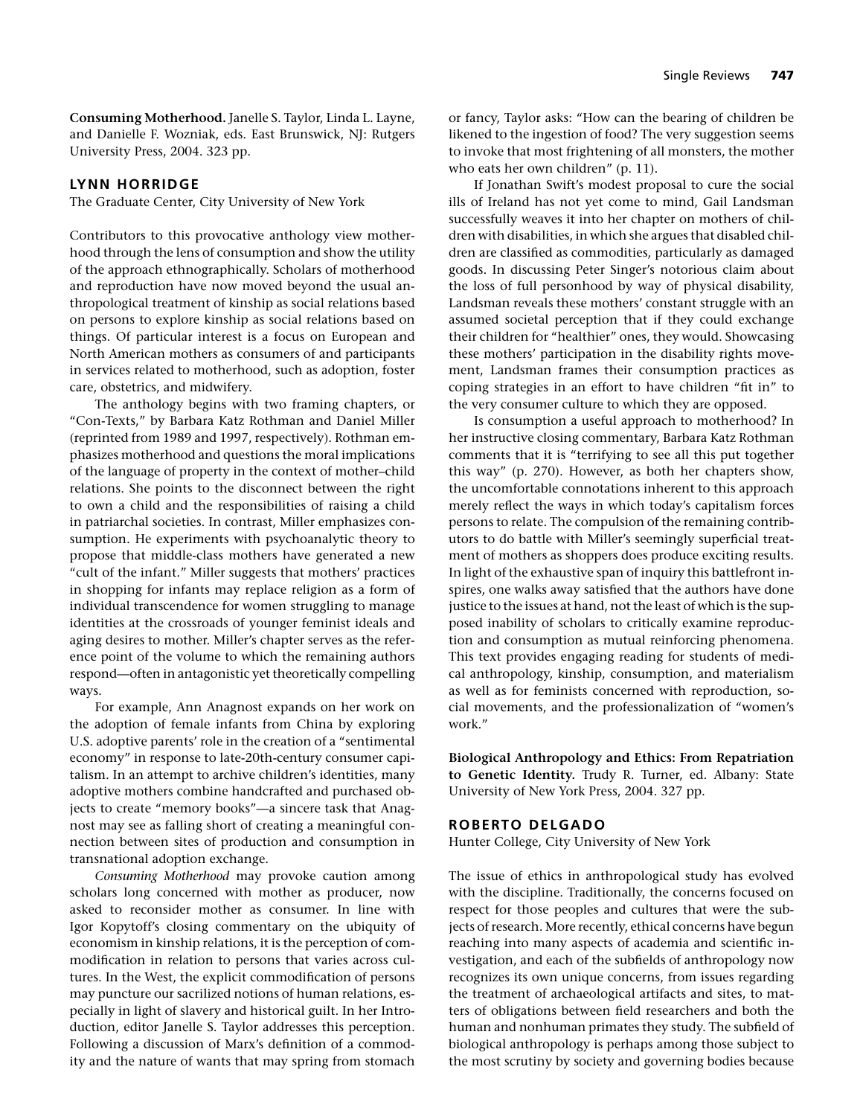**Consuming Motherhood.** Janelle S. Taylor, Linda L. Layne, and Danielle F. Wozniak, eds. East Brunswick, NJ: Rutgers University Press, 2004. 323 pp.

# **LYNN HORRIDGE**

The Graduate Center, City University of New York

Contributors to this provocative anthology view motherhood through the lens of consumption and show the utility of the approach ethnographically. Scholars of motherhood and reproduction have now moved beyond the usual anthropological treatment of kinship as social relations based on persons to explore kinship as social relations based on things. Of particular interest is a focus on European and North American mothers as consumers of and participants in services related to motherhood, such as adoption, foster care, obstetrics, and midwifery.

The anthology begins with two framing chapters, or "Con-Texts," by Barbara Katz Rothman and Daniel Miller (reprinted from 1989 and 1997, respectively). Rothman emphasizes motherhood and questions the moral implications of the language of property in the context of mother–child relations. She points to the disconnect between the right to own a child and the responsibilities of raising a child in patriarchal societies. In contrast, Miller emphasizes consumption. He experiments with psychoanalytic theory to propose that middle-class mothers have generated a new "cult of the infant." Miller suggests that mothers' practices in shopping for infants may replace religion as a form of individual transcendence for women struggling to manage identities at the crossroads of younger feminist ideals and aging desires to mother. Miller's chapter serves as the reference point of the volume to which the remaining authors respond—often in antagonistic yet theoretically compelling ways.

For example, Ann Anagnost expands on her work on the adoption of female infants from China by exploring U.S. adoptive parents' role in the creation of a "sentimental economy" in response to late-20th-century consumer capitalism. In an attempt to archive children's identities, many adoptive mothers combine handcrafted and purchased objects to create "memory books"—a sincere task that Anagnost may see as falling short of creating a meaningful connection between sites of production and consumption in transnational adoption exchange.

*Consuming Motherhood* may provoke caution among scholars long concerned with mother as producer, now asked to reconsider mother as consumer. In line with Igor Kopytoff's closing commentary on the ubiquity of economism in kinship relations, it is the perception of commodification in relation to persons that varies across cultures. In the West, the explicit commodification of persons may puncture our sacrilized notions of human relations, especially in light of slavery and historical guilt. In her Introduction, editor Janelle S. Taylor addresses this perception. Following a discussion of Marx's definition of a commodity and the nature of wants that may spring from stomach

or fancy, Taylor asks: "How can the bearing of children be likened to the ingestion of food? The very suggestion seems to invoke that most frightening of all monsters, the mother who eats her own children" (p. 11).

If Jonathan Swift's modest proposal to cure the social ills of Ireland has not yet come to mind, Gail Landsman successfully weaves it into her chapter on mothers of children with disabilities, in which she argues that disabled children are classified as commodities, particularly as damaged goods. In discussing Peter Singer's notorious claim about the loss of full personhood by way of physical disability, Landsman reveals these mothers' constant struggle with an assumed societal perception that if they could exchange their children for "healthier" ones, they would. Showcasing these mothers' participation in the disability rights movement, Landsman frames their consumption practices as coping strategies in an effort to have children "fit in" to the very consumer culture to which they are opposed.

Is consumption a useful approach to motherhood? In her instructive closing commentary, Barbara Katz Rothman comments that it is "terrifying to see all this put together this way" (p. 270). However, as both her chapters show, the uncomfortable connotations inherent to this approach merely reflect the ways in which today's capitalism forces persons to relate. The compulsion of the remaining contributors to do battle with Miller's seemingly superficial treatment of mothers as shoppers does produce exciting results. In light of the exhaustive span of inquiry this battlefront inspires, one walks away satisfied that the authors have done justice to the issues at hand, not the least of which is the supposed inability of scholars to critically examine reproduction and consumption as mutual reinforcing phenomena. This text provides engaging reading for students of medical anthropology, kinship, consumption, and materialism as well as for feminists concerned with reproduction, social movements, and the professionalization of "women's work."

**Biological Anthropology and Ethics: From Repatriation to Genetic Identity.** Trudy R. Turner, ed. Albany: State University of New York Press, 2004. 327 pp.

# **ROBERTO DELGADO**

Hunter College, City University of New York

The issue of ethics in anthropological study has evolved with the discipline. Traditionally, the concerns focused on respect for those peoples and cultures that were the subjects of research. More recently, ethical concerns have begun reaching into many aspects of academia and scientific investigation, and each of the subfields of anthropology now recognizes its own unique concerns, from issues regarding the treatment of archaeological artifacts and sites, to matters of obligations between field researchers and both the human and nonhuman primates they study. The subfield of biological anthropology is perhaps among those subject to the most scrutiny by society and governing bodies because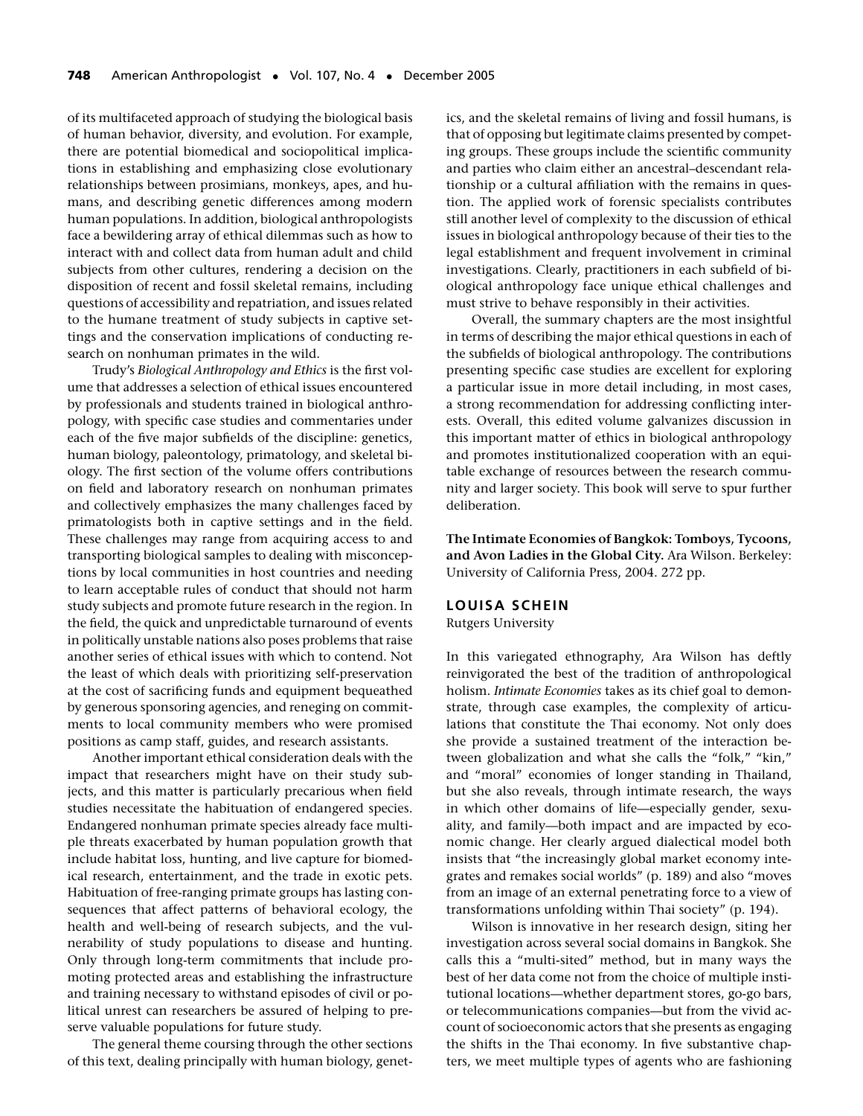of its multifaceted approach of studying the biological basis of human behavior, diversity, and evolution. For example, there are potential biomedical and sociopolitical implications in establishing and emphasizing close evolutionary relationships between prosimians, monkeys, apes, and humans, and describing genetic differences among modern human populations. In addition, biological anthropologists face a bewildering array of ethical dilemmas such as how to interact with and collect data from human adult and child subjects from other cultures, rendering a decision on the disposition of recent and fossil skeletal remains, including questions of accessibility and repatriation, and issues related to the humane treatment of study subjects in captive settings and the conservation implications of conducting research on nonhuman primates in the wild.

Trudy's *Biological Anthropology and Ethics* is the first volume that addresses a selection of ethical issues encountered by professionals and students trained in biological anthropology, with specific case studies and commentaries under each of the five major subfields of the discipline: genetics, human biology, paleontology, primatology, and skeletal biology. The first section of the volume offers contributions on field and laboratory research on nonhuman primates and collectively emphasizes the many challenges faced by primatologists both in captive settings and in the field. These challenges may range from acquiring access to and transporting biological samples to dealing with misconceptions by local communities in host countries and needing to learn acceptable rules of conduct that should not harm study subjects and promote future research in the region. In the field, the quick and unpredictable turnaround of events in politically unstable nations also poses problems that raise another series of ethical issues with which to contend. Not the least of which deals with prioritizing self-preservation at the cost of sacrificing funds and equipment bequeathed by generous sponsoring agencies, and reneging on commitments to local community members who were promised positions as camp staff, guides, and research assistants.

Another important ethical consideration deals with the impact that researchers might have on their study subjects, and this matter is particularly precarious when field studies necessitate the habituation of endangered species. Endangered nonhuman primate species already face multiple threats exacerbated by human population growth that include habitat loss, hunting, and live capture for biomedical research, entertainment, and the trade in exotic pets. Habituation of free-ranging primate groups has lasting consequences that affect patterns of behavioral ecology, the health and well-being of research subjects, and the vulnerability of study populations to disease and hunting. Only through long-term commitments that include promoting protected areas and establishing the infrastructure and training necessary to withstand episodes of civil or political unrest can researchers be assured of helping to preserve valuable populations for future study.

The general theme coursing through the other sections of this text, dealing principally with human biology, genetics, and the skeletal remains of living and fossil humans, is that of opposing but legitimate claims presented by competing groups. These groups include the scientific community and parties who claim either an ancestral–descendant relationship or a cultural affiliation with the remains in question. The applied work of forensic specialists contributes still another level of complexity to the discussion of ethical issues in biological anthropology because of their ties to the legal establishment and frequent involvement in criminal investigations. Clearly, practitioners in each subfield of biological anthropology face unique ethical challenges and must strive to behave responsibly in their activities.

Overall, the summary chapters are the most insightful in terms of describing the major ethical questions in each of the subfields of biological anthropology. The contributions presenting specific case studies are excellent for exploring a particular issue in more detail including, in most cases, a strong recommendation for addressing conflicting interests. Overall, this edited volume galvanizes discussion in this important matter of ethics in biological anthropology and promotes institutionalized cooperation with an equitable exchange of resources between the research community and larger society. This book will serve to spur further deliberation.

**The Intimate Economies of Bangkok: Tomboys, Tycoons, and Avon Ladies in the Global City.** Ara Wilson. Berkeley: University of California Press, 2004. 272 pp.

#### **LOUISA SCHEIN**

Rutgers University

In this variegated ethnography, Ara Wilson has deftly reinvigorated the best of the tradition of anthropological holism. *Intimate Economies* takes as its chief goal to demonstrate, through case examples, the complexity of articulations that constitute the Thai economy. Not only does she provide a sustained treatment of the interaction between globalization and what she calls the "folk," "kin," and "moral" economies of longer standing in Thailand, but she also reveals, through intimate research, the ways in which other domains of life—especially gender, sexuality, and family—both impact and are impacted by economic change. Her clearly argued dialectical model both insists that "the increasingly global market economy integrates and remakes social worlds" (p. 189) and also "moves from an image of an external penetrating force to a view of transformations unfolding within Thai society" (p. 194).

Wilson is innovative in her research design, siting her investigation across several social domains in Bangkok. She calls this a "multi-sited" method, but in many ways the best of her data come not from the choice of multiple institutional locations—whether department stores, go-go bars, or telecommunications companies—but from the vivid account of socioeconomic actors that she presents as engaging the shifts in the Thai economy. In five substantive chapters, we meet multiple types of agents who are fashioning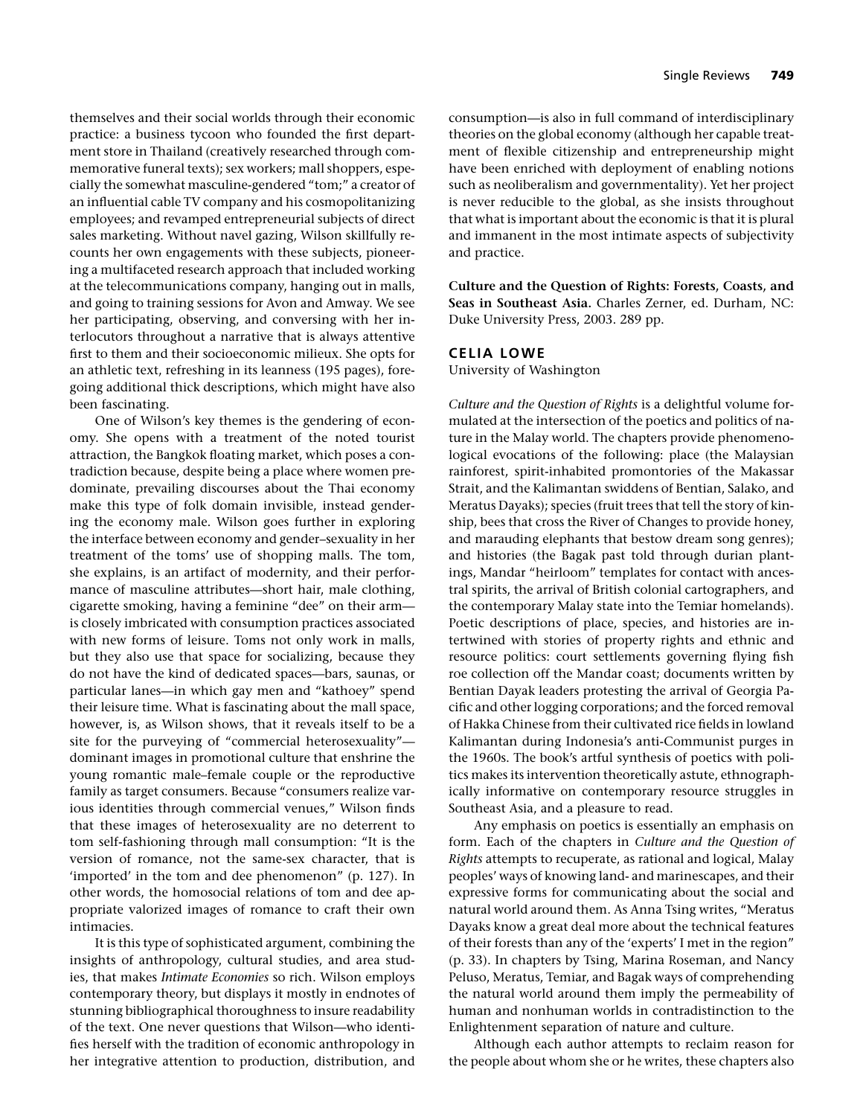themselves and their social worlds through their economic practice: a business tycoon who founded the first department store in Thailand (creatively researched through commemorative funeral texts); sex workers; mall shoppers, especially the somewhat masculine-gendered "tom;" a creator of an influential cable TV company and his cosmopolitanizing employees; and revamped entrepreneurial subjects of direct sales marketing. Without navel gazing, Wilson skillfully recounts her own engagements with these subjects, pioneering a multifaceted research approach that included working at the telecommunications company, hanging out in malls, and going to training sessions for Avon and Amway. We see her participating, observing, and conversing with her interlocutors throughout a narrative that is always attentive first to them and their socioeconomic milieux. She opts for an athletic text, refreshing in its leanness (195 pages), foregoing additional thick descriptions, which might have also been fascinating.

One of Wilson's key themes is the gendering of economy. She opens with a treatment of the noted tourist attraction, the Bangkok floating market, which poses a contradiction because, despite being a place where women predominate, prevailing discourses about the Thai economy make this type of folk domain invisible, instead gendering the economy male. Wilson goes further in exploring the interface between economy and gender–sexuality in her treatment of the toms' use of shopping malls. The tom, she explains, is an artifact of modernity, and their performance of masculine attributes—short hair, male clothing, cigarette smoking, having a feminine "dee" on their arm is closely imbricated with consumption practices associated with new forms of leisure. Toms not only work in malls, but they also use that space for socializing, because they do not have the kind of dedicated spaces—bars, saunas, or particular lanes—in which gay men and "kathoey" spend their leisure time. What is fascinating about the mall space, however, is, as Wilson shows, that it reveals itself to be a site for the purveying of "commercial heterosexuality" dominant images in promotional culture that enshrine the young romantic male–female couple or the reproductive family as target consumers. Because "consumers realize various identities through commercial venues," Wilson finds that these images of heterosexuality are no deterrent to tom self-fashioning through mall consumption: "It is the version of romance, not the same-sex character, that is 'imported' in the tom and dee phenomenon" (p. 127). In other words, the homosocial relations of tom and dee appropriate valorized images of romance to craft their own intimacies.

It is this type of sophisticated argument, combining the insights of anthropology, cultural studies, and area studies, that makes *Intimate Economies* so rich. Wilson employs contemporary theory, but displays it mostly in endnotes of stunning bibliographical thoroughness to insure readability of the text. One never questions that Wilson—who identifies herself with the tradition of economic anthropology in her integrative attention to production, distribution, and

consumption—is also in full command of interdisciplinary theories on the global economy (although her capable treatment of flexible citizenship and entrepreneurship might have been enriched with deployment of enabling notions such as neoliberalism and governmentality). Yet her project is never reducible to the global, as she insists throughout that what is important about the economic is that it is plural and immanent in the most intimate aspects of subjectivity and practice.

**Culture and the Question of Rights: Forests, Coasts, and Seas in Southeast Asia.** Charles Zerner, ed. Durham, NC: Duke University Press, 2003. 289 pp.

## **CELIA LOWE**

University of Washington

*Culture and the Question of Rights* is a delightful volume formulated at the intersection of the poetics and politics of nature in the Malay world. The chapters provide phenomenological evocations of the following: place (the Malaysian rainforest, spirit-inhabited promontories of the Makassar Strait, and the Kalimantan swiddens of Bentian, Salako, and Meratus Dayaks); species (fruit trees that tell the story of kinship, bees that cross the River of Changes to provide honey, and marauding elephants that bestow dream song genres); and histories (the Bagak past told through durian plantings, Mandar "heirloom" templates for contact with ancestral spirits, the arrival of British colonial cartographers, and the contemporary Malay state into the Temiar homelands). Poetic descriptions of place, species, and histories are intertwined with stories of property rights and ethnic and resource politics: court settlements governing flying fish roe collection off the Mandar coast; documents written by Bentian Dayak leaders protesting the arrival of Georgia Pacific and other logging corporations; and the forced removal of Hakka Chinese from their cultivated rice fields in lowland Kalimantan during Indonesia's anti-Communist purges in the 1960s. The book's artful synthesis of poetics with politics makes its intervention theoretically astute, ethnographically informative on contemporary resource struggles in Southeast Asia, and a pleasure to read.

Any emphasis on poetics is essentially an emphasis on form. Each of the chapters in *Culture and the Question of Rights* attempts to recuperate, as rational and logical, Malay peoples' ways of knowing land- and marinescapes, and their expressive forms for communicating about the social and natural world around them. As Anna Tsing writes, "Meratus Dayaks know a great deal more about the technical features of their forests than any of the 'experts' I met in the region" (p. 33). In chapters by Tsing, Marina Roseman, and Nancy Peluso, Meratus, Temiar, and Bagak ways of comprehending the natural world around them imply the permeability of human and nonhuman worlds in contradistinction to the Enlightenment separation of nature and culture.

Although each author attempts to reclaim reason for the people about whom she or he writes, these chapters also